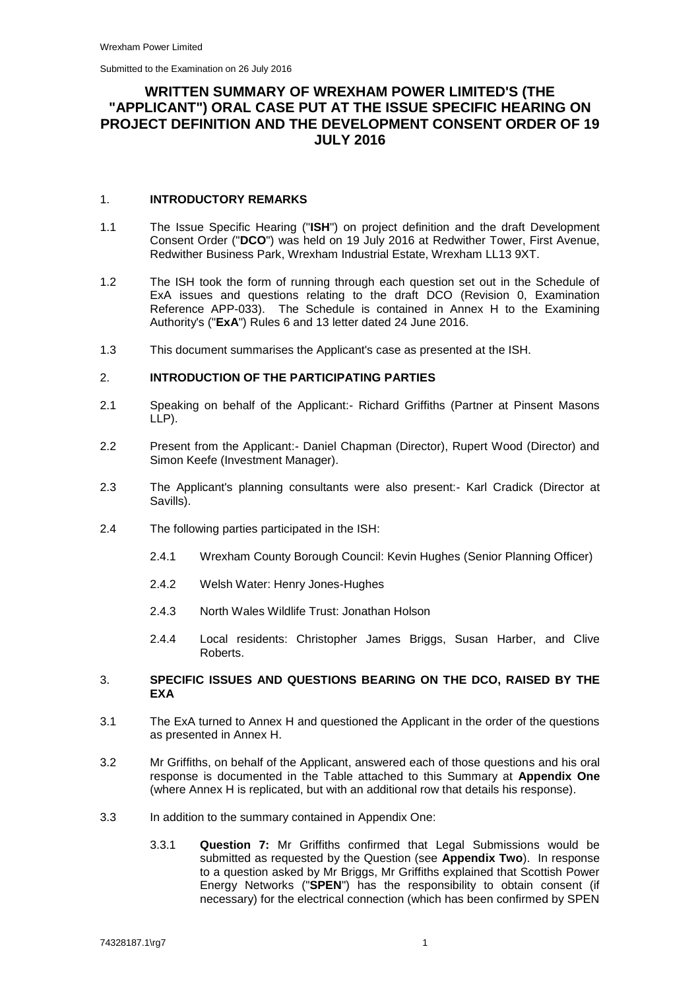# **WRITTEN SUMMARY OF WREXHAM POWER LIMITED'S (THE "APPLICANT") ORAL CASE PUT AT THE ISSUE SPECIFIC HEARING ON PROJECT DEFINITION AND THE DEVELOPMENT CONSENT ORDER OF 19 JULY 2016**

## 1. **INTRODUCTORY REMARKS**

- 1.1 The Issue Specific Hearing ("**ISH**") on project definition and the draft Development Consent Order ("**DCO**") was held on 19 July 2016 at Redwither Tower, First Avenue, Redwither Business Park, Wrexham Industrial Estate, Wrexham LL13 9XT.
- 1.2 The ISH took the form of running through each question set out in the Schedule of ExA issues and questions relating to the draft DCO (Revision 0, Examination Reference APP-033). The Schedule is contained in Annex H to the Examining Authority's ("**ExA**") Rules 6 and 13 letter dated 24 June 2016.
- 1.3 This document summarises the Applicant's case as presented at the ISH.

## 2. **INTRODUCTION OF THE PARTICIPATING PARTIES**

- 2.1 Speaking on behalf of the Applicant:- Richard Griffiths (Partner at Pinsent Masons LLP).
- 2.2 Present from the Applicant:- Daniel Chapman (Director), Rupert Wood (Director) and Simon Keefe (Investment Manager).
- 2.3 The Applicant's planning consultants were also present:- Karl Cradick (Director at Savills).
- 2.4 The following parties participated in the ISH:
	- 2.4.1 Wrexham County Borough Council: Kevin Hughes (Senior Planning Officer)
	- 2.4.2 Welsh Water: Henry Jones-Hughes
	- 2.4.3 North Wales Wildlife Trust: Jonathan Holson
	- 2.4.4 Local residents: Christopher James Briggs, Susan Harber, and Clive Roberts.

## 3. **SPECIFIC ISSUES AND QUESTIONS BEARING ON THE DCO, RAISED BY THE EXA**

- 3.1 The ExA turned to Annex H and questioned the Applicant in the order of the questions as presented in Annex H.
- 3.2 Mr Griffiths, on behalf of the Applicant, answered each of those questions and his oral response is documented in the Table attached to this Summary at **Appendix One**  (where Annex H is replicated, but with an additional row that details his response).
- 3.3 In addition to the summary contained in Appendix One:
	- 3.3.1 **Question 7:** Mr Griffiths confirmed that Legal Submissions would be submitted as requested by the Question (see **Appendix Two**). In response to a question asked by Mr Briggs, Mr Griffiths explained that Scottish Power Energy Networks ("**SPEN**") has the responsibility to obtain consent (if necessary) for the electrical connection (which has been confirmed by SPEN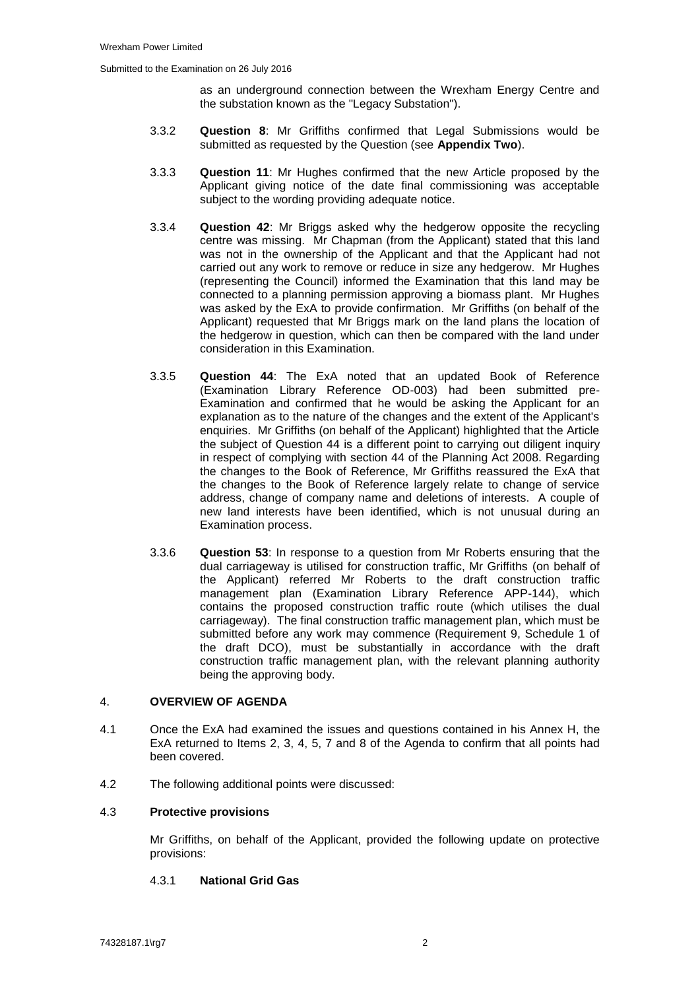as an underground connection between the Wrexham Energy Centre and the substation known as the "Legacy Substation").

- 3.3.2 **Question 8**: Mr Griffiths confirmed that Legal Submissions would be submitted as requested by the Question (see **Appendix Two**).
- 3.3.3 **Question 11**: Mr Hughes confirmed that the new Article proposed by the Applicant giving notice of the date final commissioning was acceptable subject to the wording providing adequate notice.
- 3.3.4 **Question 42**: Mr Briggs asked why the hedgerow opposite the recycling centre was missing. Mr Chapman (from the Applicant) stated that this land was not in the ownership of the Applicant and that the Applicant had not carried out any work to remove or reduce in size any hedgerow. Mr Hughes (representing the Council) informed the Examination that this land may be connected to a planning permission approving a biomass plant. Mr Hughes was asked by the ExA to provide confirmation. Mr Griffiths (on behalf of the Applicant) requested that Mr Briggs mark on the land plans the location of the hedgerow in question, which can then be compared with the land under consideration in this Examination.
- 3.3.5 **Question 44**: The ExA noted that an updated Book of Reference (Examination Library Reference OD-003) had been submitted pre-Examination and confirmed that he would be asking the Applicant for an explanation as to the nature of the changes and the extent of the Applicant's enquiries. Mr Griffiths (on behalf of the Applicant) highlighted that the Article the subject of Question 44 is a different point to carrying out diligent inquiry in respect of complying with section 44 of the Planning Act 2008. Regarding the changes to the Book of Reference, Mr Griffiths reassured the ExA that the changes to the Book of Reference largely relate to change of service address, change of company name and deletions of interests. A couple of new land interests have been identified, which is not unusual during an Examination process.
- 3.3.6 **Question 53**: In response to a question from Mr Roberts ensuring that the dual carriageway is utilised for construction traffic, Mr Griffiths (on behalf of the Applicant) referred Mr Roberts to the draft construction traffic management plan (Examination Library Reference APP-144), which contains the proposed construction traffic route (which utilises the dual carriageway). The final construction traffic management plan, which must be submitted before any work may commence (Requirement 9, Schedule 1 of the draft DCO), must be substantially in accordance with the draft construction traffic management plan, with the relevant planning authority being the approving body.

## 4. **OVERVIEW OF AGENDA**

- 4.1 Once the ExA had examined the issues and questions contained in his Annex H, the ExA returned to Items 2, 3, 4, 5, 7 and 8 of the Agenda to confirm that all points had been covered.
- 4.2 The following additional points were discussed:

#### 4.3 **Protective provisions**

Mr Griffiths, on behalf of the Applicant, provided the following update on protective provisions:

## <span id="page-1-0"></span>4.3.1 **National Grid Gas**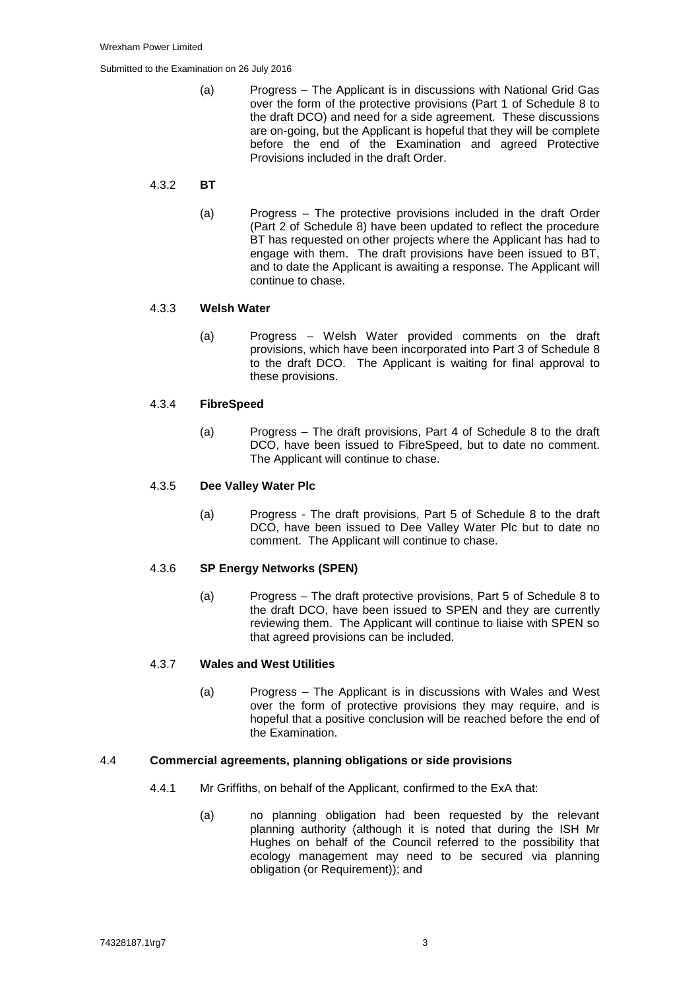(a) Progress – The Applicant is in discussions with National Grid Gas over the form of the protective provisions (Part 1 of Schedule 8 to the draft DCO) and need for a side agreement. These discussions are on-going, but the Applicant is hopeful that they will be complete before the end of the Examination and agreed Protective Provisions included in the draft Order.

## 4.3.2 **BT**

(a) Progress – The protective provisions included in the draft Order (Part 2 of Schedule 8) have been updated to reflect the procedure BT has requested on other projects where the Applicant has had to engage with them. The draft provisions have been issued to BT, and to date the Applicant is awaiting a response. The Applicant will continue to chase.

## 4.3.3 **Welsh Water**

(a) Progress – Welsh Water provided comments on the draft provisions, which have been incorporated into Part 3 of Schedule 8 to the draft DCO. The Applicant is waiting for final approval to these provisions.

## 4.3.4 **FibreSpeed**

(a) Progress – The draft provisions, Part 4 of Schedule 8 to the draft DCO, have been issued to FibreSpeed, but to date no comment. The Applicant will continue to chase.

## 4.3.5 **Dee Valley Water Plc**

(a) Progress - The draft provisions, Part 5 of Schedule 8 to the draft DCO, have been issued to Dee Valley Water Plc but to date no comment. The Applicant will continue to chase.

#### 4.3.6 **SP Energy Networks (SPEN)**

(a) Progress – The draft protective provisions, Part 5 of Schedule 8 to the draft DCO, have been issued to SPEN and they are currently reviewing them. The Applicant will continue to liaise with SPEN so that agreed provisions can be included.

## 4.3.7 **Wales and West Utilities**

(a) Progress – The Applicant is in discussions with Wales and West over the form of protective provisions they may require, and is hopeful that a positive conclusion will be reached before the end of the Examination.

#### 4.4 **Commercial agreements, planning obligations or side provisions**

- 4.4.1 Mr Griffiths, on behalf of the Applicant, confirmed to the ExA that:
	- (a) no planning obligation had been requested by the relevant planning authority (although it is noted that during the ISH Mr Hughes on behalf of the Council referred to the possibility that ecology management may need to be secured via planning obligation (or Requirement)); and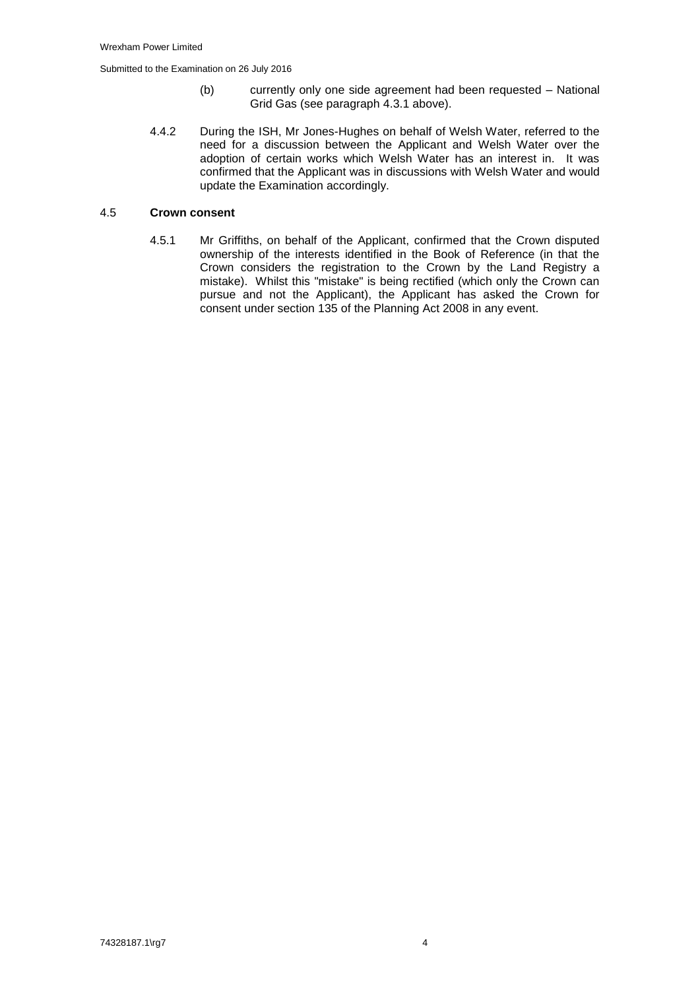- (b) currently only one side agreement had been requested National Grid Gas (see paragraph [4.3.1](#page-1-0) above).
- 4.4.2 During the ISH, Mr Jones-Hughes on behalf of Welsh Water, referred to the need for a discussion between the Applicant and Welsh Water over the adoption of certain works which Welsh Water has an interest in. It was confirmed that the Applicant was in discussions with Welsh Water and would update the Examination accordingly.

## 4.5 **Crown consent**

4.5.1 Mr Griffiths, on behalf of the Applicant, confirmed that the Crown disputed ownership of the interests identified in the Book of Reference (in that the Crown considers the registration to the Crown by the Land Registry a mistake). Whilst this "mistake" is being rectified (which only the Crown can pursue and not the Applicant), the Applicant has asked the Crown for consent under section 135 of the Planning Act 2008 in any event.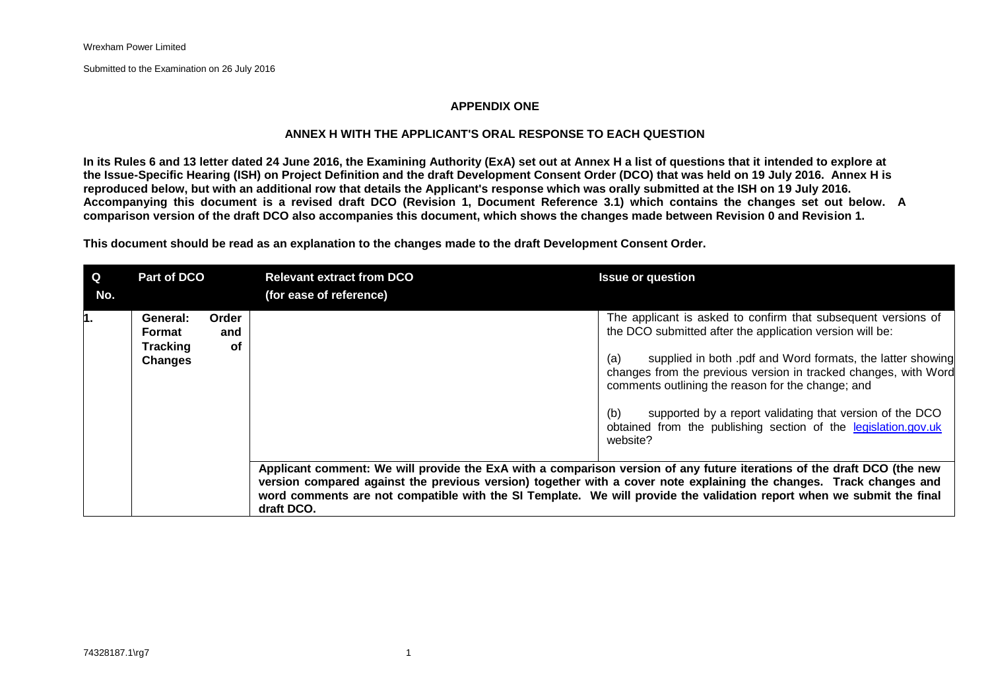#### **APPENDIX ONE**

#### **ANNEX H WITH THE APPLICANT'S ORAL RESPONSE TO EACH QUESTION**

**In its Rules 6 and 13 letter dated 24 June 2016, the Examining Authority (ExA) set out at Annex H a list of questions that it intended to explore at the Issue-Specific Hearing (ISH) on Project Definition and the draft Development Consent Order (DCO) that was held on 19 July 2016. Annex H is reproduced below, but with an additional row that details the Applicant's response which was orally submitted at the ISH on 19 July 2016. Accompanying this document is a revised draft DCO (Revision 1, Document Reference 3.1) which contains the changes set out below. A comparison version of the draft DCO also accompanies this document, which shows the changes made between Revision 0 and Revision 1.** 

**This document should be read as an explanation to the changes made to the draft Development Consent Order.** 

| $\mathbf Q$<br>No. | Part of DCO                                             |                    | <b>Relevant extract from DCO</b><br>(for ease of reference) | <b>Issue or question</b>                                                                                                                                                                                                                                                                                                                                                                                                                                                                                                                                                                                                                                                                                                                                                                                                                           |
|--------------------|---------------------------------------------------------|--------------------|-------------------------------------------------------------|----------------------------------------------------------------------------------------------------------------------------------------------------------------------------------------------------------------------------------------------------------------------------------------------------------------------------------------------------------------------------------------------------------------------------------------------------------------------------------------------------------------------------------------------------------------------------------------------------------------------------------------------------------------------------------------------------------------------------------------------------------------------------------------------------------------------------------------------------|
|                    | General:<br>Format<br><b>Tracking</b><br><b>Changes</b> | Order<br>and<br>of |                                                             | The applicant is asked to confirm that subsequent versions of<br>the DCO submitted after the application version will be:<br>supplied in both .pdf and Word formats, the latter showing<br>(a)<br>changes from the previous version in tracked changes, with Word<br>comments outlining the reason for the change; and<br>supported by a report validating that version of the DCO<br>(b)<br>obtained from the publishing section of the legislation.gov.uk<br>website?<br>Applicant comment: We will provide the ExA with a comparison version of any future iterations of the draft DCO (the new<br>version compared against the previous version) together with a cover note explaining the changes. Track changes and<br>word comments are not compatible with the SI Template. We will provide the validation report when we submit the final |
|                    |                                                         |                    | draft DCO.                                                  |                                                                                                                                                                                                                                                                                                                                                                                                                                                                                                                                                                                                                                                                                                                                                                                                                                                    |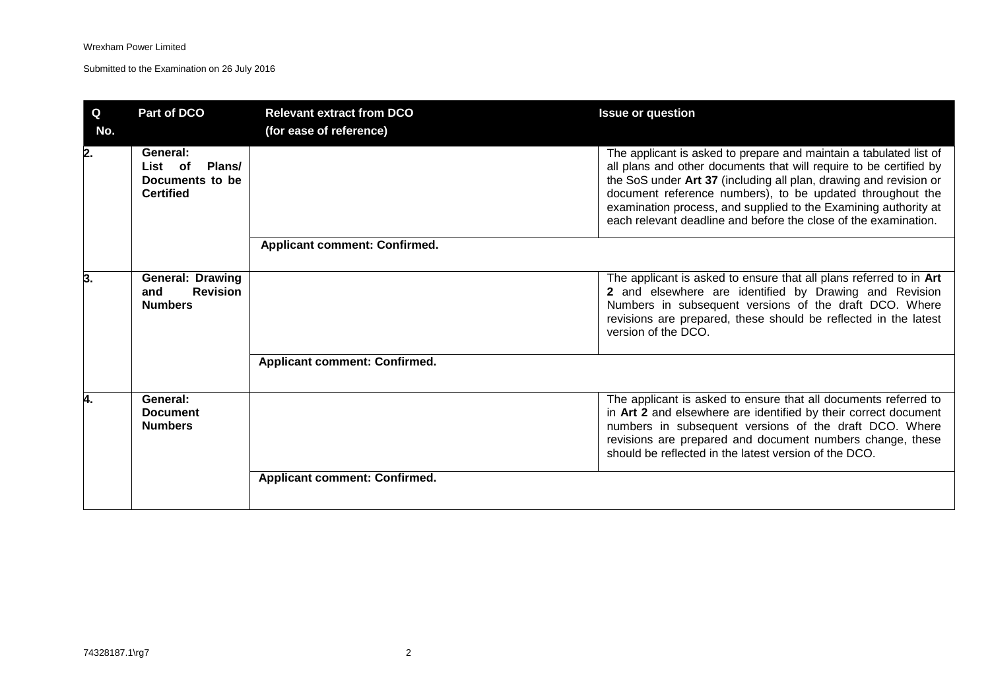| Q<br>No. | <b>Part of DCO</b>                                                   | <b>Relevant extract from DCO</b><br>(for ease of reference) | <b>Issue or question</b>                                                                                                                                                                                                                                                                                                                                                                                         |
|----------|----------------------------------------------------------------------|-------------------------------------------------------------|------------------------------------------------------------------------------------------------------------------------------------------------------------------------------------------------------------------------------------------------------------------------------------------------------------------------------------------------------------------------------------------------------------------|
| 2.       | General:<br>List of<br>Plans/<br>Documents to be<br><b>Certified</b> |                                                             | The applicant is asked to prepare and maintain a tabulated list of<br>all plans and other documents that will require to be certified by<br>the SoS under Art 37 (including all plan, drawing and revision or<br>document reference numbers), to be updated throughout the<br>examination process, and supplied to the Examining authority at<br>each relevant deadline and before the close of the examination. |
|          |                                                                      | <b>Applicant comment: Confirmed.</b>                        |                                                                                                                                                                                                                                                                                                                                                                                                                  |
| 3.       | <b>General: Drawing</b><br><b>Revision</b><br>and<br><b>Numbers</b>  |                                                             | The applicant is asked to ensure that all plans referred to in Art<br>2 and elsewhere are identified by Drawing and Revision<br>Numbers in subsequent versions of the draft DCO. Where<br>revisions are prepared, these should be reflected in the latest<br>version of the DCO.                                                                                                                                 |
|          |                                                                      | <b>Applicant comment: Confirmed.</b>                        |                                                                                                                                                                                                                                                                                                                                                                                                                  |
| 4.       | General:<br><b>Document</b><br><b>Numbers</b>                        |                                                             | The applicant is asked to ensure that all documents referred to<br>in Art 2 and elsewhere are identified by their correct document<br>numbers in subsequent versions of the draft DCO. Where<br>revisions are prepared and document numbers change, these<br>should be reflected in the latest version of the DCO.                                                                                               |
|          |                                                                      | <b>Applicant comment: Confirmed.</b>                        |                                                                                                                                                                                                                                                                                                                                                                                                                  |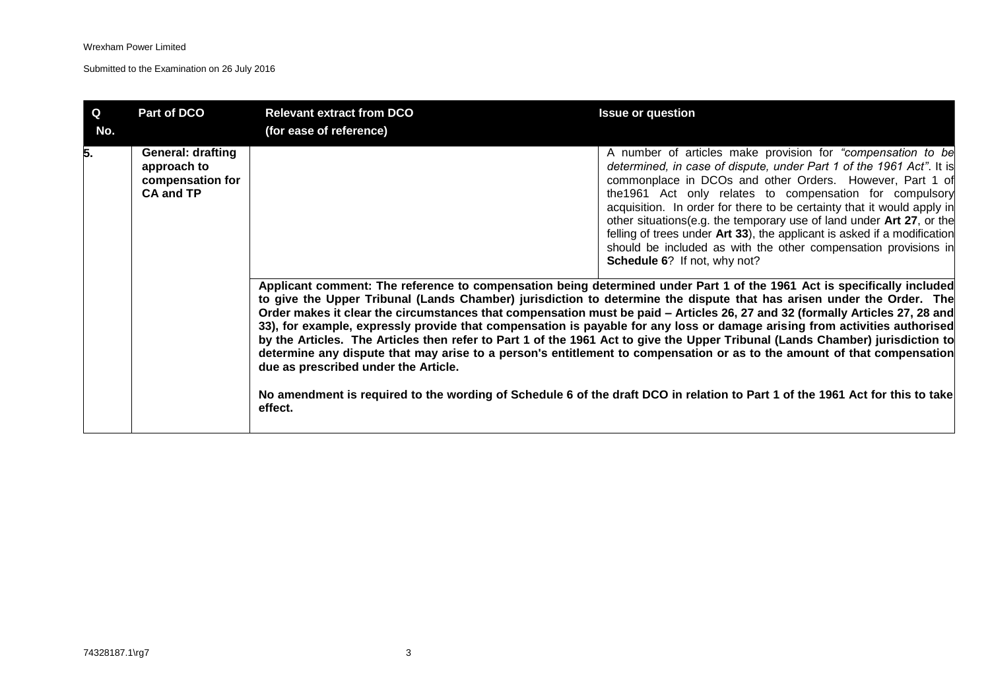| $\mathbf Q$<br>No. | Part of DCO                                                                     | <b>Relevant extract from DCO</b><br>(for ease of reference) | <b>Issue or question</b>                                                                                                                                                                                                                                                                                                                                                                                                                                                                                                                                                                                                                                                                                                                                                                                                                                                                                                                                                                                                                                                                                                                                                                                                                                                                                                                                                                                                                                                                                    |
|--------------------|---------------------------------------------------------------------------------|-------------------------------------------------------------|-------------------------------------------------------------------------------------------------------------------------------------------------------------------------------------------------------------------------------------------------------------------------------------------------------------------------------------------------------------------------------------------------------------------------------------------------------------------------------------------------------------------------------------------------------------------------------------------------------------------------------------------------------------------------------------------------------------------------------------------------------------------------------------------------------------------------------------------------------------------------------------------------------------------------------------------------------------------------------------------------------------------------------------------------------------------------------------------------------------------------------------------------------------------------------------------------------------------------------------------------------------------------------------------------------------------------------------------------------------------------------------------------------------------------------------------------------------------------------------------------------------|
| 5.                 | <b>General: drafting</b><br>approach to<br>compensation for<br><b>CA and TP</b> | due as prescribed under the Article.<br>effect.             | A number of articles make provision for "compensation to be<br>determined, in case of dispute, under Part 1 of the 1961 Act". It is<br>commonplace in DCOs and other Orders. However, Part 1 of<br>the 1961 Act only relates to compensation for compulsory<br>acquisition. In order for there to be certainty that it would apply in<br>other situations(e.g. the temporary use of land under Art 27, or the<br>felling of trees under Art 33), the applicant is asked if a modification<br>should be included as with the other compensation provisions in<br>Schedule 6? If not, why not?<br>Applicant comment: The reference to compensation being determined under Part 1 of the 1961 Act is specifically included<br>to give the Upper Tribunal (Lands Chamber) jurisdiction to determine the dispute that has arisen under the Order. The<br>Order makes it clear the circumstances that compensation must be paid – Articles 26, 27 and 32 (formally Articles 27, 28 and<br>33), for example, expressly provide that compensation is payable for any loss or damage arising from activities authorised<br>by the Articles. The Articles then refer to Part 1 of the 1961 Act to give the Upper Tribunal (Lands Chamber) jurisdiction to<br>determine any dispute that may arise to a person's entitlement to compensation or as to the amount of that compensation<br>No amendment is required to the wording of Schedule 6 of the draft DCO in relation to Part 1 of the 1961 Act for this to take |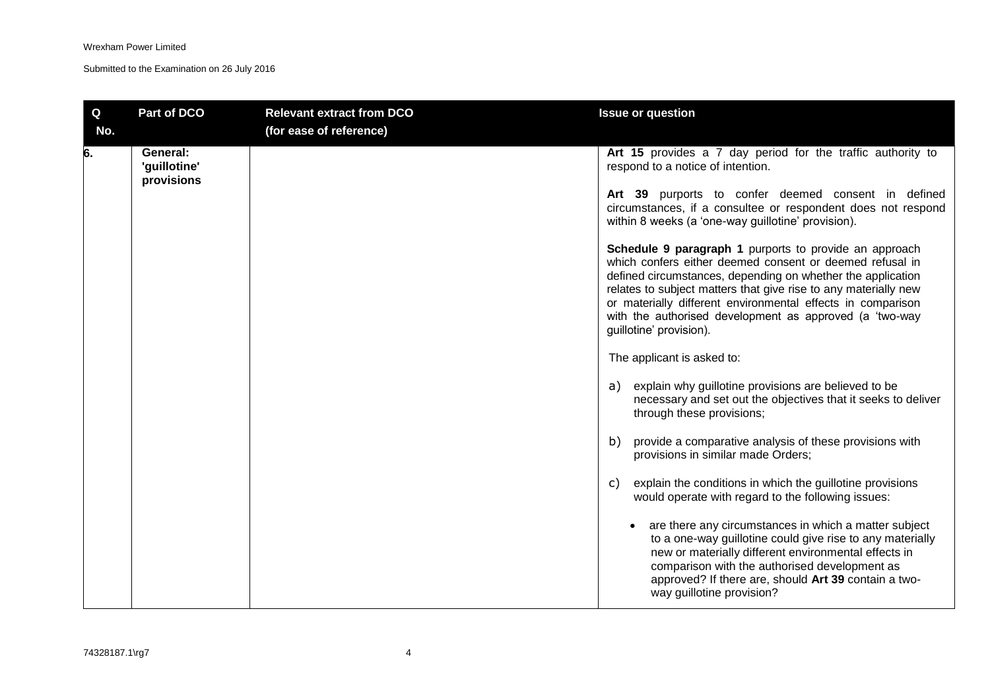| $\mathbf Q$<br>No. | Part of DCO                            | <b>Relevant extract from DCO</b><br>(for ease of reference) | <b>Issue or question</b>                                                                                                                                                                                                                                                                                                                                                                                  |
|--------------------|----------------------------------------|-------------------------------------------------------------|-----------------------------------------------------------------------------------------------------------------------------------------------------------------------------------------------------------------------------------------------------------------------------------------------------------------------------------------------------------------------------------------------------------|
| 6.                 | General:<br>'guillotine'<br>provisions |                                                             | Art 15 provides a 7 day period for the traffic authority to<br>respond to a notice of intention.                                                                                                                                                                                                                                                                                                          |
|                    |                                        |                                                             | Art 39 purports to confer deemed consent in defined<br>circumstances, if a consultee or respondent does not respond<br>within 8 weeks (a 'one-way guillotine' provision).                                                                                                                                                                                                                                 |
|                    |                                        |                                                             | Schedule 9 paragraph 1 purports to provide an approach<br>which confers either deemed consent or deemed refusal in<br>defined circumstances, depending on whether the application<br>relates to subject matters that give rise to any materially new<br>or materially different environmental effects in comparison<br>with the authorised development as approved (a 'two-way<br>guillotine' provision). |
|                    |                                        |                                                             | The applicant is asked to:                                                                                                                                                                                                                                                                                                                                                                                |
|                    |                                        |                                                             | explain why guillotine provisions are believed to be<br>a)<br>necessary and set out the objectives that it seeks to deliver<br>through these provisions;                                                                                                                                                                                                                                                  |
|                    |                                        |                                                             | provide a comparative analysis of these provisions with<br>b)<br>provisions in similar made Orders;                                                                                                                                                                                                                                                                                                       |
|                    |                                        |                                                             | explain the conditions in which the guillotine provisions<br>C)<br>would operate with regard to the following issues:                                                                                                                                                                                                                                                                                     |
|                    |                                        |                                                             | are there any circumstances in which a matter subject<br>to a one-way guillotine could give rise to any materially<br>new or materially different environmental effects in<br>comparison with the authorised development as<br>approved? If there are, should Art 39 contain a two-<br>way guillotine provision?                                                                                          |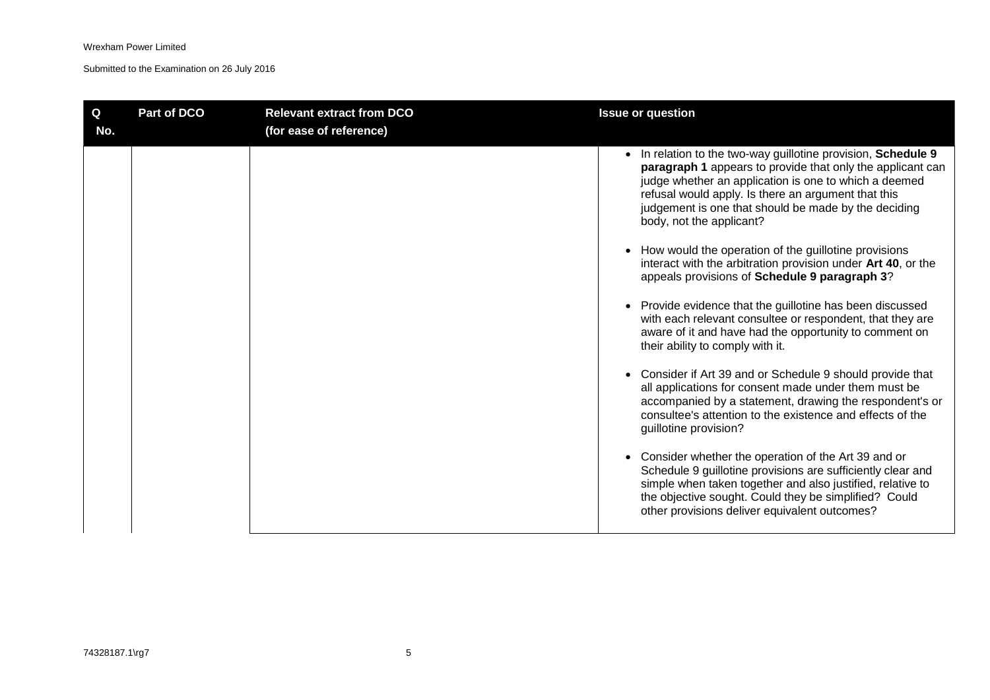| Q<br>No. | Part of DCO | <b>Relevant extract from DCO</b><br>(for ease of reference) | <b>Issue or question</b>                                                                                                                                                                                                                                                                                                                                                                                                                                                                                                                                                                                                                                                                                                                                                                                                                                                                                                                                                                                                                                                                                                                                                                                                                                                                              |
|----------|-------------|-------------------------------------------------------------|-------------------------------------------------------------------------------------------------------------------------------------------------------------------------------------------------------------------------------------------------------------------------------------------------------------------------------------------------------------------------------------------------------------------------------------------------------------------------------------------------------------------------------------------------------------------------------------------------------------------------------------------------------------------------------------------------------------------------------------------------------------------------------------------------------------------------------------------------------------------------------------------------------------------------------------------------------------------------------------------------------------------------------------------------------------------------------------------------------------------------------------------------------------------------------------------------------------------------------------------------------------------------------------------------------|
|          |             |                                                             | • In relation to the two-way guillotine provision, Schedule 9<br>paragraph 1 appears to provide that only the applicant can<br>judge whether an application is one to which a deemed<br>refusal would apply. Is there an argument that this<br>judgement is one that should be made by the deciding<br>body, not the applicant?<br>How would the operation of the guillotine provisions<br>interact with the arbitration provision under Art 40, or the<br>appeals provisions of Schedule 9 paragraph 3?<br>• Provide evidence that the guillotine has been discussed<br>with each relevant consultee or respondent, that they are<br>aware of it and have had the opportunity to comment on<br>their ability to comply with it.<br>• Consider if Art 39 and or Schedule 9 should provide that<br>all applications for consent made under them must be<br>accompanied by a statement, drawing the respondent's or<br>consultee's attention to the existence and effects of the<br>guillotine provision?<br>Consider whether the operation of the Art 39 and or<br>Schedule 9 guillotine provisions are sufficiently clear and<br>simple when taken together and also justified, relative to<br>the objective sought. Could they be simplified? Could<br>other provisions deliver equivalent outcomes? |
|          |             |                                                             |                                                                                                                                                                                                                                                                                                                                                                                                                                                                                                                                                                                                                                                                                                                                                                                                                                                                                                                                                                                                                                                                                                                                                                                                                                                                                                       |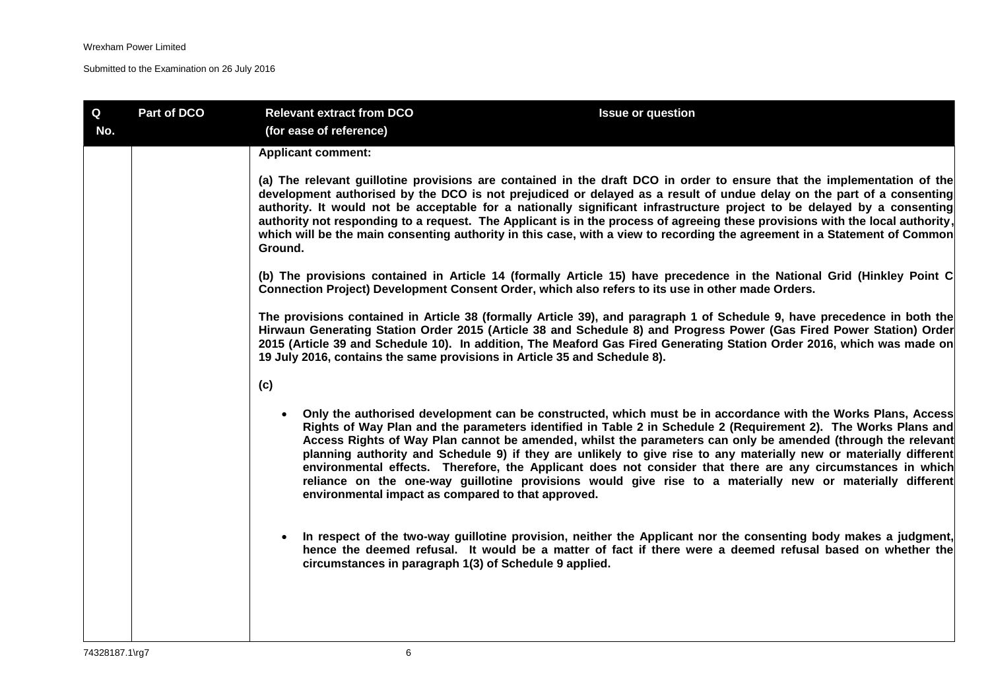| Q<br>No. | Part of DCO | <b>Relevant extract from DCO</b><br>(for ease of reference)                                       | <b>Issue or question</b>                                                                                                                                                                                                                                                                                                                                                                                                                                                                                                                                                                                                                                                                         |
|----------|-------------|---------------------------------------------------------------------------------------------------|--------------------------------------------------------------------------------------------------------------------------------------------------------------------------------------------------------------------------------------------------------------------------------------------------------------------------------------------------------------------------------------------------------------------------------------------------------------------------------------------------------------------------------------------------------------------------------------------------------------------------------------------------------------------------------------------------|
|          |             | <b>Applicant comment:</b>                                                                         |                                                                                                                                                                                                                                                                                                                                                                                                                                                                                                                                                                                                                                                                                                  |
|          |             | Ground.                                                                                           | (a) The relevant guillotine provisions are contained in the draft DCO in order to ensure that the implementation of the<br>development authorised by the DCO is not prejudiced or delayed as a result of undue delay on the part of a consenting<br>authority. It would not be acceptable for a nationally significant infrastructure project to be delayed by a consenting<br>authority not responding to a request. The Applicant is in the process of agreeing these provisions with the local authority,<br>which will be the main consenting authority in this case, with a view to recording the agreement in a Statement of Common                                                        |
|          |             | Connection Project) Development Consent Order, which also refers to its use in other made Orders. | (b) The provisions contained in Article 14 (formally Article 15) have precedence in the National Grid (Hinkley Point C                                                                                                                                                                                                                                                                                                                                                                                                                                                                                                                                                                           |
|          |             | 19 July 2016, contains the same provisions in Article 35 and Schedule 8).                         | The provisions contained in Article 38 (formally Article 39), and paragraph 1 of Schedule 9, have precedence in both the<br>Hirwaun Generating Station Order 2015 (Article 38 and Schedule 8) and Progress Power (Gas Fired Power Station) Order<br>2015 (Article 39 and Schedule 10). In addition, The Meaford Gas Fired Generating Station Order 2016, which was made on                                                                                                                                                                                                                                                                                                                       |
|          |             | (c)                                                                                               |                                                                                                                                                                                                                                                                                                                                                                                                                                                                                                                                                                                                                                                                                                  |
|          |             | $\bullet$<br>environmental impact as compared to that approved.                                   | Only the authorised development can be constructed, which must be in accordance with the Works Plans, Access<br>Rights of Way Plan and the parameters identified in Table 2 in Schedule 2 (Requirement 2). The Works Plans and<br>Access Rights of Way Plan cannot be amended, whilst the parameters can only be amended (through the relevant<br>planning authority and Schedule 9) if they are unlikely to give rise to any materially new or materially different<br>environmental effects. Therefore, the Applicant does not consider that there are any circumstances in which<br>reliance on the one-way guillotine provisions would give rise to a materially new or materially different |
|          |             | circumstances in paragraph 1(3) of Schedule 9 applied.                                            | In respect of the two-way guillotine provision, neither the Applicant nor the consenting body makes a judgment,<br>hence the deemed refusal. It would be a matter of fact if there were a deemed refusal based on whether the                                                                                                                                                                                                                                                                                                                                                                                                                                                                    |
|          |             |                                                                                                   |                                                                                                                                                                                                                                                                                                                                                                                                                                                                                                                                                                                                                                                                                                  |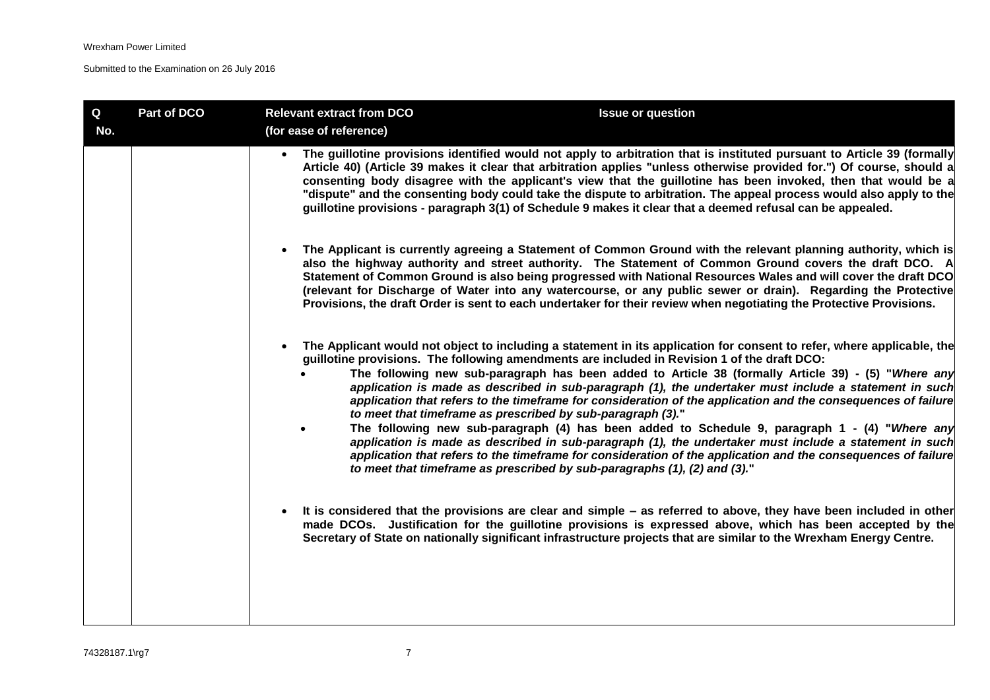| Q<br>No. | Part of DCO | <b>Relevant extract from DCO</b><br>(for ease of reference)                                                                                                                                                                                           | <b>Issue or question</b>                                                                                                                                                                                                                                                                                                                                                                                                                                                                                                                                                                                                                                                                                                                                                              |
|----------|-------------|-------------------------------------------------------------------------------------------------------------------------------------------------------------------------------------------------------------------------------------------------------|---------------------------------------------------------------------------------------------------------------------------------------------------------------------------------------------------------------------------------------------------------------------------------------------------------------------------------------------------------------------------------------------------------------------------------------------------------------------------------------------------------------------------------------------------------------------------------------------------------------------------------------------------------------------------------------------------------------------------------------------------------------------------------------|
|          |             |                                                                                                                                                                                                                                                       | The guillotine provisions identified would not apply to arbitration that is instituted pursuant to Article 39 (formally<br>Article 40) (Article 39 makes it clear that arbitration applies "unless otherwise provided for.") Of course, should a<br>consenting body disagree with the applicant's view that the guillotine has been invoked, then that would be a<br>"dispute" and the consenting body could take the dispute to arbitration. The appeal process would also apply to the<br>guillotine provisions - paragraph 3(1) of Schedule 9 makes it clear that a deemed refusal can be appealed.                                                                                                                                                                                |
|          |             |                                                                                                                                                                                                                                                       | The Applicant is currently agreeing a Statement of Common Ground with the relevant planning authority, which is<br>also the highway authority and street authority. The Statement of Common Ground covers the draft DCO. A<br>Statement of Common Ground is also being progressed with National Resources Wales and will cover the draft DCO<br>(relevant for Discharge of Water into any watercourse, or any public sewer or drain). Regarding the Protective<br>Provisions, the draft Order is sent to each undertaker for their review when negotiating the Protective Provisions.                                                                                                                                                                                                 |
|          |             | guillotine provisions. The following amendments are included in Revision 1 of the draft DCO:<br>to meet that timeframe as prescribed by sub-paragraph (3)."<br>$\bullet$<br>to meet that timeframe as prescribed by sub-paragraphs (1), (2) and (3)." | The Applicant would not object to including a statement in its application for consent to refer, where applicable, the<br>The following new sub-paragraph has been added to Article 38 (formally Article 39) - (5) "Where any<br>application is made as described in sub-paragraph (1), the undertaker must include a statement in such<br>application that refers to the timeframe for consideration of the application and the consequences of failure<br>The following new sub-paragraph (4) has been added to Schedule 9, paragraph 1 - (4) "Where any<br>application is made as described in sub-paragraph (1), the undertaker must include a statement in such<br>application that refers to the timeframe for consideration of the application and the consequences of failure |
|          |             |                                                                                                                                                                                                                                                       | It is considered that the provisions are clear and simple – as referred to above, they have been included in other<br>made DCOs. Justification for the guillotine provisions is expressed above, which has been accepted by the<br>Secretary of State on nationally significant infrastructure projects that are similar to the Wrexham Energy Centre.                                                                                                                                                                                                                                                                                                                                                                                                                                |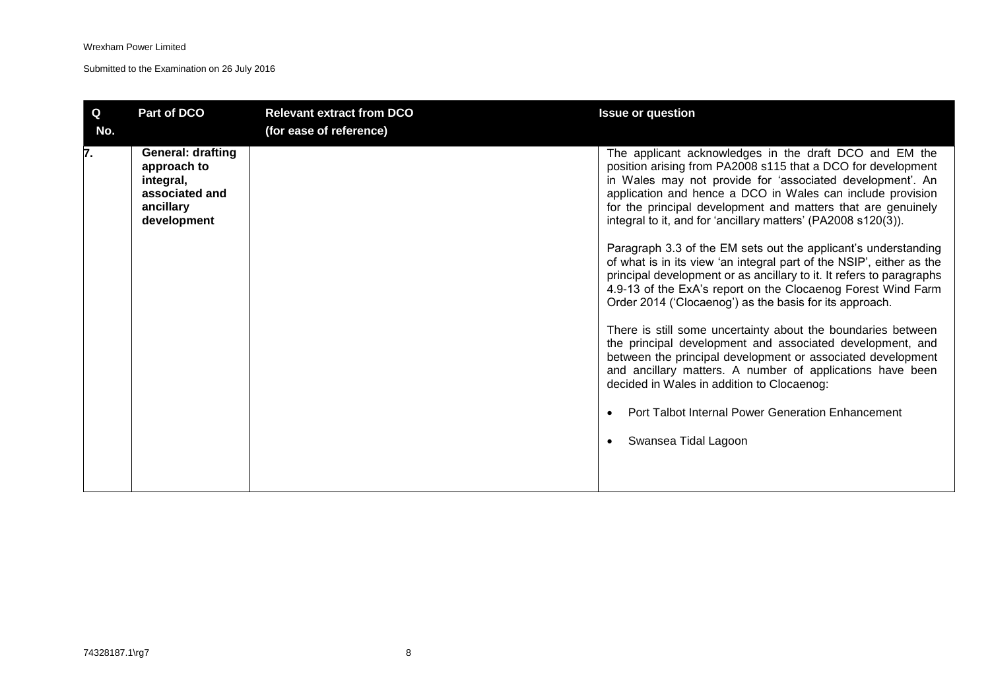| $\mathbf Q$<br>No. | Part of DCO                                                                                        | <b>Relevant extract from DCO</b><br>(for ease of reference) | <b>Issue or question</b>                                                                                                                                                                                                                                                                                                                                                           |
|--------------------|----------------------------------------------------------------------------------------------------|-------------------------------------------------------------|------------------------------------------------------------------------------------------------------------------------------------------------------------------------------------------------------------------------------------------------------------------------------------------------------------------------------------------------------------------------------------|
| 7.                 | <b>General: drafting</b><br>approach to<br>integral,<br>associated and<br>ancillary<br>development |                                                             | The applicant acknowledges in the draft DCO and EM the<br>position arising from PA2008 s115 that a DCO for development<br>in Wales may not provide for 'associated development'. An<br>application and hence a DCO in Wales can include provision<br>for the principal development and matters that are genuinely<br>integral to it, and for 'ancillary matters' (PA2008 s120(3)). |
|                    |                                                                                                    |                                                             | Paragraph 3.3 of the EM sets out the applicant's understanding<br>of what is in its view 'an integral part of the NSIP', either as the<br>principal development or as ancillary to it. It refers to paragraphs<br>4.9-13 of the ExA's report on the Clocaenog Forest Wind Farm<br>Order 2014 ('Clocaenog') as the basis for its approach.                                          |
|                    |                                                                                                    |                                                             | There is still some uncertainty about the boundaries between<br>the principal development and associated development, and<br>between the principal development or associated development<br>and ancillary matters. A number of applications have been<br>decided in Wales in addition to Clocaenog:                                                                                |
|                    |                                                                                                    |                                                             | Port Talbot Internal Power Generation Enhancement                                                                                                                                                                                                                                                                                                                                  |
|                    |                                                                                                    |                                                             | Swansea Tidal Lagoon                                                                                                                                                                                                                                                                                                                                                               |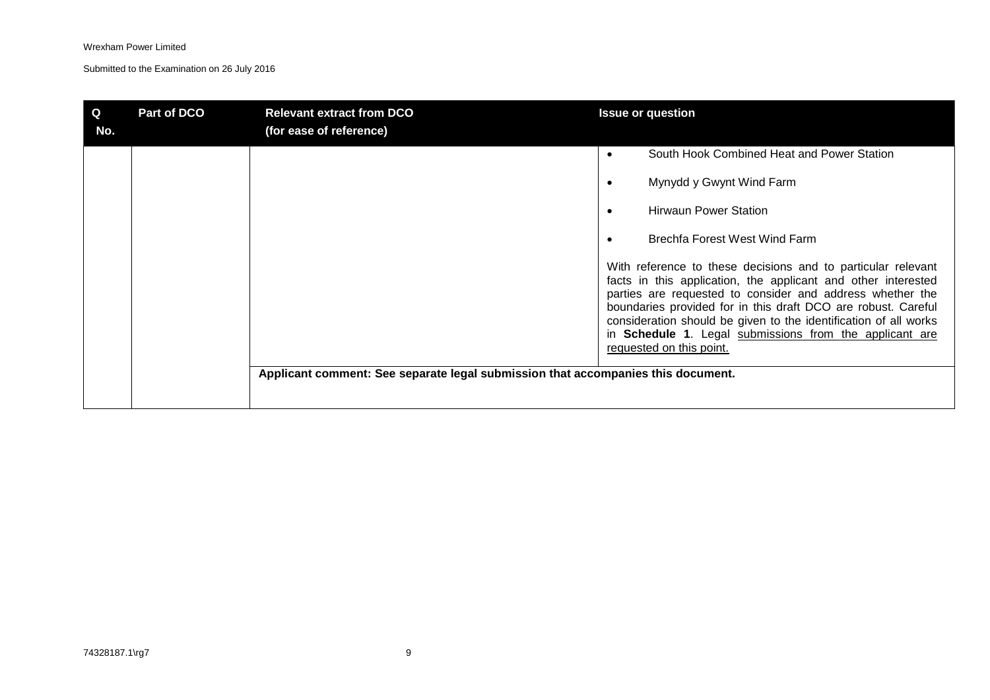| Q<br>No. | Part of DCO | <b>Relevant extract from DCO</b><br>(for ease of reference)                      | <b>Issue or question</b>                                                                                                                                                                                                                                                                                                                                                                                                                                                                                                                                |
|----------|-------------|----------------------------------------------------------------------------------|---------------------------------------------------------------------------------------------------------------------------------------------------------------------------------------------------------------------------------------------------------------------------------------------------------------------------------------------------------------------------------------------------------------------------------------------------------------------------------------------------------------------------------------------------------|
|          |             |                                                                                  | South Hook Combined Heat and Power Station<br>Mynydd y Gwynt Wind Farm<br><b>Hirwaun Power Station</b><br>$\bullet$<br>Brechfa Forest West Wind Farm<br>٠<br>With reference to these decisions and to particular relevant<br>facts in this application, the applicant and other interested<br>parties are requested to consider and address whether the<br>boundaries provided for in this draft DCO are robust. Careful<br>consideration should be given to the identification of all works<br>in Schedule 1. Legal submissions from the applicant are |
|          |             | Applicant comment: See separate legal submission that accompanies this document. | requested on this point.                                                                                                                                                                                                                                                                                                                                                                                                                                                                                                                                |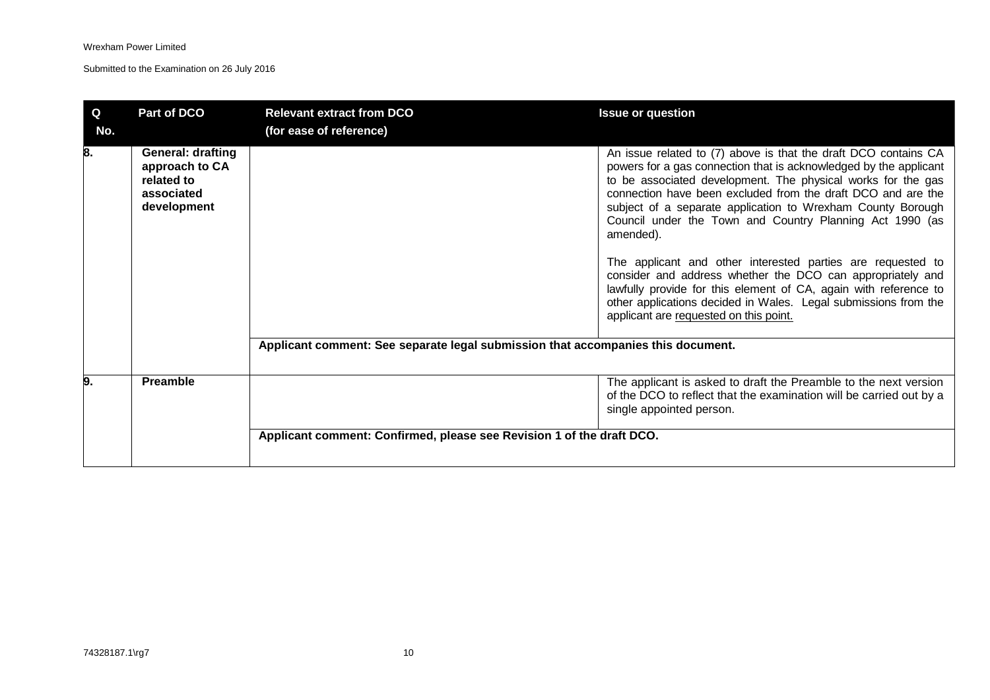| $\mathbf Q$<br>No. | Part of DCO                                                                           | <b>Relevant extract from DCO</b><br>(for ease of reference)                      | <b>Issue or question</b>                                                                                                                                                                                                                                                                                                                                                                                                                                                                                                                                                                                                                                                                                                   |
|--------------------|---------------------------------------------------------------------------------------|----------------------------------------------------------------------------------|----------------------------------------------------------------------------------------------------------------------------------------------------------------------------------------------------------------------------------------------------------------------------------------------------------------------------------------------------------------------------------------------------------------------------------------------------------------------------------------------------------------------------------------------------------------------------------------------------------------------------------------------------------------------------------------------------------------------------|
| 8.                 | <b>General: drafting</b><br>approach to CA<br>related to<br>associated<br>development |                                                                                  | An issue related to (7) above is that the draft DCO contains CA<br>powers for a gas connection that is acknowledged by the applicant<br>to be associated development. The physical works for the gas<br>connection have been excluded from the draft DCO and are the<br>subject of a separate application to Wrexham County Borough<br>Council under the Town and Country Planning Act 1990 (as<br>amended).<br>The applicant and other interested parties are requested to<br>consider and address whether the DCO can appropriately and<br>lawfully provide for this element of CA, again with reference to<br>other applications decided in Wales. Legal submissions from the<br>applicant are requested on this point. |
|                    |                                                                                       | Applicant comment: See separate legal submission that accompanies this document. |                                                                                                                                                                                                                                                                                                                                                                                                                                                                                                                                                                                                                                                                                                                            |
| 9.                 | Preamble                                                                              |                                                                                  | The applicant is asked to draft the Preamble to the next version<br>of the DCO to reflect that the examination will be carried out by a<br>single appointed person.                                                                                                                                                                                                                                                                                                                                                                                                                                                                                                                                                        |
|                    |                                                                                       | Applicant comment: Confirmed, please see Revision 1 of the draft DCO.            |                                                                                                                                                                                                                                                                                                                                                                                                                                                                                                                                                                                                                                                                                                                            |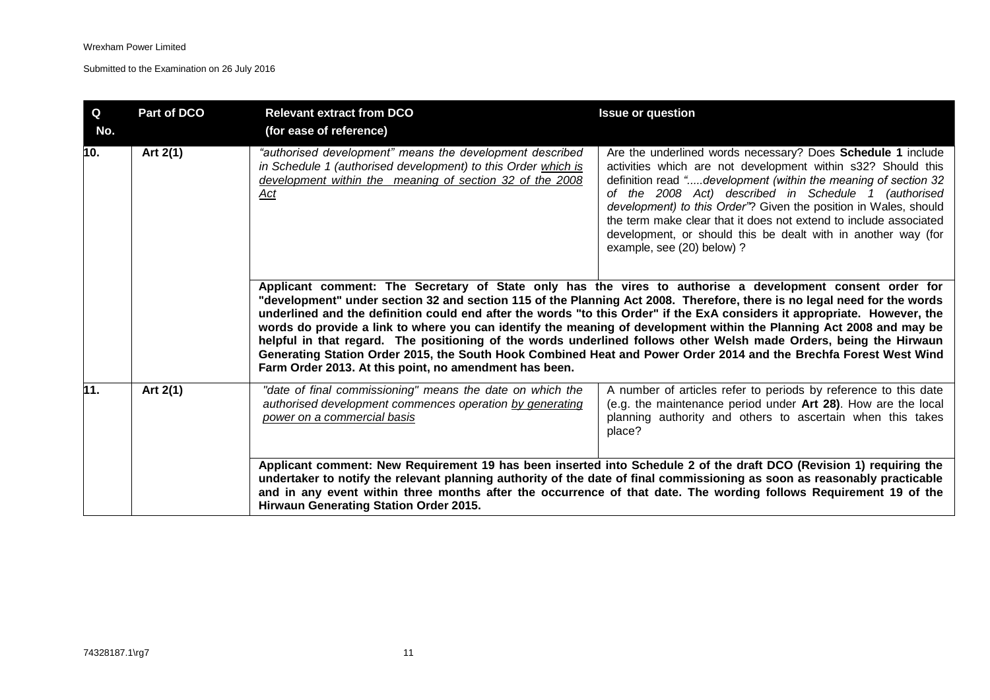| Q   | <b>Part of DCO</b> | <b>Relevant extract from DCO</b>                                                                                                                                                             | <b>Issue or question</b>                                                                                                                                                                                                                                                                                                                                                                                                                                                                                                                                                                                                                                                                                                              |
|-----|--------------------|----------------------------------------------------------------------------------------------------------------------------------------------------------------------------------------------|---------------------------------------------------------------------------------------------------------------------------------------------------------------------------------------------------------------------------------------------------------------------------------------------------------------------------------------------------------------------------------------------------------------------------------------------------------------------------------------------------------------------------------------------------------------------------------------------------------------------------------------------------------------------------------------------------------------------------------------|
| No. |                    | (for ease of reference)                                                                                                                                                                      |                                                                                                                                                                                                                                                                                                                                                                                                                                                                                                                                                                                                                                                                                                                                       |
| 10. | Art 2(1)           | "authorised development" means the development described<br>in Schedule 1 (authorised development) to this Order which is<br>development within the meaning of section 32 of the 2008<br>Act | Are the underlined words necessary? Does Schedule 1 include<br>activities which are not development within s32? Should this<br>definition read "development (within the meaning of section 32<br>of the 2008 Act) described in Schedule 1 (authorised<br>development) to this Order"? Given the position in Wales, should<br>the term make clear that it does not extend to include associated<br>development, or should this be dealt with in another way (for<br>example, see (20) below) ?                                                                                                                                                                                                                                         |
|     |                    | Farm Order 2013. At this point, no amendment has been.                                                                                                                                       | Applicant comment: The Secretary of State only has the vires to authorise a development consent order for<br>"development" under section 32 and section 115 of the Planning Act 2008. Therefore, there is no legal need for the words<br>underlined and the definition could end after the words "to this Order" if the ExA considers it appropriate. However, the<br>words do provide a link to where you can identify the meaning of development within the Planning Act 2008 and may be<br>helpful in that regard. The positioning of the words underlined follows other Welsh made Orders, being the Hirwaun<br>Generating Station Order 2015, the South Hook Combined Heat and Power Order 2014 and the Brechfa Forest West Wind |
| 11. | Art 2(1)           | "date of final commissioning" means the date on which the<br>authorised development commences operation by generating<br>power on a commercial basis                                         | A number of articles refer to periods by reference to this date<br>(e.g. the maintenance period under Art 28). How are the local<br>planning authority and others to ascertain when this takes<br>place?                                                                                                                                                                                                                                                                                                                                                                                                                                                                                                                              |
|     |                    | Hirwaun Generating Station Order 2015.                                                                                                                                                       | Applicant comment: New Requirement 19 has been inserted into Schedule 2 of the draft DCO (Revision 1) requiring the<br>undertaker to notify the relevant planning authority of the date of final commissioning as soon as reasonably practicable<br>and in any event within three months after the occurrence of that date. The wording follows Requirement 19 of the                                                                                                                                                                                                                                                                                                                                                                 |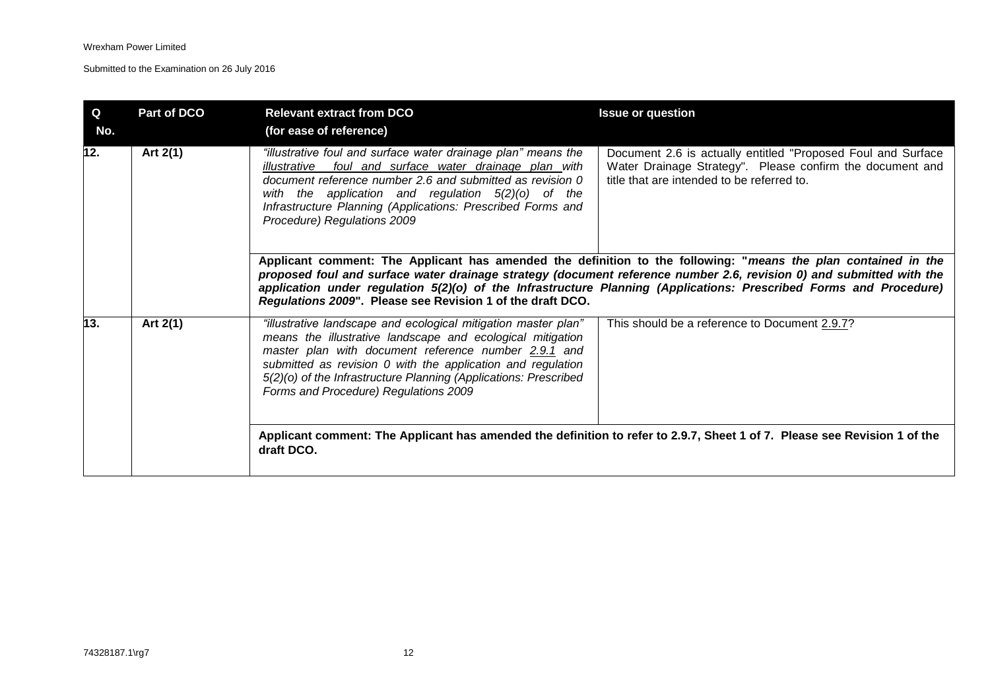| $\mathbf Q$<br>No. | Part of DCO | <b>Relevant extract from DCO</b><br>(for ease of reference)                                                                                                                                                                                                                                                                                                      | <b>Issue or question</b>                                                                                                                                                                                                                                                                                                                                     |
|--------------------|-------------|------------------------------------------------------------------------------------------------------------------------------------------------------------------------------------------------------------------------------------------------------------------------------------------------------------------------------------------------------------------|--------------------------------------------------------------------------------------------------------------------------------------------------------------------------------------------------------------------------------------------------------------------------------------------------------------------------------------------------------------|
| 12.                | Art 2(1)    | "illustrative foul and surface water drainage plan" means the<br>illustrative foul and surface water drainage plan with<br>document reference number 2.6 and submitted as revision 0<br>with the application and regulation $5(2)(0)$ of the<br>Infrastructure Planning (Applications: Prescribed Forms and<br>Procedure) Regulations 2009                       | Document 2.6 is actually entitled "Proposed Foul and Surface<br>Water Drainage Strategy". Please confirm the document and<br>title that are intended to be referred to.                                                                                                                                                                                      |
|                    |             | Regulations 2009". Please see Revision 1 of the draft DCO.                                                                                                                                                                                                                                                                                                       | Applicant comment: The Applicant has amended the definition to the following: "means the plan contained in the<br>proposed foul and surface water drainage strategy (document reference number 2.6, revision 0) and submitted with the<br>application under regulation 5(2)(o) of the Infrastructure Planning (Applications: Prescribed Forms and Procedure) |
| 13.                | Art 2(1)    | "illustrative landscape and ecological mitigation master plan"<br>means the illustrative landscape and ecological mitigation<br>master plan with document reference number 2.9.1 and<br>submitted as revision 0 with the application and regulation<br>5(2)(o) of the Infrastructure Planning (Applications: Prescribed<br>Forms and Procedure) Regulations 2009 | This should be a reference to Document 2.9.7?                                                                                                                                                                                                                                                                                                                |
|                    |             | draft DCO.                                                                                                                                                                                                                                                                                                                                                       | Applicant comment: The Applicant has amended the definition to refer to 2.9.7, Sheet 1 of 7. Please see Revision 1 of the                                                                                                                                                                                                                                    |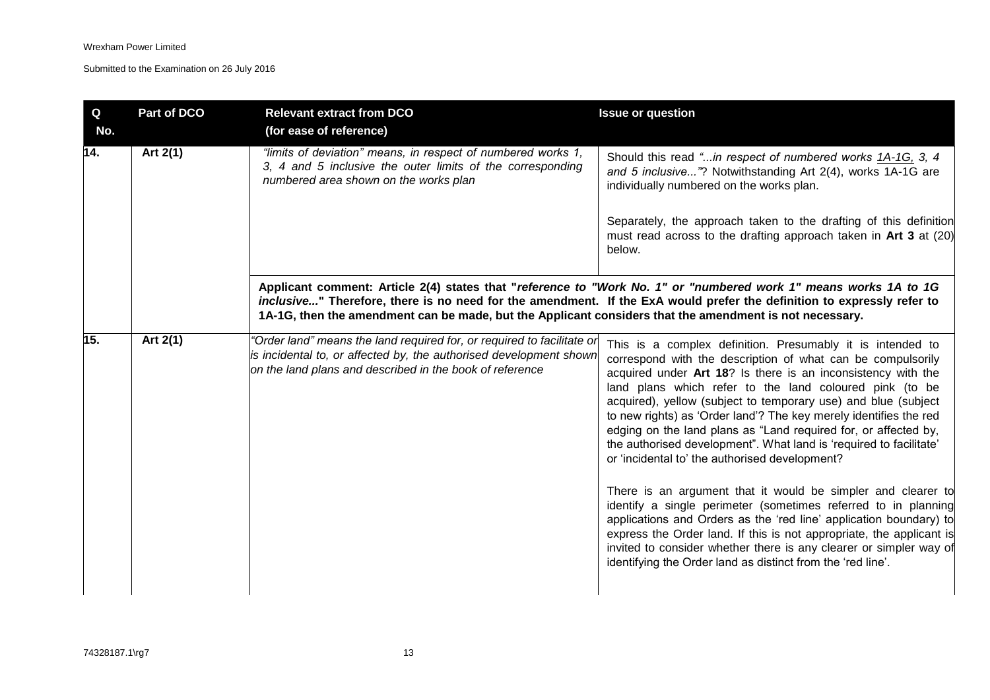| Q<br>No. | Part of DCO | <b>Relevant extract from DCO</b><br>(for ease of reference)                                                                                                                                              | <b>Issue or question</b>                                                                                                                                                                                                                                                                                                                                                                                                                                                                                                                                                                                                                                                                                                                                                                                                                                                                                                                                                                                    |
|----------|-------------|----------------------------------------------------------------------------------------------------------------------------------------------------------------------------------------------------------|-------------------------------------------------------------------------------------------------------------------------------------------------------------------------------------------------------------------------------------------------------------------------------------------------------------------------------------------------------------------------------------------------------------------------------------------------------------------------------------------------------------------------------------------------------------------------------------------------------------------------------------------------------------------------------------------------------------------------------------------------------------------------------------------------------------------------------------------------------------------------------------------------------------------------------------------------------------------------------------------------------------|
| 14.      | Art 2(1)    | "limits of deviation" means, in respect of numbered works 1,<br>3, 4 and 5 inclusive the outer limits of the corresponding<br>numbered area shown on the works plan                                      | Should this read "in respect of numbered works 1A-1G, 3, 4<br>and 5 inclusive"? Notwithstanding Art 2(4), works 1A-1G are<br>individually numbered on the works plan.                                                                                                                                                                                                                                                                                                                                                                                                                                                                                                                                                                                                                                                                                                                                                                                                                                       |
|          |             |                                                                                                                                                                                                          | Separately, the approach taken to the drafting of this definition<br>must read across to the drafting approach taken in Art 3 at (20)<br>below.                                                                                                                                                                                                                                                                                                                                                                                                                                                                                                                                                                                                                                                                                                                                                                                                                                                             |
|          |             | 1A-1G, then the amendment can be made, but the Applicant considers that the amendment is not necessary.                                                                                                  | Applicant comment: Article 2(4) states that "reference to "Work No. 1" or "numbered work 1" means works 1A to 1G<br>inclusive" Therefore, there is no need for the amendment. If the ExA would prefer the definition to expressly refer to                                                                                                                                                                                                                                                                                                                                                                                                                                                                                                                                                                                                                                                                                                                                                                  |
| 15.      | Art 2(1)    | "Order land" means the land required for, or required to facilitate or<br>is incidental to, or affected by, the authorised development shown<br>on the land plans and described in the book of reference | This is a complex definition. Presumably it is intended to<br>correspond with the description of what can be compulsorily<br>acquired under Art 18? Is there is an inconsistency with the<br>land plans which refer to the land coloured pink (to be<br>acquired), yellow (subject to temporary use) and blue (subject<br>to new rights) as 'Order land'? The key merely identifies the red<br>edging on the land plans as "Land required for, or affected by,<br>the authorised development". What land is 'required to facilitate'<br>or 'incidental to' the authorised development?<br>There is an argument that it would be simpler and clearer to<br>identify a single perimeter (sometimes referred to in planning<br>applications and Orders as the 'red line' application boundary) to<br>express the Order land. If this is not appropriate, the applicant is<br>invited to consider whether there is any clearer or simpler way of<br>identifying the Order land as distinct from the 'red line'. |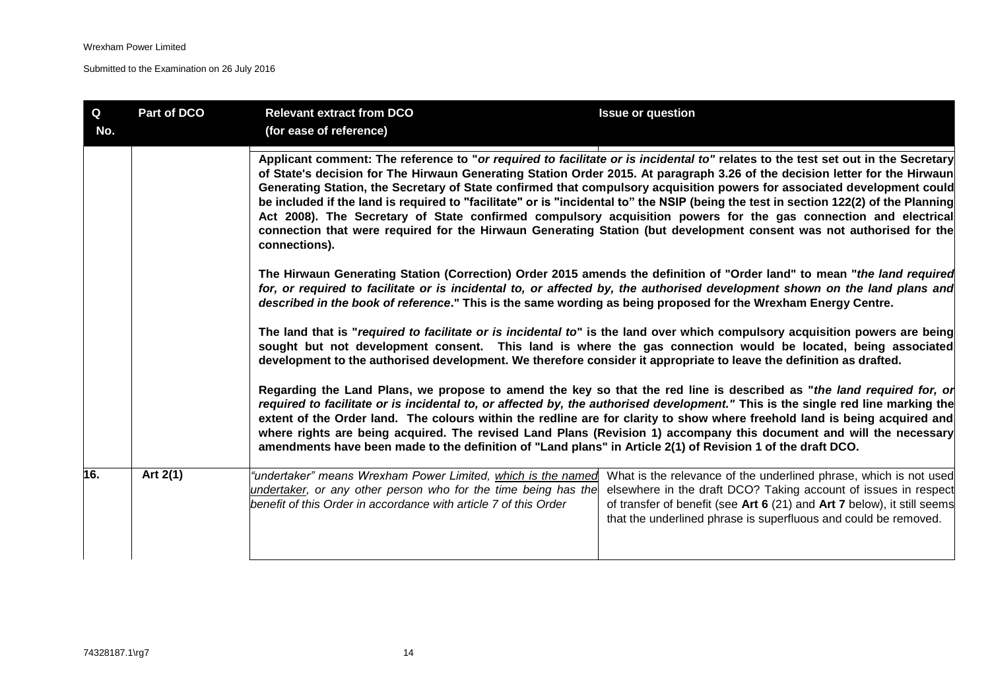| Q<br>No.                                                                                                                                                                                                                                                                                                                                                                                                                                                                                                                                                                                                                                                                                                                                                                                        | Part of DCO | <b>Relevant extract from DCO</b><br>(for ease of reference)                                                                                                                                        | <b>Issue or question</b>                                                                                                                                                                                                                                                                                                                                                                                                                                                                                       |
|-------------------------------------------------------------------------------------------------------------------------------------------------------------------------------------------------------------------------------------------------------------------------------------------------------------------------------------------------------------------------------------------------------------------------------------------------------------------------------------------------------------------------------------------------------------------------------------------------------------------------------------------------------------------------------------------------------------------------------------------------------------------------------------------------|-------------|----------------------------------------------------------------------------------------------------------------------------------------------------------------------------------------------------|----------------------------------------------------------------------------------------------------------------------------------------------------------------------------------------------------------------------------------------------------------------------------------------------------------------------------------------------------------------------------------------------------------------------------------------------------------------------------------------------------------------|
| Applicant comment: The reference to "or required to facilitate or is incidental to" relates to the test set out in the Secretary<br>of State's decision for The Hirwaun Generating Station Order 2015. At paragraph 3.26 of the decision letter for the Hirwaun<br>Generating Station, the Secretary of State confirmed that compulsory acquisition powers for associated development could<br>be included if the land is required to "facilitate" or is "incidental to" the NSIP (being the test in section 122(2) of the Planning<br>Act 2008). The Secretary of State confirmed compulsory acquisition powers for the gas connection and electrical<br>connection that were required for the Hirwaun Generating Station (but development consent was not authorised for the<br>connections). |             |                                                                                                                                                                                                    |                                                                                                                                                                                                                                                                                                                                                                                                                                                                                                                |
|                                                                                                                                                                                                                                                                                                                                                                                                                                                                                                                                                                                                                                                                                                                                                                                                 |             | described in the book of reference." This is the same wording as being proposed for the Wrexham Energy Centre.                                                                                     | The Hirwaun Generating Station (Correction) Order 2015 amends the definition of "Order land" to mean "the land required<br>for, or required to facilitate or is incidental to, or affected by, the authorised development shown on the land plans and                                                                                                                                                                                                                                                          |
|                                                                                                                                                                                                                                                                                                                                                                                                                                                                                                                                                                                                                                                                                                                                                                                                 |             | development to the authorised development. We therefore consider it appropriate to leave the definition as drafted.                                                                                | The land that is "required to facilitate or is incidental to" is the land over which compulsory acquisition powers are being<br>sought but not development consent. This land is where the gas connection would be located, being associated                                                                                                                                                                                                                                                                   |
|                                                                                                                                                                                                                                                                                                                                                                                                                                                                                                                                                                                                                                                                                                                                                                                                 |             | amendments have been made to the definition of "Land plans" in Article 2(1) of Revision 1 of the draft DCO.                                                                                        | Regarding the Land Plans, we propose to amend the key so that the red line is described as "the land required for, or<br>required to facilitate or is incidental to, or affected by, the authorised development." This is the single red line marking the<br>extent of the Order land. The colours within the redline are for clarity to show where freehold land is being acquired and<br>where rights are being acquired. The revised Land Plans (Revision 1) accompany this document and will the necessary |
| 16.                                                                                                                                                                                                                                                                                                                                                                                                                                                                                                                                                                                                                                                                                                                                                                                             | Art $2(1)$  | "undertaker" means Wrexham Power Limited, which is the named<br>undertaker, or any other person who for the time being has the<br>benefit of this Order in accordance with article 7 of this Order | What is the relevance of the underlined phrase, which is not used<br>elsewhere in the draft DCO? Taking account of issues in respect<br>of transfer of benefit (see Art 6 (21) and Art 7 below), it still seems<br>that the underlined phrase is superfluous and could be removed.                                                                                                                                                                                                                             |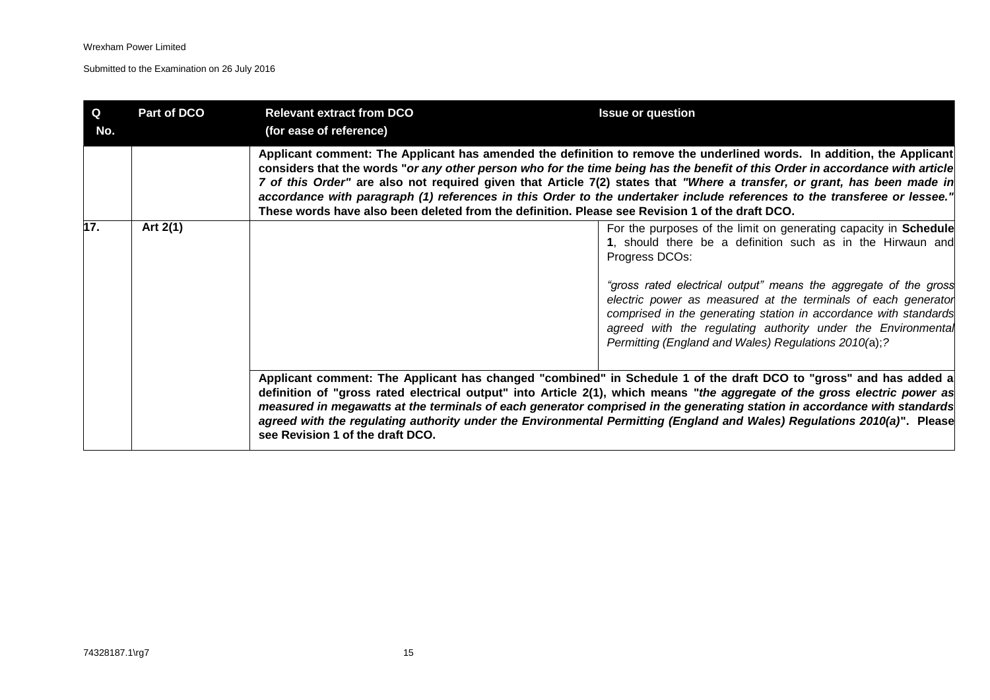| Q<br>No. | Part of DCO | <b>Relevant extract from DCO</b><br>(for ease of reference)                                                                                                                                                                                                                                                                                                                                                                                                                                                                                                                                                         | <b>Issue or question</b>                                                                                                                                                                                                                                                                                                                                                                                                                                                                                 |
|----------|-------------|---------------------------------------------------------------------------------------------------------------------------------------------------------------------------------------------------------------------------------------------------------------------------------------------------------------------------------------------------------------------------------------------------------------------------------------------------------------------------------------------------------------------------------------------------------------------------------------------------------------------|----------------------------------------------------------------------------------------------------------------------------------------------------------------------------------------------------------------------------------------------------------------------------------------------------------------------------------------------------------------------------------------------------------------------------------------------------------------------------------------------------------|
|          |             | Applicant comment: The Applicant has amended the definition to remove the underlined words. In addition, the Applicant<br>considers that the words "or any other person who for the time being has the benefit of this Order in accordance with article<br>7 of this Order" are also not required given that Article 7(2) states that "Where a transfer, or grant, has been made in<br>accordance with paragraph (1) references in this Order to the undertaker include references to the transferee or lessee."<br>These words have also been deleted from the definition. Please see Revision 1 of the draft DCO. |                                                                                                                                                                                                                                                                                                                                                                                                                                                                                                          |
| 17.      | Art $2(1)$  |                                                                                                                                                                                                                                                                                                                                                                                                                                                                                                                                                                                                                     | For the purposes of the limit on generating capacity in Schedule<br>1, should there be a definition such as in the Hirwaun and<br>Progress DCOs:                                                                                                                                                                                                                                                                                                                                                         |
|          |             |                                                                                                                                                                                                                                                                                                                                                                                                                                                                                                                                                                                                                     | "gross rated electrical output" means the aggregate of the gross<br>electric power as measured at the terminals of each generator<br>comprised in the generating station in accordance with standards<br>agreed with the regulating authority under the Environmental<br>Permitting (England and Wales) Regulations 2010(a);?                                                                                                                                                                            |
|          |             | see Revision 1 of the draft DCO.                                                                                                                                                                                                                                                                                                                                                                                                                                                                                                                                                                                    | Applicant comment: The Applicant has changed "combined" in Schedule 1 of the draft DCO to "gross" and has added a<br>definition of "gross rated electrical output" into Article 2(1), which means "the aggregate of the gross electric power as<br>measured in megawatts at the terminals of each generator comprised in the generating station in accordance with standards<br>agreed with the regulating authority under the Environmental Permitting (England and Wales) Regulations 2010(a)". Please |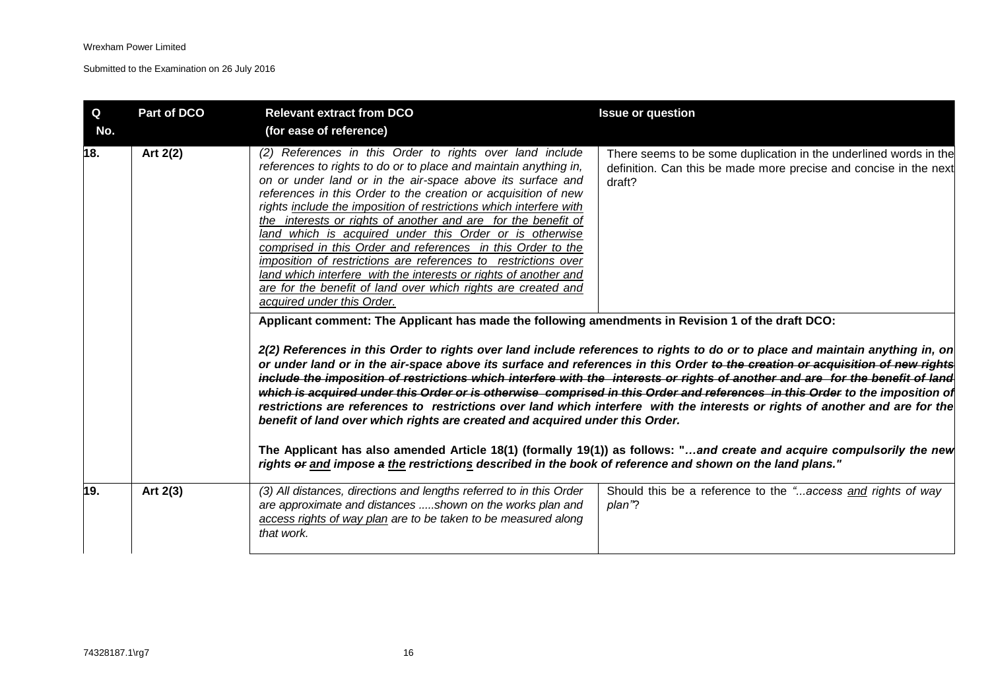| Q<br>No. | Part of DCO | <b>Relevant extract from DCO</b><br>(for ease of reference)                                                                                                                                                                                                                                                                                                                                                                                                                                                                                                                                                                                                                                                                                                                                                                                                                                                                                                                                                                                                          | <b>Issue or question</b>                                                                                                                                                                                                                                                                                                                                                                                                                                                                                                                                                                                                                                                                                                                                                                                                                                                                                                                        |
|----------|-------------|----------------------------------------------------------------------------------------------------------------------------------------------------------------------------------------------------------------------------------------------------------------------------------------------------------------------------------------------------------------------------------------------------------------------------------------------------------------------------------------------------------------------------------------------------------------------------------------------------------------------------------------------------------------------------------------------------------------------------------------------------------------------------------------------------------------------------------------------------------------------------------------------------------------------------------------------------------------------------------------------------------------------------------------------------------------------|-------------------------------------------------------------------------------------------------------------------------------------------------------------------------------------------------------------------------------------------------------------------------------------------------------------------------------------------------------------------------------------------------------------------------------------------------------------------------------------------------------------------------------------------------------------------------------------------------------------------------------------------------------------------------------------------------------------------------------------------------------------------------------------------------------------------------------------------------------------------------------------------------------------------------------------------------|
| 18.      | Art 2(2)    | (2) References in this Order to rights over land include<br>references to rights to do or to place and maintain anything in,<br>on or under land or in the air-space above its surface and<br>references in this Order to the creation or acquisition of new<br>rights include the imposition of restrictions which interfere with<br>the interests or rights of another and are for the benefit of<br>land which is acquired under this Order or is otherwise<br>comprised in this Order and references in this Order to the<br>imposition of restrictions are references to restrictions over<br>land which interfere with the interests or rights of another and<br>are for the benefit of land over which rights are created and<br>acquired under this Order.<br>Applicant comment: The Applicant has made the following amendments in Revision 1 of the draft DCO:<br>benefit of land over which rights are created and acquired under this Order.<br>rights or and impose a the restrictions described in the book of reference and shown on the land plans." | There seems to be some duplication in the underlined words in the<br>definition. Can this be made more precise and concise in the next<br>draft?<br>2(2) References in this Order to rights over land include references to rights to do or to place and maintain anything in, on<br>or under land or in the air-space above its surface and references in this Order to the creation or acquisition of new rights<br>include the imposition of restrictions which interfere with the interests or rights of another and are for the benefit of land<br>which is acquired under this Order or is otherwise comprised in this Order and references in this Order to the imposition of<br>restrictions are references to restrictions over land which interfere with the interests or rights of another and are for the<br>The Applicant has also amended Article 18(1) (formally 19(1)) as follows: "and create and acquire compulsorily the new |
| 19.      | Art 2(3)    | (3) All distances, directions and lengths referred to in this Order<br>are approximate and distances shown on the works plan and<br>access rights of way plan are to be taken to be measured along<br>that work.                                                                                                                                                                                                                                                                                                                                                                                                                                                                                                                                                                                                                                                                                                                                                                                                                                                     | Should this be a reference to the "access and rights of way<br>plan"?                                                                                                                                                                                                                                                                                                                                                                                                                                                                                                                                                                                                                                                                                                                                                                                                                                                                           |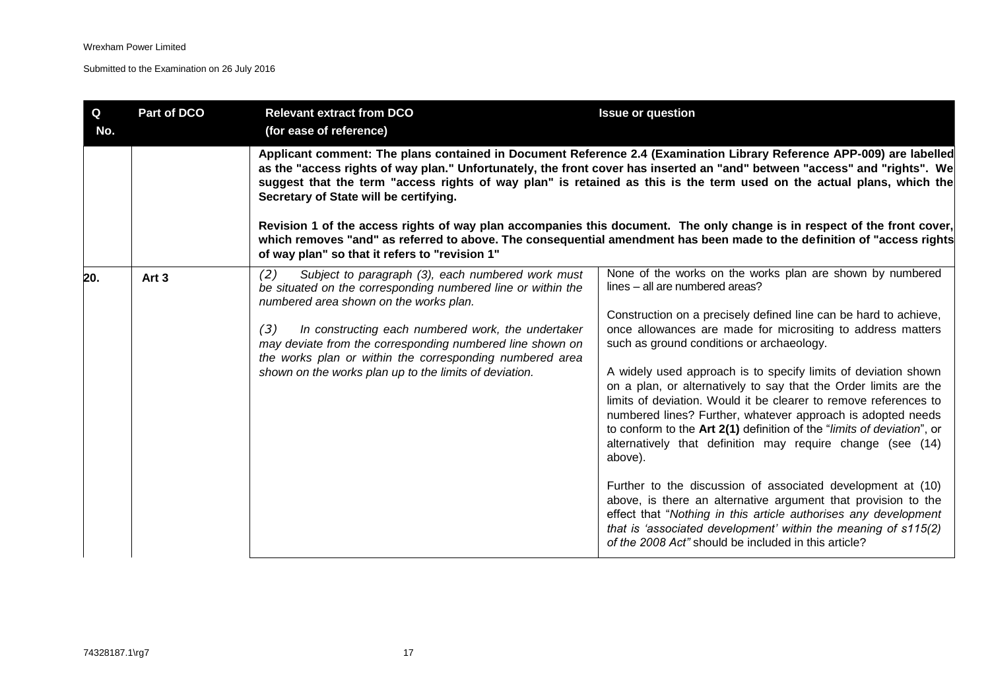| Q<br>No. | Part of DCO      | <b>Relevant extract from DCO</b><br>(for ease of reference)                                                                                                                                                                                                                                                                                                                                                        | <b>Issue or question</b>                                                                                                                                                                                                                                                                                                                                                                                                                                                                                                                                                                                                                                                                                                                                                                                                                                                                                                                                                                                                              |
|----------|------------------|--------------------------------------------------------------------------------------------------------------------------------------------------------------------------------------------------------------------------------------------------------------------------------------------------------------------------------------------------------------------------------------------------------------------|---------------------------------------------------------------------------------------------------------------------------------------------------------------------------------------------------------------------------------------------------------------------------------------------------------------------------------------------------------------------------------------------------------------------------------------------------------------------------------------------------------------------------------------------------------------------------------------------------------------------------------------------------------------------------------------------------------------------------------------------------------------------------------------------------------------------------------------------------------------------------------------------------------------------------------------------------------------------------------------------------------------------------------------|
|          |                  | Secretary of State will be certifying.<br>of way plan" so that it refers to "revision 1"                                                                                                                                                                                                                                                                                                                           | Applicant comment: The plans contained in Document Reference 2.4 (Examination Library Reference APP-009) are labelled<br>as the "access rights of way plan." Unfortunately, the front cover has inserted an "and" between "access" and "rights". We<br>suggest that the term "access rights of way plan" is retained as this is the term used on the actual plans, which the<br>Revision 1 of the access rights of way plan accompanies this document. The only change is in respect of the front cover,<br>which removes "and" as referred to above. The consequential amendment has been made to the definition of "access rights                                                                                                                                                                                                                                                                                                                                                                                                   |
| 20.      | Art <sub>3</sub> | (2)<br>Subject to paragraph (3), each numbered work must<br>be situated on the corresponding numbered line or within the<br>numbered area shown on the works plan.<br>(3)<br>In constructing each numbered work, the undertaker<br>may deviate from the corresponding numbered line shown on<br>the works plan or within the corresponding numbered area<br>shown on the works plan up to the limits of deviation. | None of the works on the works plan are shown by numbered<br>lines – all are numbered areas?<br>Construction on a precisely defined line can be hard to achieve,<br>once allowances are made for micrositing to address matters<br>such as ground conditions or archaeology.<br>A widely used approach is to specify limits of deviation shown<br>on a plan, or alternatively to say that the Order limits are the<br>limits of deviation. Would it be clearer to remove references to<br>numbered lines? Further, whatever approach is adopted needs<br>to conform to the Art 2(1) definition of the "limits of deviation", or<br>alternatively that definition may require change (see (14)<br>above).<br>Further to the discussion of associated development at (10)<br>above, is there an alternative argument that provision to the<br>effect that "Nothing in this article authorises any development<br>that is 'associated development' within the meaning of s115(2)<br>of the 2008 Act" should be included in this article? |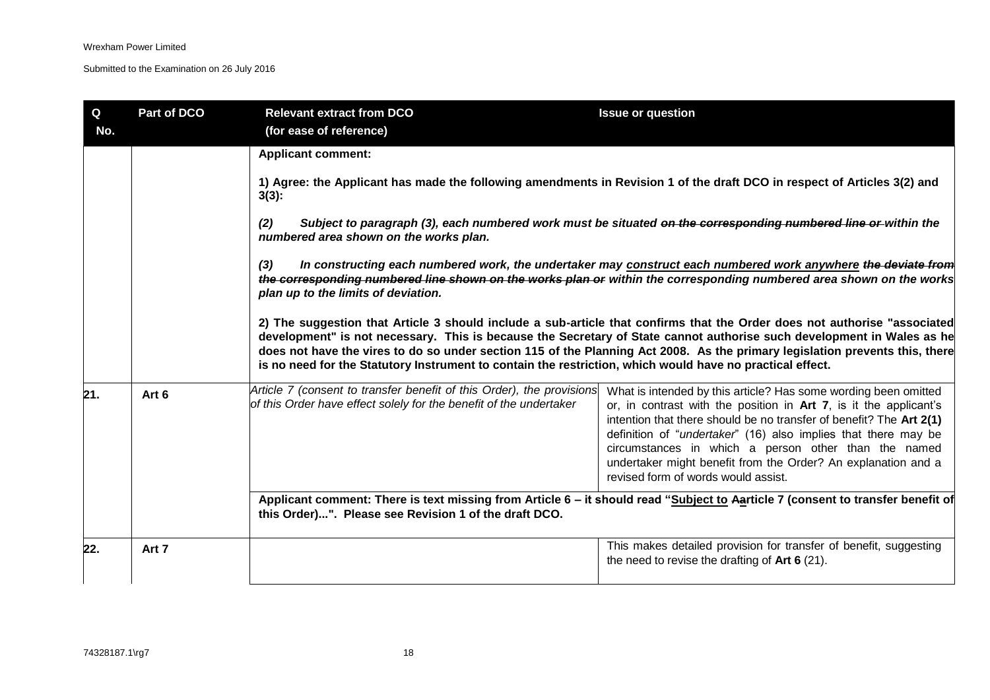| $\mathbf Q$<br>No. | Part of DCO | <b>Relevant extract from DCO</b><br>(for ease of reference)                                                                                 | <b>Issue or question</b>                                                                                                                                                                                                                                                                                                                                                                                                                      |  |
|--------------------|-------------|---------------------------------------------------------------------------------------------------------------------------------------------|-----------------------------------------------------------------------------------------------------------------------------------------------------------------------------------------------------------------------------------------------------------------------------------------------------------------------------------------------------------------------------------------------------------------------------------------------|--|
|                    |             | <b>Applicant comment:</b>                                                                                                                   |                                                                                                                                                                                                                                                                                                                                                                                                                                               |  |
|                    |             | 1) Agree: the Applicant has made the following amendments in Revision 1 of the draft DCO in respect of Articles 3(2) and<br>$3(3)$ :        |                                                                                                                                                                                                                                                                                                                                                                                                                                               |  |
|                    |             | (2)<br>numbered area shown on the works plan.                                                                                               | Subject to paragraph (3), each numbered work must be situated on the corresponding numbered line or within the                                                                                                                                                                                                                                                                                                                                |  |
|                    |             | (3)<br>plan up to the limits of deviation.                                                                                                  | In constructing each numbered work, the undertaker may construct each numbered work anywhere the deviate from<br>the corresponding numbered line shown on the works plan or within the corresponding numbered area shown on the works                                                                                                                                                                                                         |  |
|                    |             | is no need for the Statutory Instrument to contain the restriction, which would have no practical effect.                                   | 2) The suggestion that Article 3 should include a sub-article that confirms that the Order does not authorise "associated<br>development" is not necessary. This is because the Secretary of State cannot authorise such development in Wales as he<br>does not have the vires to do so under section 115 of the Planning Act 2008. As the primary legislation prevents this, there                                                           |  |
| 21.                | Art 6       | Article 7 (consent to transfer benefit of this Order), the provisions<br>of this Order have effect solely for the benefit of the undertaker | What is intended by this article? Has some wording been omitted<br>or, in contrast with the position in Art 7, is it the applicant's<br>intention that there should be no transfer of benefit? The Art 2(1)<br>definition of "undertaker" (16) also implies that there may be<br>circumstances in which a person other than the named<br>undertaker might benefit from the Order? An explanation and a<br>revised form of words would assist. |  |
|                    |             | this Order)". Please see Revision 1 of the draft DCO.                                                                                       | Applicant comment: There is text missing from Article 6 - it should read "Subject to Aarticle 7 (consent to transfer benefit of                                                                                                                                                                                                                                                                                                               |  |
| 22.                | Art 7       |                                                                                                                                             | This makes detailed provision for transfer of benefit, suggesting<br>the need to revise the drafting of $Art 6 (21)$ .                                                                                                                                                                                                                                                                                                                        |  |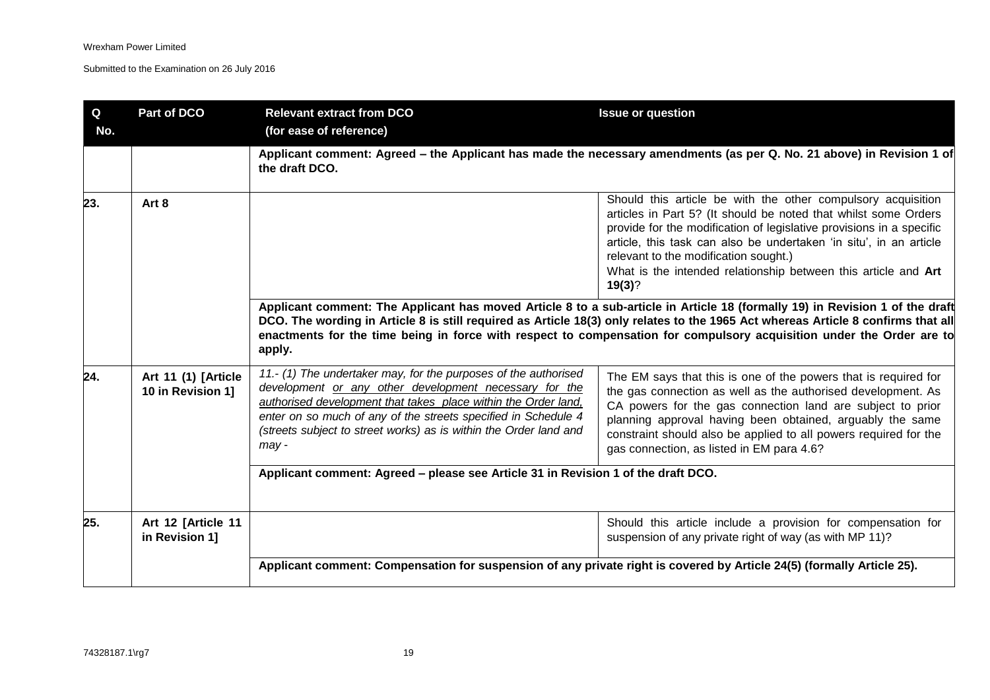| Q<br>No. | Part of DCO                              | <b>Relevant extract from DCO</b><br>(for ease of reference)                                                                                                                                                                                                                                                                                   | <b>Issue or question</b>                                                                                                                                                                                                                                                                                                                                                                           |
|----------|------------------------------------------|-----------------------------------------------------------------------------------------------------------------------------------------------------------------------------------------------------------------------------------------------------------------------------------------------------------------------------------------------|----------------------------------------------------------------------------------------------------------------------------------------------------------------------------------------------------------------------------------------------------------------------------------------------------------------------------------------------------------------------------------------------------|
|          |                                          | the draft DCO.                                                                                                                                                                                                                                                                                                                                | Applicant comment: Agreed – the Applicant has made the necessary amendments (as per Q. No. 21 above) in Revision 1 of                                                                                                                                                                                                                                                                              |
| 23.      | Art 8                                    |                                                                                                                                                                                                                                                                                                                                               | Should this article be with the other compulsory acquisition<br>articles in Part 5? (It should be noted that whilst some Orders<br>provide for the modification of legislative provisions in a specific<br>article, this task can also be undertaken 'in situ', in an article<br>relevant to the modification sought.)<br>What is the intended relationship between this article and Art<br>19(3)? |
|          |                                          | apply.                                                                                                                                                                                                                                                                                                                                        | Applicant comment: The Applicant has moved Article 8 to a sub-article in Article 18 (formally 19) in Revision 1 of the draft<br>DCO. The wording in Article 8 is still required as Article 18(3) only relates to the 1965 Act whereas Article 8 confirms that all<br>enactments for the time being in force with respect to compensation for compulsory acquisition under the Order are to         |
| 24.      | Art 11 (1) [Article<br>10 in Revision 1] | 11.- (1) The undertaker may, for the purposes of the authorised<br>development or any other development necessary for the<br>authorised development that takes place within the Order land,<br>enter on so much of any of the streets specified in Schedule 4<br>(streets subject to street works) as is within the Order land and<br>$may -$ | The EM says that this is one of the powers that is required for<br>the gas connection as well as the authorised development. As<br>CA powers for the gas connection land are subject to prior<br>planning approval having been obtained, arguably the same<br>constraint should also be applied to all powers required for the<br>gas connection, as listed in EM para 4.6?                        |
|          |                                          | Applicant comment: Agreed - please see Article 31 in Revision 1 of the draft DCO.                                                                                                                                                                                                                                                             |                                                                                                                                                                                                                                                                                                                                                                                                    |
| 25.      | Art 12 [Article 11<br>in Revision 1]     |                                                                                                                                                                                                                                                                                                                                               | Should this article include a provision for compensation for<br>suspension of any private right of way (as with MP 11)?                                                                                                                                                                                                                                                                            |
|          |                                          | Applicant comment: Compensation for suspension of any private right is covered by Article 24(5) (formally Article 25).                                                                                                                                                                                                                        |                                                                                                                                                                                                                                                                                                                                                                                                    |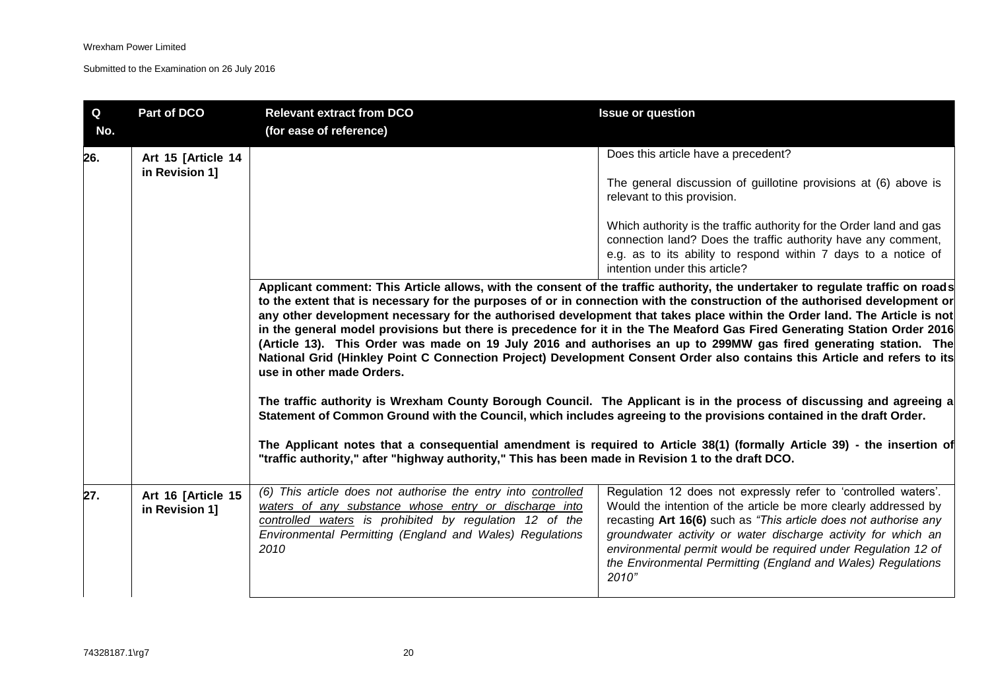| Q<br>No. | Part of DCO                          | <b>Relevant extract from DCO</b><br>(for ease of reference)                                                                                                                                                                                             | <b>Issue or question</b>                                                                                                                                                                                                                                                                                                                                                                                                                                                                                                                                                                                                                                                                                                                                                                                                                                                                                                                                                                                                                                        |
|----------|--------------------------------------|---------------------------------------------------------------------------------------------------------------------------------------------------------------------------------------------------------------------------------------------------------|-----------------------------------------------------------------------------------------------------------------------------------------------------------------------------------------------------------------------------------------------------------------------------------------------------------------------------------------------------------------------------------------------------------------------------------------------------------------------------------------------------------------------------------------------------------------------------------------------------------------------------------------------------------------------------------------------------------------------------------------------------------------------------------------------------------------------------------------------------------------------------------------------------------------------------------------------------------------------------------------------------------------------------------------------------------------|
| 26.      | Art 15 [Article 14<br>in Revision 1] |                                                                                                                                                                                                                                                         | Does this article have a precedent?<br>The general discussion of guillotine provisions at (6) above is<br>relevant to this provision.<br>Which authority is the traffic authority for the Order land and gas<br>connection land? Does the traffic authority have any comment,<br>e.g. as to its ability to respond within 7 days to a notice of                                                                                                                                                                                                                                                                                                                                                                                                                                                                                                                                                                                                                                                                                                                 |
|          |                                      | use in other made Orders.<br>Statement of Common Ground with the Council, which includes agreeing to the provisions contained in the draft Order.<br>"traffic authority," after "highway authority," This has been made in Revision 1 to the draft DCO. | intention under this article?<br>Applicant comment: This Article allows, with the consent of the traffic authority, the undertaker to regulate traffic on roads<br>to the extent that is necessary for the purposes of or in connection with the construction of the authorised development or<br>any other development necessary for the authorised development that takes place within the Order land. The Article is not<br>in the general model provisions but there is precedence for it in the The Meaford Gas Fired Generating Station Order 2016<br>(Article 13). This Order was made on 19 July 2016 and authorises an up to 299MW gas fired generating station. The<br>National Grid (Hinkley Point C Connection Project) Development Consent Order also contains this Article and refers to its<br>The traffic authority is Wrexham County Borough Council. The Applicant is in the process of discussing and agreeing a<br>The Applicant notes that a consequential amendment is required to Article 38(1) (formally Article 39) - the insertion of |
| 27.      | Art 16 [Article 15<br>in Revision 1] | (6) This article does not authorise the entry into controlled<br>waters of any substance whose entry or discharge into<br>controlled waters is prohibited by regulation 12 of the<br>Environmental Permitting (England and Wales) Regulations<br>2010   | Regulation 12 does not expressly refer to 'controlled waters'.<br>Would the intention of the article be more clearly addressed by<br>recasting Art 16(6) such as "This article does not authorise any<br>groundwater activity or water discharge activity for which an<br>environmental permit would be required under Regulation 12 of<br>the Environmental Permitting (England and Wales) Regulations<br>2010"                                                                                                                                                                                                                                                                                                                                                                                                                                                                                                                                                                                                                                                |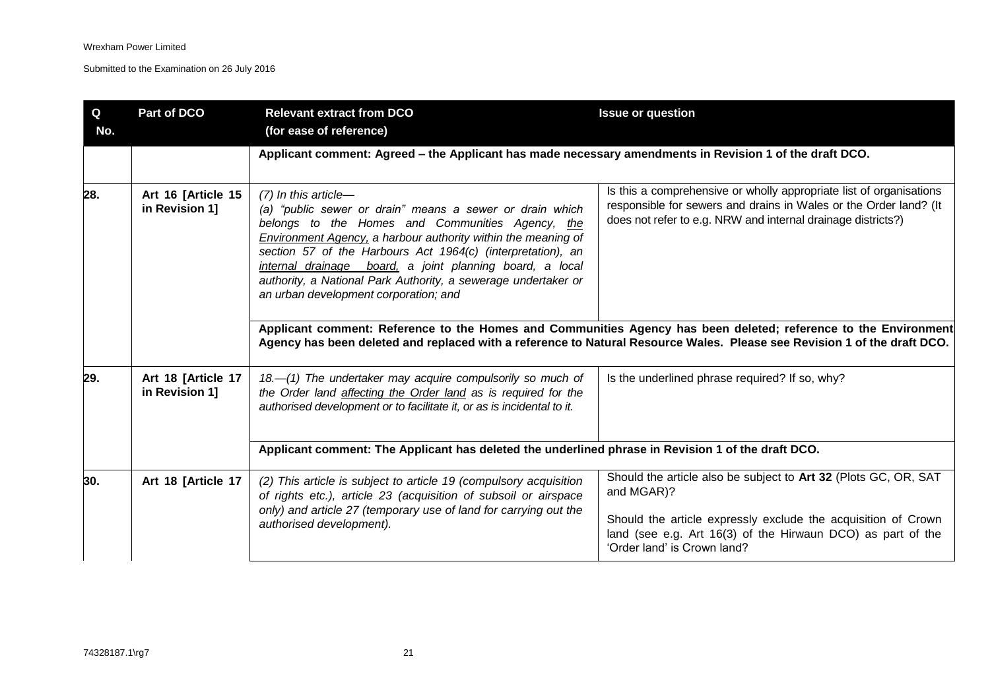| Q<br>No. | Part of DCO                          | <b>Relevant extract from DCO</b><br>(for ease of reference)                                                                                                                                                                                                                                                                                                                                                                                   | <b>Issue or question</b>                                                                                                                                                                                                                                                                                                                                                                                                                                |
|----------|--------------------------------------|-----------------------------------------------------------------------------------------------------------------------------------------------------------------------------------------------------------------------------------------------------------------------------------------------------------------------------------------------------------------------------------------------------------------------------------------------|---------------------------------------------------------------------------------------------------------------------------------------------------------------------------------------------------------------------------------------------------------------------------------------------------------------------------------------------------------------------------------------------------------------------------------------------------------|
|          |                                      | Applicant comment: Agreed - the Applicant has made necessary amendments in Revision 1 of the draft DCO.                                                                                                                                                                                                                                                                                                                                       |                                                                                                                                                                                                                                                                                                                                                                                                                                                         |
| 28.      | Art 16 [Article 15<br>in Revision 1] | $(7)$ In this article-<br>(a) "public sewer or drain" means a sewer or drain which<br>belongs to the Homes and Communities Agency, the<br>Environment Agency, a harbour authority within the meaning of<br>section 57 of the Harbours Act 1964(c) (interpretation), an<br>internal drainage board, a joint planning board, a local<br>authority, a National Park Authority, a sewerage undertaker or<br>an urban development corporation; and | Is this a comprehensive or wholly appropriate list of organisations<br>responsible for sewers and drains in Wales or the Order land? (It<br>does not refer to e.g. NRW and internal drainage districts?)<br>Applicant comment: Reference to the Homes and Communities Agency has been deleted; reference to the Environment<br>Agency has been deleted and replaced with a reference to Natural Resource Wales. Please see Revision 1 of the draft DCO. |
| 29.      | Art 18 [Article 17<br>in Revision 1] | 18.-(1) The undertaker may acquire compulsorily so much of<br>the Order land affecting the Order land as is required for the<br>authorised development or to facilitate it, or as is incidental to it.                                                                                                                                                                                                                                        | Is the underlined phrase required? If so, why?                                                                                                                                                                                                                                                                                                                                                                                                          |
|          |                                      | Applicant comment: The Applicant has deleted the underlined phrase in Revision 1 of the draft DCO.                                                                                                                                                                                                                                                                                                                                            |                                                                                                                                                                                                                                                                                                                                                                                                                                                         |
| 30.      | Art 18 [Article 17                   | (2) This article is subject to article 19 (compulsory acquisition<br>of rights etc.), article 23 (acquisition of subsoil or airspace<br>only) and article 27 (temporary use of land for carrying out the<br>authorised development).                                                                                                                                                                                                          | Should the article also be subject to Art 32 (Plots GC, OR, SAT<br>and MGAR)?<br>Should the article expressly exclude the acquisition of Crown<br>land (see e.g. Art 16(3) of the Hirwaun DCO) as part of the<br>'Order land' is Crown land?                                                                                                                                                                                                            |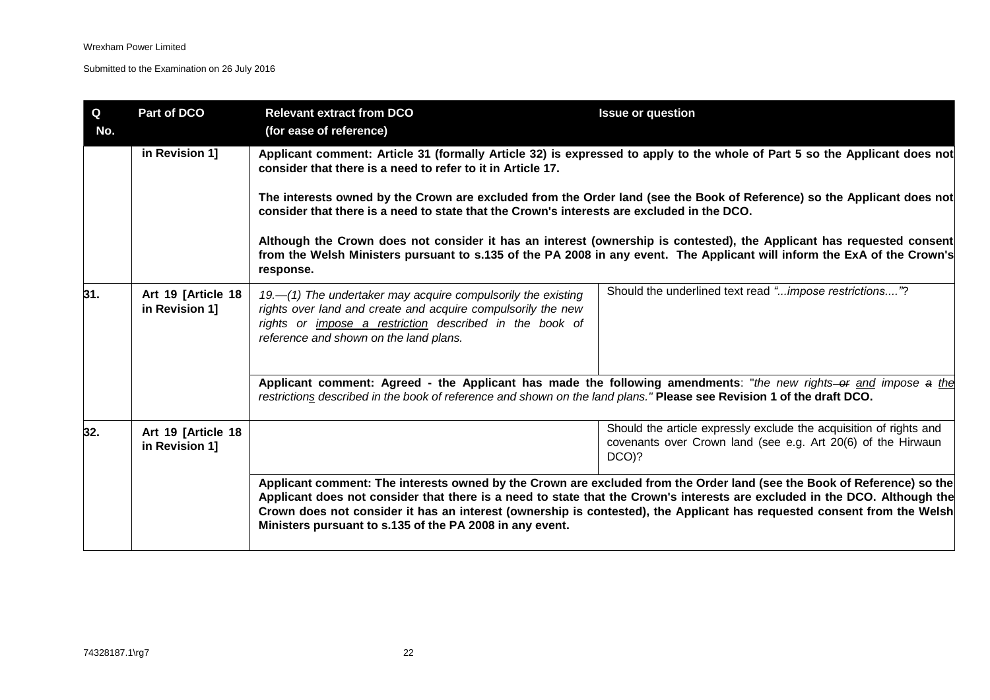| Q<br>No. | Part of DCO                          | <b>Relevant extract from DCO</b><br>(for ease of reference)                                                                                                                                                                                                                                                                                                                                                        | <b>Issue or question</b>                                                                                                                                                                                                                                                                                                                                                         |  |
|----------|--------------------------------------|--------------------------------------------------------------------------------------------------------------------------------------------------------------------------------------------------------------------------------------------------------------------------------------------------------------------------------------------------------------------------------------------------------------------|----------------------------------------------------------------------------------------------------------------------------------------------------------------------------------------------------------------------------------------------------------------------------------------------------------------------------------------------------------------------------------|--|
|          | in Revision 1]                       | Applicant comment: Article 31 (formally Article 32) is expressed to apply to the whole of Part 5 so the Applicant does not<br>consider that there is a need to refer to it in Article 17.<br>The interests owned by the Crown are excluded from the Order land (see the Book of Reference) so the Applicant does not<br>consider that there is a need to state that the Crown's interests are excluded in the DCO. |                                                                                                                                                                                                                                                                                                                                                                                  |  |
|          |                                      |                                                                                                                                                                                                                                                                                                                                                                                                                    |                                                                                                                                                                                                                                                                                                                                                                                  |  |
|          |                                      | response.                                                                                                                                                                                                                                                                                                                                                                                                          | Although the Crown does not consider it has an interest (ownership is contested), the Applicant has requested consent<br>from the Welsh Ministers pursuant to s.135 of the PA 2008 in any event. The Applicant will inform the ExA of the Crown's                                                                                                                                |  |
| 31.      | Art 19 [Article 18<br>in Revision 1] | 19.—(1) The undertaker may acquire compulsorily the existing<br>rights over land and create and acquire compulsorily the new<br>rights or <i>impose a restriction</i> described in the book of<br>reference and shown on the land plans.                                                                                                                                                                           | Should the underlined text read "impose restrictions"?                                                                                                                                                                                                                                                                                                                           |  |
|          |                                      | restrictions described in the book of reference and shown on the land plans." Please see Revision 1 of the draft DCO.                                                                                                                                                                                                                                                                                              | Applicant comment: Agreed - the Applicant has made the following amendments: "the new rights-or and impose a the                                                                                                                                                                                                                                                                 |  |
| 32.      | Art 19 [Article 18<br>in Revision 1] |                                                                                                                                                                                                                                                                                                                                                                                                                    | Should the article expressly exclude the acquisition of rights and<br>covenants over Crown land (see e.g. Art 20(6) of the Hirwaun<br>$DCO$ $?$                                                                                                                                                                                                                                  |  |
|          |                                      | Ministers pursuant to s.135 of the PA 2008 in any event.                                                                                                                                                                                                                                                                                                                                                           | Applicant comment: The interests owned by the Crown are excluded from the Order land (see the Book of Reference) so the<br>Applicant does not consider that there is a need to state that the Crown's interests are excluded in the DCO. Although the<br>Crown does not consider it has an interest (ownership is contested), the Applicant has requested consent from the Welsh |  |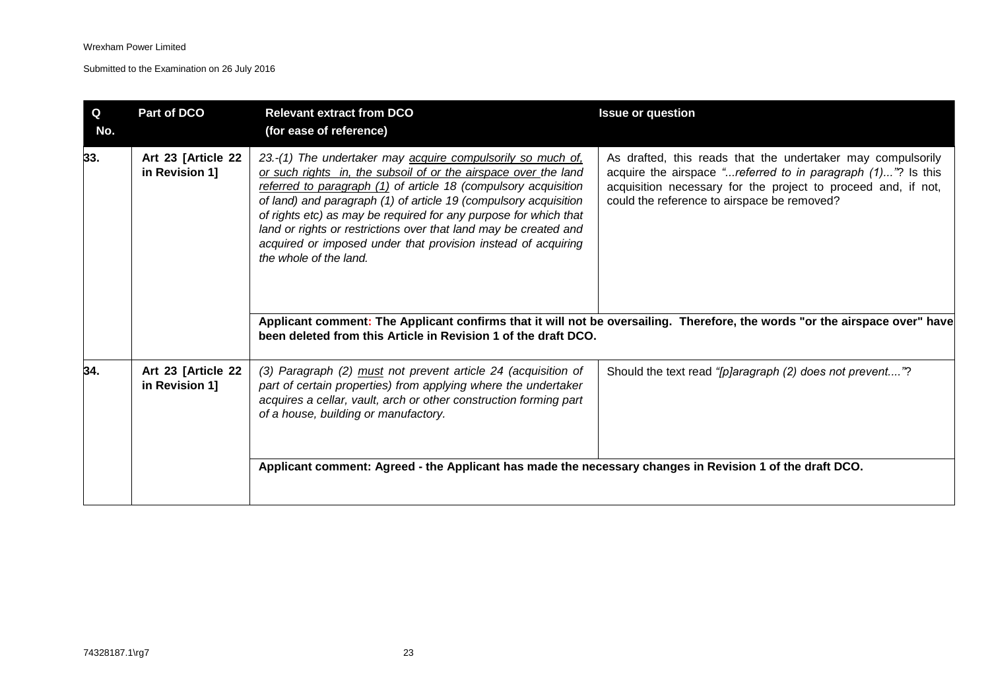| $\mathbf Q$<br>No. | Part of DCO                          | <b>Relevant extract from DCO</b><br>(for ease of reference)                                                                                                                                                                                                                                                                                                                                                                                                                                                                                                                | <b>Issue or question</b>                                                                                                                                                                                                                                                                                                                                                   |
|--------------------|--------------------------------------|----------------------------------------------------------------------------------------------------------------------------------------------------------------------------------------------------------------------------------------------------------------------------------------------------------------------------------------------------------------------------------------------------------------------------------------------------------------------------------------------------------------------------------------------------------------------------|----------------------------------------------------------------------------------------------------------------------------------------------------------------------------------------------------------------------------------------------------------------------------------------------------------------------------------------------------------------------------|
| 33.                | Art 23 [Article 22<br>in Revision 1] | 23.-(1) The undertaker may acquire compulsorily so much of.<br>or such rights in, the subsoil of or the airspace over the land<br>referred to paragraph (1) of article 18 (compulsory acquisition<br>of land) and paragraph (1) of article 19 (compulsory acquisition<br>of rights etc) as may be required for any purpose for which that<br>land or rights or restrictions over that land may be created and<br>acquired or imposed under that provision instead of acquiring<br>the whole of the land.<br>been deleted from this Article in Revision 1 of the draft DCO. | As drafted, this reads that the undertaker may compulsorily<br>acquire the airspace "referred to in paragraph (1)"? Is this<br>acquisition necessary for the project to proceed and, if not,<br>could the reference to airspace be removed?<br>Applicant comment: The Applicant confirms that it will not be oversailing. Therefore, the words "or the airspace over" have |
| 34.                | Art 23 [Article 22<br>in Revision 1] | (3) Paragraph (2) must not prevent article 24 (acquisition of<br>part of certain properties) from applying where the undertaker<br>acquires a cellar, vault, arch or other construction forming part<br>of a house, building or manufactory.<br>Applicant comment: Agreed - the Applicant has made the necessary changes in Revision 1 of the draft DCO.                                                                                                                                                                                                                   | Should the text read "[p]aragraph (2) does not prevent"?                                                                                                                                                                                                                                                                                                                   |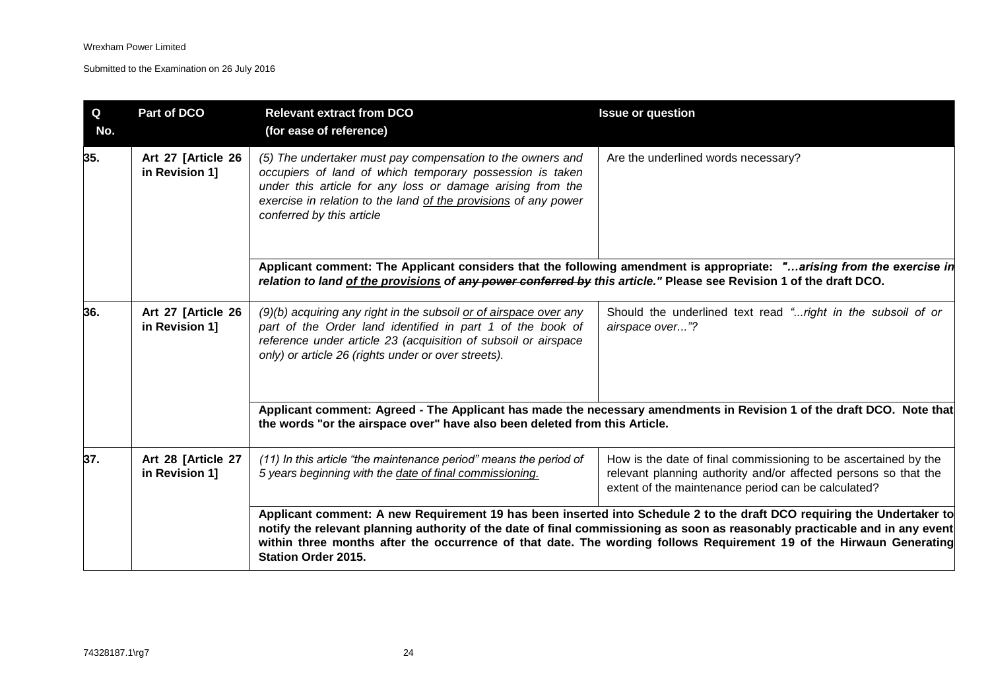| Q<br>No. | Part of DCO                          | <b>Relevant extract from DCO</b><br>(for ease of reference)                                                                                                                                                                                                                          | <b>Issue or question</b>                                                                                                                                                                                                                                                                                                                                                      |
|----------|--------------------------------------|--------------------------------------------------------------------------------------------------------------------------------------------------------------------------------------------------------------------------------------------------------------------------------------|-------------------------------------------------------------------------------------------------------------------------------------------------------------------------------------------------------------------------------------------------------------------------------------------------------------------------------------------------------------------------------|
| 35.      | Art 27 [Article 26<br>in Revision 1] | (5) The undertaker must pay compensation to the owners and<br>occupiers of land of which temporary possession is taken<br>under this article for any loss or damage arising from the<br>exercise in relation to the land of the provisions of any power<br>conferred by this article | Are the underlined words necessary?                                                                                                                                                                                                                                                                                                                                           |
|          |                                      | relation to land of the provisions of any power conferred by this article." Please see Revision 1 of the draft DCO.                                                                                                                                                                  | Applicant comment: The Applicant considers that the following amendment is appropriate: "arising from the exercise in                                                                                                                                                                                                                                                         |
| 36.      | Art 27 [Article 26<br>in Revision 1] | (9)(b) acquiring any right in the subsoil or of airspace over any<br>part of the Order land identified in part 1 of the book of<br>reference under article 23 (acquisition of subsoil or airspace<br>only) or article 26 (rights under or over streets).                             | Should the underlined text read " right in the subsoil of or<br>airspace over"?                                                                                                                                                                                                                                                                                               |
|          |                                      | the words "or the airspace over" have also been deleted from this Article.                                                                                                                                                                                                           | Applicant comment: Agreed - The Applicant has made the necessary amendments in Revision 1 of the draft DCO. Note that                                                                                                                                                                                                                                                         |
| 37.      | Art 28 [Article 27<br>in Revision 1] | (11) In this article "the maintenance period" means the period of<br>5 years beginning with the date of final commissioning.                                                                                                                                                         | How is the date of final commissioning to be ascertained by the<br>relevant planning authority and/or affected persons so that the<br>extent of the maintenance period can be calculated?                                                                                                                                                                                     |
|          |                                      | <b>Station Order 2015.</b>                                                                                                                                                                                                                                                           | Applicant comment: A new Requirement 19 has been inserted into Schedule 2 to the draft DCO requiring the Undertaker to<br>notify the relevant planning authority of the date of final commissioning as soon as reasonably practicable and in any event<br>within three months after the occurrence of that date. The wording follows Requirement 19 of the Hirwaun Generating |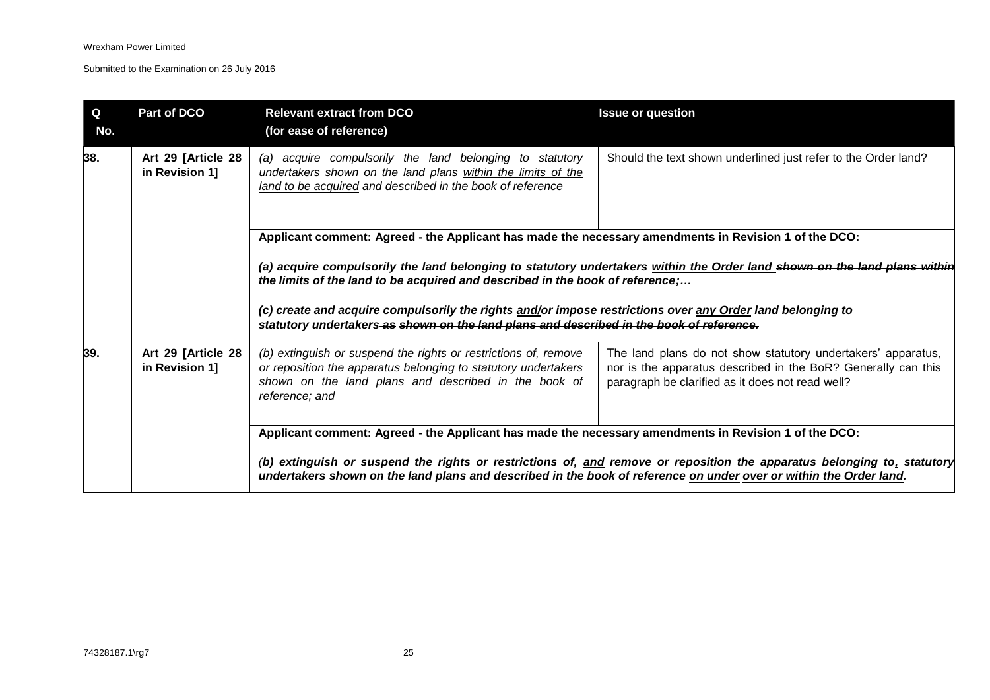| $\mathbf Q$<br>No. | Part of DCO                          | <b>Relevant extract from DCO</b><br>(for ease of reference)                                                                                                                                                                                                                                                                                                                                      | <b>Issue or question</b>                                                                                                                                                          |
|--------------------|--------------------------------------|--------------------------------------------------------------------------------------------------------------------------------------------------------------------------------------------------------------------------------------------------------------------------------------------------------------------------------------------------------------------------------------------------|-----------------------------------------------------------------------------------------------------------------------------------------------------------------------------------|
| 38.                | Art 29 [Article 28<br>in Revision 1] | (a) acquire compulsorily the land belonging to statutory<br>undertakers shown on the land plans within the limits of the<br>land to be acquired and described in the book of reference                                                                                                                                                                                                           | Should the text shown underlined just refer to the Order land?                                                                                                                    |
|                    |                                      | Applicant comment: Agreed - the Applicant has made the necessary amendments in Revision 1 of the DCO:<br>the limits of the land to be acquired and described in the book of reference;<br>(c) create and acquire compulsorily the rights and/or impose restrictions over any Order land belonging to<br>statutory undertakers as shown on the land plans and described in the book of reference. | (a) acquire compulsorily the land belonging to statutory undertakers within the Order land shown on the land plans within                                                         |
| 39.                | Art 29 [Article 28<br>in Revision 1] | (b) extinguish or suspend the rights or restrictions of, remove<br>or reposition the apparatus belonging to statutory undertakers<br>shown on the land plans and described in the book of<br>reference; and                                                                                                                                                                                      | The land plans do not show statutory undertakers' apparatus,<br>nor is the apparatus described in the BoR? Generally can this<br>paragraph be clarified as it does not read well? |
|                    |                                      | Applicant comment: Agreed - the Applicant has made the necessary amendments in Revision 1 of the DCO:<br>undertakers shown on the land plans and described in the book of reference on under over or within the Order land.                                                                                                                                                                      | (b) extinguish or suspend the rights or restrictions of, and remove or reposition the apparatus belonging to, statutory                                                           |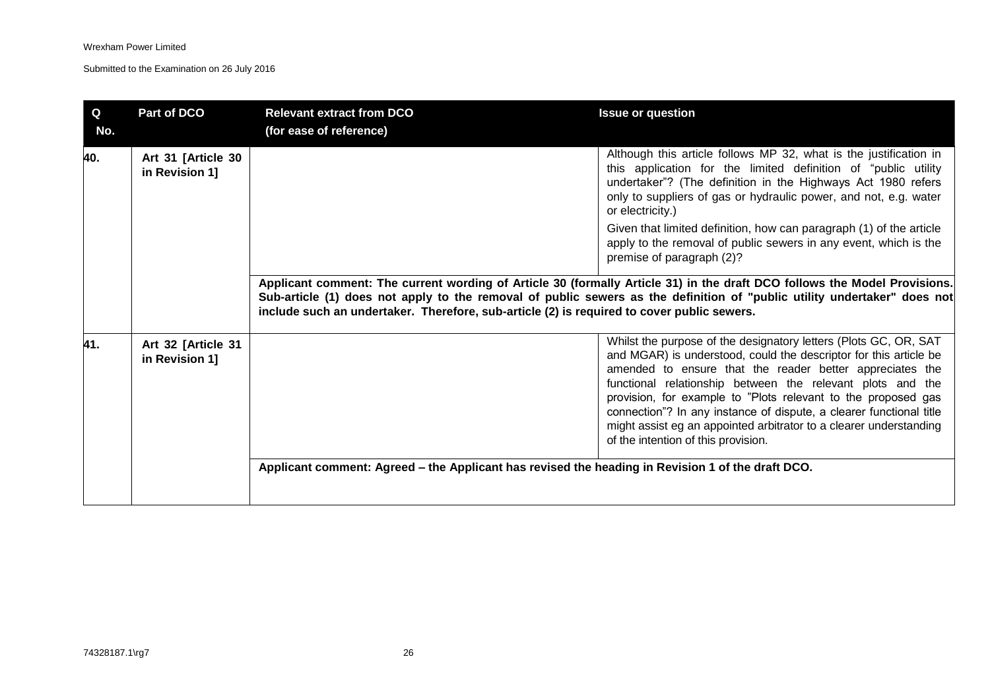| Q<br>No. | Part of DCO                          | <b>Relevant extract from DCO</b><br>(for ease of reference)                                       | <b>Issue or question</b>                                                                                                                                                                                                                                                                                                                                                                                                                                                                                             |
|----------|--------------------------------------|---------------------------------------------------------------------------------------------------|----------------------------------------------------------------------------------------------------------------------------------------------------------------------------------------------------------------------------------------------------------------------------------------------------------------------------------------------------------------------------------------------------------------------------------------------------------------------------------------------------------------------|
| 40.      | Art 31 [Article 30<br>in Revision 1] |                                                                                                   | Although this article follows MP 32, what is the justification in<br>this application for the limited definition of "public utility<br>undertaker"? (The definition in the Highways Act 1980 refers<br>only to suppliers of gas or hydraulic power, and not, e.g. water<br>or electricity.)                                                                                                                                                                                                                          |
|          |                                      |                                                                                                   | Given that limited definition, how can paragraph (1) of the article<br>apply to the removal of public sewers in any event, which is the<br>premise of paragraph (2)?                                                                                                                                                                                                                                                                                                                                                 |
|          |                                      | include such an undertaker. Therefore, sub-article (2) is required to cover public sewers.        | Applicant comment: The current wording of Article 30 (formally Article 31) in the draft DCO follows the Model Provisions.<br>Sub-article (1) does not apply to the removal of public sewers as the definition of "public utility undertaker" does not                                                                                                                                                                                                                                                                |
| 41.      | Art 32 [Article 31<br>in Revision 1] | Applicant comment: Agreed – the Applicant has revised the heading in Revision 1 of the draft DCO. | Whilst the purpose of the designatory letters (Plots GC, OR, SAT<br>and MGAR) is understood, could the descriptor for this article be<br>amended to ensure that the reader better appreciates the<br>functional relationship between the relevant plots and the<br>provision, for example to "Plots relevant to the proposed gas<br>connection"? In any instance of dispute, a clearer functional title<br>might assist eg an appointed arbitrator to a clearer understanding<br>of the intention of this provision. |
|          |                                      |                                                                                                   |                                                                                                                                                                                                                                                                                                                                                                                                                                                                                                                      |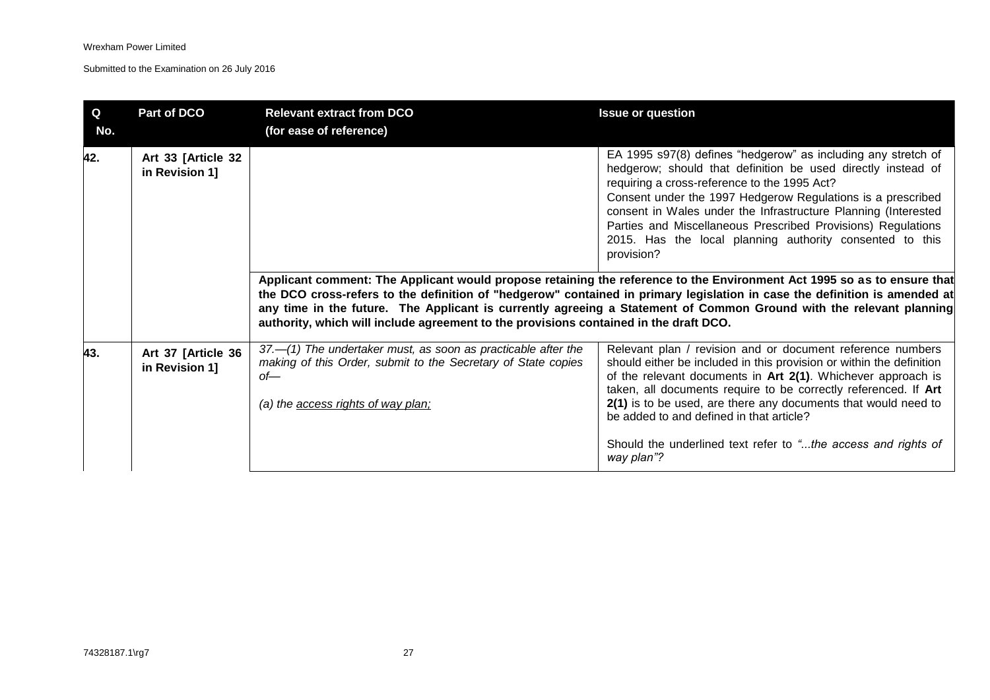| Q<br>No. | Part of DCO                          | <b>Relevant extract from DCO</b><br>(for ease of reference)                                                                                                                      | <b>Issue or question</b>                                                                                                                                                                                                                                                                                                                                                                                                                                                                                                                                                                                                                                                                                                                                                                                                                 |
|----------|--------------------------------------|----------------------------------------------------------------------------------------------------------------------------------------------------------------------------------|------------------------------------------------------------------------------------------------------------------------------------------------------------------------------------------------------------------------------------------------------------------------------------------------------------------------------------------------------------------------------------------------------------------------------------------------------------------------------------------------------------------------------------------------------------------------------------------------------------------------------------------------------------------------------------------------------------------------------------------------------------------------------------------------------------------------------------------|
| 42.      | Art 33 [Article 32<br>in Revision 1] | authority, which will include agreement to the provisions contained in the draft DCO.                                                                                            | EA 1995 s97(8) defines "hedgerow" as including any stretch of<br>hedgerow; should that definition be used directly instead of<br>requiring a cross-reference to the 1995 Act?<br>Consent under the 1997 Hedgerow Regulations is a prescribed<br>consent in Wales under the Infrastructure Planning (Interested<br>Parties and Miscellaneous Prescribed Provisions) Regulations<br>2015. Has the local planning authority consented to this<br>provision?<br>Applicant comment: The Applicant would propose retaining the reference to the Environment Act 1995 so as to ensure that<br>the DCO cross-refers to the definition of "hedgerow" contained in primary legislation in case the definition is amended at<br>any time in the future. The Applicant is currently agreeing a Statement of Common Ground with the relevant planning |
| 43.      | Art 37 [Article 36<br>in Revision 1] | $37-$ (1) The undertaker must, as soon as practicable after the<br>making of this Order, submit to the Secretary of State copies<br>$of$ —<br>(a) the access rights of way plan; | Relevant plan / revision and or document reference numbers<br>should either be included in this provision or within the definition<br>of the relevant documents in Art 2(1). Whichever approach is<br>taken, all documents require to be correctly referenced. If Art<br>2(1) is to be used, are there any documents that would need to<br>be added to and defined in that article?<br>Should the underlined text refer to "the access and rights of<br>way plan"?                                                                                                                                                                                                                                                                                                                                                                       |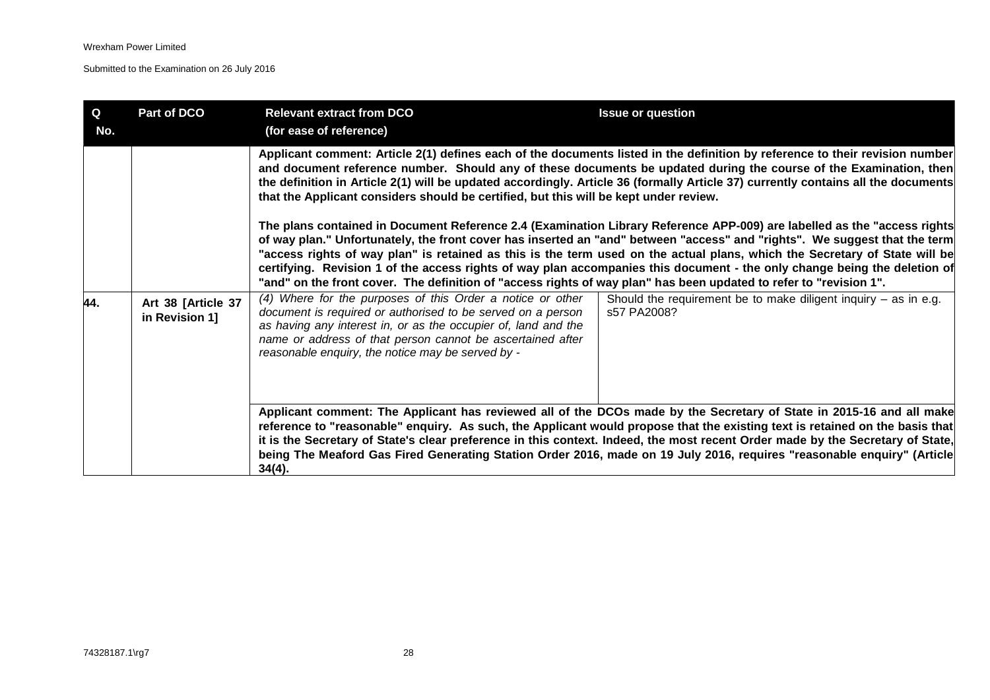| $\mathbf Q$<br>No. | Part of DCO                          | <b>Relevant extract from DCO</b><br>(for ease of reference)                                                                                                                                                                                                                                                                                                                                                                                                              | <b>Issue or question</b>                                                                                                                                                                                                                                                                                                                                                                                                                                                                                                                                                                                                                                                                                                                                                                                                                                                                                                                                                                         |
|--------------------|--------------------------------------|--------------------------------------------------------------------------------------------------------------------------------------------------------------------------------------------------------------------------------------------------------------------------------------------------------------------------------------------------------------------------------------------------------------------------------------------------------------------------|--------------------------------------------------------------------------------------------------------------------------------------------------------------------------------------------------------------------------------------------------------------------------------------------------------------------------------------------------------------------------------------------------------------------------------------------------------------------------------------------------------------------------------------------------------------------------------------------------------------------------------------------------------------------------------------------------------------------------------------------------------------------------------------------------------------------------------------------------------------------------------------------------------------------------------------------------------------------------------------------------|
| 44.                | Art 38 [Article 37<br>in Revision 1] | that the Applicant considers should be certified, but this will be kept under review.<br>"and" on the front cover. The definition of "access rights of way plan" has been updated to refer to "revision 1".<br>(4) Where for the purposes of this Order a notice or other<br>document is required or authorised to be served on a person<br>as having any interest in, or as the occupier of, land and the<br>name or address of that person cannot be ascertained after | Applicant comment: Article 2(1) defines each of the documents listed in the definition by reference to their revision number<br>and document reference number. Should any of these documents be updated during the course of the Examination, then<br>the definition in Article 2(1) will be updated accordingly. Article 36 (formally Article 37) currently contains all the documents<br>The plans contained in Document Reference 2.4 (Examination Library Reference APP-009) are labelled as the "access rights<br>of way plan." Unfortunately, the front cover has inserted an "and" between "access" and "rights". We suggest that the term<br>"access rights of way plan" is retained as this is the term used on the actual plans, which the Secretary of State will be<br>certifying. Revision 1 of the access rights of way plan accompanies this document - the only change being the deletion of<br>Should the requirement be to make diligent inquiry $-$ as in e.g.<br>s57 PA2008? |
|                    |                                      | reasonable enquiry, the notice may be served by -<br>$34(4)$ .                                                                                                                                                                                                                                                                                                                                                                                                           | Applicant comment: The Applicant has reviewed all of the DCOs made by the Secretary of State in 2015-16 and all make<br>reference to "reasonable" enquiry. As such, the Applicant would propose that the existing text is retained on the basis that<br>it is the Secretary of State's clear preference in this context. Indeed, the most recent Order made by the Secretary of State,<br>being The Meaford Gas Fired Generating Station Order 2016, made on 19 July 2016, requires "reasonable enquiry" (Article                                                                                                                                                                                                                                                                                                                                                                                                                                                                                |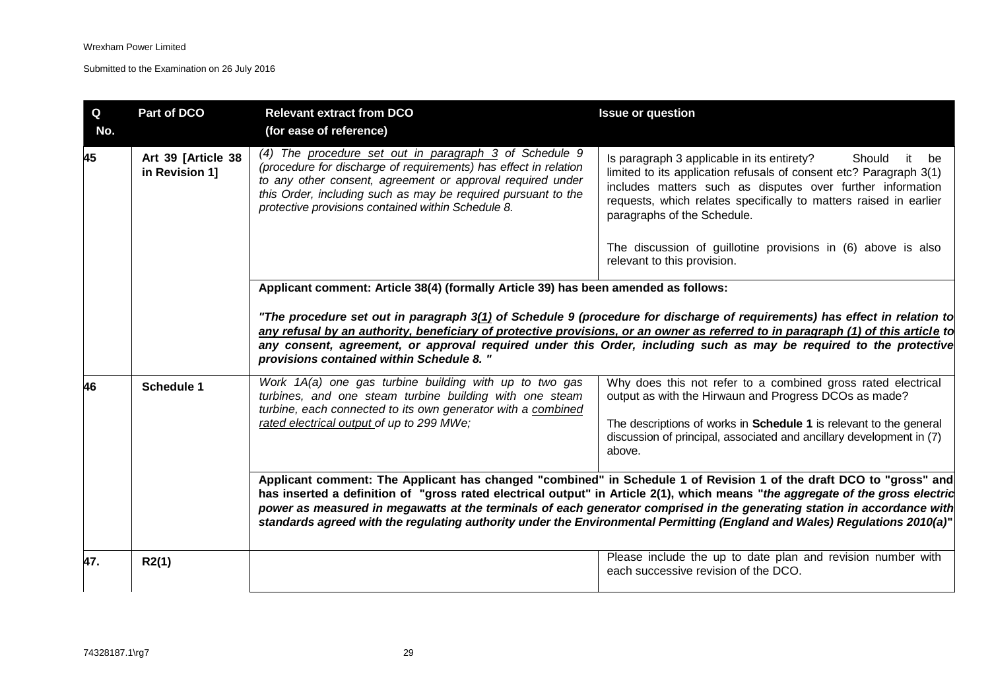| Q<br>No. | Part of DCO                          | <b>Relevant extract from DCO</b><br>(for ease of reference)                                                                                                                                                                                                                                                       | <b>Issue or question</b>                                                                                                                                                                                                                                                                                                                                                                                                                                                                                        |
|----------|--------------------------------------|-------------------------------------------------------------------------------------------------------------------------------------------------------------------------------------------------------------------------------------------------------------------------------------------------------------------|-----------------------------------------------------------------------------------------------------------------------------------------------------------------------------------------------------------------------------------------------------------------------------------------------------------------------------------------------------------------------------------------------------------------------------------------------------------------------------------------------------------------|
| 45       | Art 39 [Article 38<br>in Revision 1] | (4) The procedure set out in paragraph $3$ of Schedule 9<br>(procedure for discharge of requirements) has effect in relation<br>to any other consent, agreement or approval required under<br>this Order, including such as may be required pursuant to the<br>protective provisions contained within Schedule 8. | Is paragraph 3 applicable in its entirety?<br>Should<br>it be<br>limited to its application refusals of consent etc? Paragraph 3(1)<br>includes matters such as disputes over further information<br>requests, which relates specifically to matters raised in earlier<br>paragraphs of the Schedule.                                                                                                                                                                                                           |
|          |                                      |                                                                                                                                                                                                                                                                                                                   | The discussion of guillotine provisions in (6) above is also<br>relevant to this provision.                                                                                                                                                                                                                                                                                                                                                                                                                     |
|          |                                      | Applicant comment: Article 38(4) (formally Article 39) has been amended as follows:                                                                                                                                                                                                                               |                                                                                                                                                                                                                                                                                                                                                                                                                                                                                                                 |
|          |                                      | provisions contained within Schedule 8."                                                                                                                                                                                                                                                                          | "The procedure set out in paragraph 3(1) of Schedule 9 (procedure for discharge of requirements) has effect in relation to<br>any refusal by an authority, beneficiary of protective provisions, or an owner as referred to in paragraph (1) of this article to<br>any consent, agreement, or approval required under this Order, including such as may be required to the protective                                                                                                                           |
| 46       | Schedule 1                           | Work 1A(a) one gas turbine building with up to two gas<br>turbines, and one steam turbine building with one steam<br>turbine, each connected to its own generator with a combined                                                                                                                                 | Why does this not refer to a combined gross rated electrical<br>output as with the Hirwaun and Progress DCOs as made?                                                                                                                                                                                                                                                                                                                                                                                           |
|          |                                      | rated electrical output of up to 299 MWe;                                                                                                                                                                                                                                                                         | The descriptions of works in Schedule 1 is relevant to the general<br>discussion of principal, associated and ancillary development in (7)<br>above.                                                                                                                                                                                                                                                                                                                                                            |
|          |                                      |                                                                                                                                                                                                                                                                                                                   | Applicant comment: The Applicant has changed "combined" in Schedule 1 of Revision 1 of the draft DCO to "gross" and<br>has inserted a definition of "gross rated electrical output" in Article 2(1), which means "the aggregate of the gross electric<br>power as measured in megawatts at the terminals of each generator comprised in the generating station in accordance with<br>standards agreed with the regulating authority under the Environmental Permitting (England and Wales) Regulations 2010(a)" |
| 47.      | R2(1)                                |                                                                                                                                                                                                                                                                                                                   | Please include the up to date plan and revision number with<br>each successive revision of the DCO.                                                                                                                                                                                                                                                                                                                                                                                                             |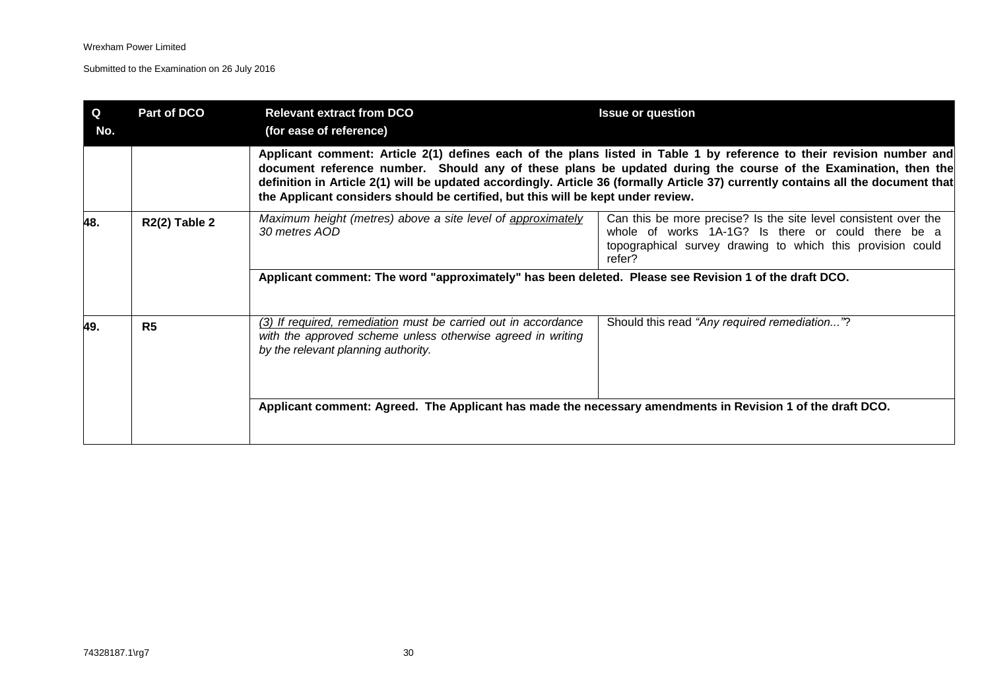| Q<br>No. | Part of DCO          | <b>Relevant extract from DCO</b><br>(for ease of reference)                                                                                                          | <b>Issue or question</b>                                                                                                                                                                                                                                                                                                                                                     |
|----------|----------------------|----------------------------------------------------------------------------------------------------------------------------------------------------------------------|------------------------------------------------------------------------------------------------------------------------------------------------------------------------------------------------------------------------------------------------------------------------------------------------------------------------------------------------------------------------------|
|          |                      | the Applicant considers should be certified, but this will be kept under review.                                                                                     | Applicant comment: Article 2(1) defines each of the plans listed in Table 1 by reference to their revision number and<br>document reference number. Should any of these plans be updated during the course of the Examination, then the<br>definition in Article 2(1) will be updated accordingly. Article 36 (formally Article 37) currently contains all the document that |
| 48.      | <b>R2(2) Table 2</b> | Maximum height (metres) above a site level of approximately<br>30 metres AOD                                                                                         | Can this be more precise? Is the site level consistent over the<br>whole of works 1A-1G? Is there or could there be a<br>topographical survey drawing to which this provision could<br>refer?                                                                                                                                                                                |
|          |                      | Applicant comment: The word "approximately" has been deleted. Please see Revision 1 of the draft DCO.                                                                |                                                                                                                                                                                                                                                                                                                                                                              |
| 49.      | R <sub>5</sub>       | (3) If required, remediation must be carried out in accordance<br>with the approved scheme unless otherwise agreed in writing<br>by the relevant planning authority. | Should this read "Any required remediation"?                                                                                                                                                                                                                                                                                                                                 |
|          |                      | Applicant comment: Agreed. The Applicant has made the necessary amendments in Revision 1 of the draft DCO.                                                           |                                                                                                                                                                                                                                                                                                                                                                              |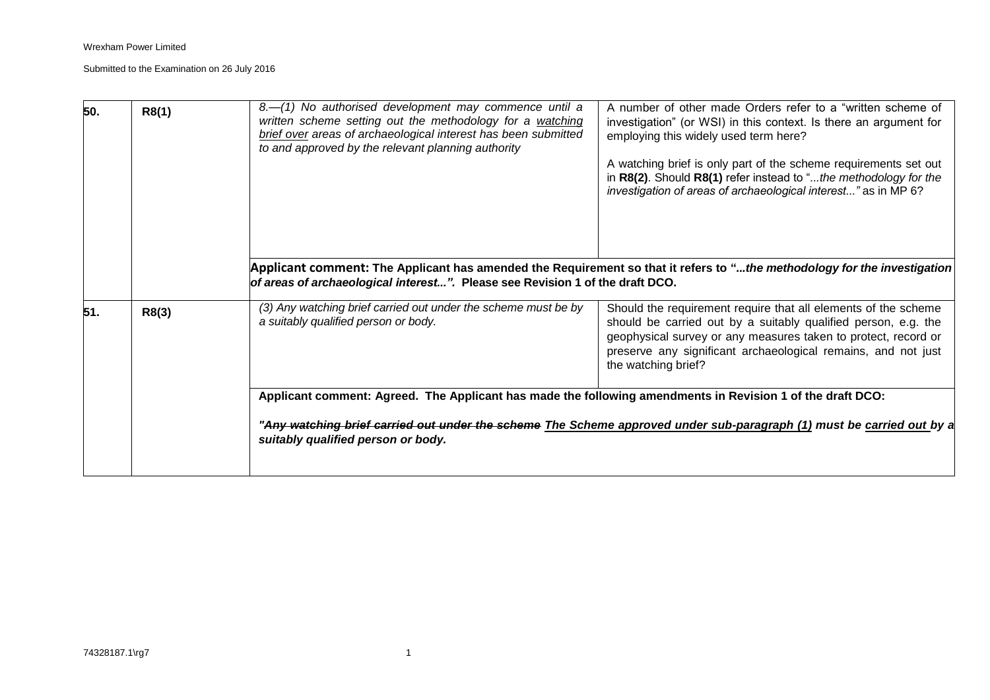| 50. | R8(1) | $8-$ (1) No authorised development may commence until a<br>written scheme setting out the methodology for a watching<br>brief over areas of archaeological interest has been submitted<br>to and approved by the relevant planning authority | A number of other made Orders refer to a "written scheme of<br>investigation" (or WSI) in this context. Is there an argument for<br>employing this widely used term here?<br>A watching brief is only part of the scheme requirements set out<br>in R8(2). Should R8(1) refer instead to "the methodology for the<br>investigation of areas of archaeological interest" as in MP 6? |
|-----|-------|----------------------------------------------------------------------------------------------------------------------------------------------------------------------------------------------------------------------------------------------|-------------------------------------------------------------------------------------------------------------------------------------------------------------------------------------------------------------------------------------------------------------------------------------------------------------------------------------------------------------------------------------|
|     |       | of areas of archaeological interest". Please see Revision 1 of the draft DCO.                                                                                                                                                                | Applicant comment: The Applicant has amended the Requirement so that it refers to "the methodology for the investigation                                                                                                                                                                                                                                                            |
| 51. | R8(3) | (3) Any watching brief carried out under the scheme must be by<br>a suitably qualified person or body.                                                                                                                                       | Should the requirement require that all elements of the scheme<br>should be carried out by a suitably qualified person, e.g. the<br>geophysical survey or any measures taken to protect, record or<br>preserve any significant archaeological remains, and not just<br>the watching brief?                                                                                          |
|     |       | Applicant comment: Agreed. The Applicant has made the following amendments in Revision 1 of the draft DCO:<br>suitably qualified person or body.                                                                                             | "Any watching brief carried out under the scheme The Scheme approved under sub-paragraph (1) must be carried out by a                                                                                                                                                                                                                                                               |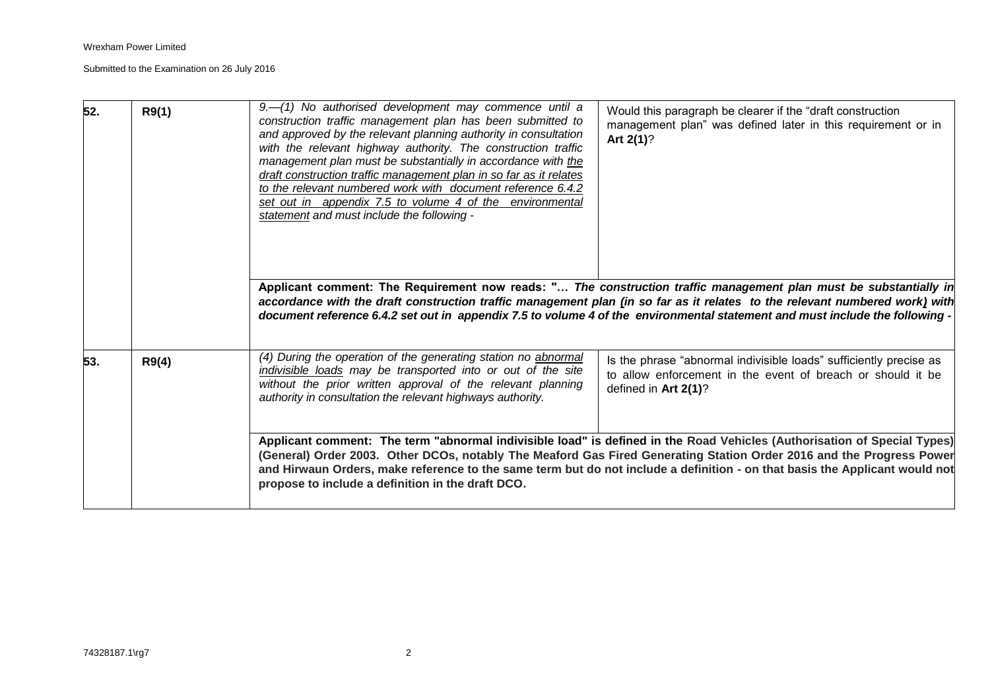| 52. | R9(1) | $9 - (1)$ No authorised development may commence until a<br>construction traffic management plan has been submitted to<br>and approved by the relevant planning authority in consultation<br>with the relevant highway authority. The construction traffic<br>management plan must be substantially in accordance with the<br>draft construction traffic management plan in so far as it relates<br>to the relevant numbered work with document reference 6.4.2<br>set out in appendix 7.5 to volume 4 of the environmental<br>statement and must include the following - | Would this paragraph be clearer if the "draft construction"<br>management plan" was defined later in this requirement or in<br>Art $2(1)$ ?<br>Applicant comment: The Requirement now reads: " The construction traffic management plan must be substantially in<br>accordance with the draft construction traffic management plan (in so far as it relates to the relevant numbered work) with<br>document reference 6.4.2 set out in appendix 7.5 to volume 4 of the environmental statement and must include the following - |
|-----|-------|---------------------------------------------------------------------------------------------------------------------------------------------------------------------------------------------------------------------------------------------------------------------------------------------------------------------------------------------------------------------------------------------------------------------------------------------------------------------------------------------------------------------------------------------------------------------------|---------------------------------------------------------------------------------------------------------------------------------------------------------------------------------------------------------------------------------------------------------------------------------------------------------------------------------------------------------------------------------------------------------------------------------------------------------------------------------------------------------------------------------|
| 53. | R9(4) | (4) During the operation of the generating station no abnormal<br>indivisible loads may be transported into or out of the site<br>without the prior written approval of the relevant planning<br>authority in consultation the relevant highways authority.                                                                                                                                                                                                                                                                                                               | Is the phrase "abnormal indivisible loads" sufficiently precise as<br>to allow enforcement in the event of breach or should it be<br>defined in Art 2(1)?                                                                                                                                                                                                                                                                                                                                                                       |
|     |       | propose to include a definition in the draft DCO.                                                                                                                                                                                                                                                                                                                                                                                                                                                                                                                         | Applicant comment: The term "abnormal indivisible load" is defined in the Road Vehicles (Authorisation of Special Types)<br>(General) Order 2003. Other DCOs, notably The Meaford Gas Fired Generating Station Order 2016 and the Progress Power<br>and Hirwaun Orders, make reference to the same term but do not include a definition - on that basis the Applicant would not                                                                                                                                                 |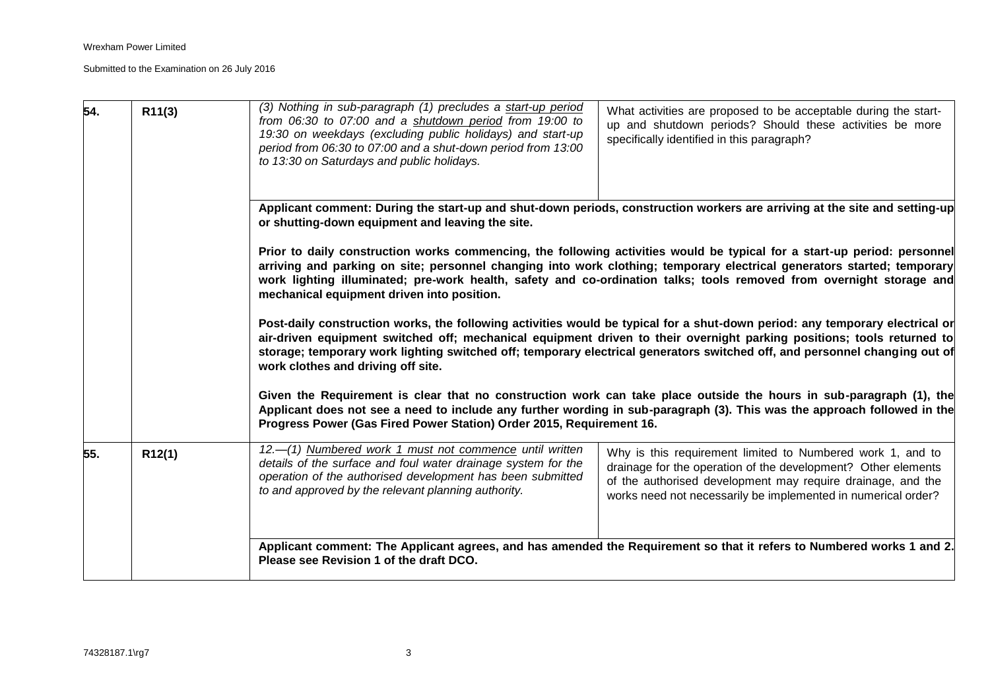| 54. | R11(3) | (3) Nothing in sub-paragraph (1) precludes a start-up period<br>from 06:30 to 07:00 and a shutdown period from 19:00 to<br>19:30 on weekdays (excluding public holidays) and start-up<br>period from 06:30 to 07:00 and a shut-down period from 13:00<br>to 13:30 on Saturdays and public holidays. | What activities are proposed to be acceptable during the start-<br>up and shutdown periods? Should these activities be more<br>specifically identified in this paragraph?                                                                                                                                                                                                                                                                                                                                                                                                                                                                                                                                                                                                                                                                                                                                                                                                                                                                                                                                                                            |
|-----|--------|-----------------------------------------------------------------------------------------------------------------------------------------------------------------------------------------------------------------------------------------------------------------------------------------------------|------------------------------------------------------------------------------------------------------------------------------------------------------------------------------------------------------------------------------------------------------------------------------------------------------------------------------------------------------------------------------------------------------------------------------------------------------------------------------------------------------------------------------------------------------------------------------------------------------------------------------------------------------------------------------------------------------------------------------------------------------------------------------------------------------------------------------------------------------------------------------------------------------------------------------------------------------------------------------------------------------------------------------------------------------------------------------------------------------------------------------------------------------|
|     |        | or shutting-down equipment and leaving the site.<br>mechanical equipment driven into position.<br>work clothes and driving off site.<br>Progress Power (Gas Fired Power Station) Order 2015, Requirement 16.                                                                                        | Applicant comment: During the start-up and shut-down periods, construction workers are arriving at the site and setting-up<br>Prior to daily construction works commencing, the following activities would be typical for a start-up period: personnel<br>arriving and parking on site; personnel changing into work clothing; temporary electrical generators started; temporary<br>work lighting illuminated; pre-work health, safety and co-ordination talks; tools removed from overnight storage and<br>Post-daily construction works, the following activities would be typical for a shut-down period: any temporary electrical or<br>air-driven equipment switched off; mechanical equipment driven to their overnight parking positions; tools returned to<br>storage; temporary work lighting switched off; temporary electrical generators switched off, and personnel changing out of<br>Given the Requirement is clear that no construction work can take place outside the hours in sub-paragraph (1), the<br>Applicant does not see a need to include any further wording in sub-paragraph (3). This was the approach followed in the |
| 55. | R12(1) | 12.-(1) Numbered work 1 must not commence until written<br>details of the surface and foul water drainage system for the<br>operation of the authorised development has been submitted<br>to and approved by the relevant planning authority.<br>Please see Revision 1 of the draft DCO.            | Why is this requirement limited to Numbered work 1, and to<br>drainage for the operation of the development? Other elements<br>of the authorised development may require drainage, and the<br>works need not necessarily be implemented in numerical order?<br>Applicant comment: The Applicant agrees, and has amended the Requirement so that it refers to Numbered works 1 and 2.                                                                                                                                                                                                                                                                                                                                                                                                                                                                                                                                                                                                                                                                                                                                                                 |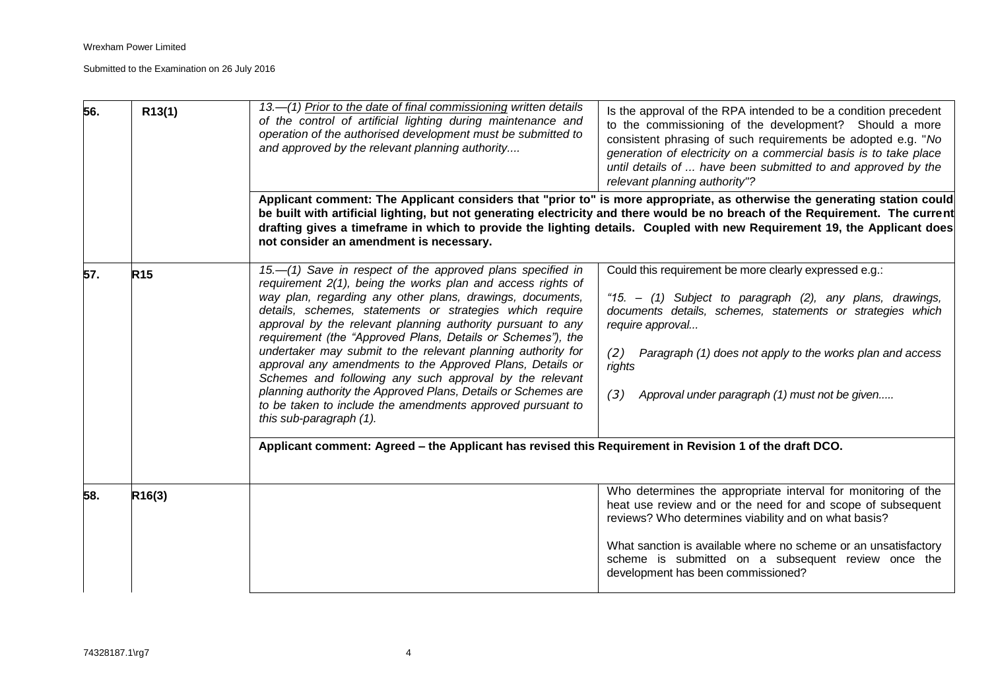| 56. | R13(1)          | 13.—(1) Prior to the date of final commissioning written details<br>of the control of artificial lighting during maintenance and<br>operation of the authorised development must be submitted to<br>and approved by the relevant planning authority                                                                                                                                                                                                                                                                                                                                                                                                                                                                                | Is the approval of the RPA intended to be a condition precedent<br>to the commissioning of the development? Should a more<br>consistent phrasing of such requirements be adopted e.g. "No<br>generation of electricity on a commercial basis is to take place<br>until details of  have been submitted to and approved by the<br>relevant planning authority"?                          |
|-----|-----------------|------------------------------------------------------------------------------------------------------------------------------------------------------------------------------------------------------------------------------------------------------------------------------------------------------------------------------------------------------------------------------------------------------------------------------------------------------------------------------------------------------------------------------------------------------------------------------------------------------------------------------------------------------------------------------------------------------------------------------------|-----------------------------------------------------------------------------------------------------------------------------------------------------------------------------------------------------------------------------------------------------------------------------------------------------------------------------------------------------------------------------------------|
|     |                 | not consider an amendment is necessary.                                                                                                                                                                                                                                                                                                                                                                                                                                                                                                                                                                                                                                                                                            | Applicant comment: The Applicant considers that "prior to" is more appropriate, as otherwise the generating station could<br>be built with artificial lighting, but not generating electricity and there would be no breach of the Requirement. The current<br>drafting gives a timeframe in which to provide the lighting details. Coupled with new Requirement 19, the Applicant does |
| 57. | R <sub>15</sub> | 15.-(1) Save in respect of the approved plans specified in<br>requirement 2(1), being the works plan and access rights of<br>way plan, regarding any other plans, drawings, documents,<br>details, schemes, statements or strategies which require<br>approval by the relevant planning authority pursuant to any<br>requirement (the "Approved Plans, Details or Schemes"), the<br>undertaker may submit to the relevant planning authority for<br>approval any amendments to the Approved Plans, Details or<br>Schemes and following any such approval by the relevant<br>planning authority the Approved Plans, Details or Schemes are<br>to be taken to include the amendments approved pursuant to<br>this sub-paragraph (1). | Could this requirement be more clearly expressed e.g.:<br>"15. - (1) Subject to paragraph (2), any plans, drawings,<br>documents details, schemes, statements or strategies which<br>require approval<br>Paragraph (1) does not apply to the works plan and access<br>(2)<br>rights<br>Approval under paragraph (1) must not be given<br>(3)                                            |
|     |                 | Applicant comment: Agreed - the Applicant has revised this Requirement in Revision 1 of the draft DCO.                                                                                                                                                                                                                                                                                                                                                                                                                                                                                                                                                                                                                             |                                                                                                                                                                                                                                                                                                                                                                                         |
| 58. | R16(3)          |                                                                                                                                                                                                                                                                                                                                                                                                                                                                                                                                                                                                                                                                                                                                    | Who determines the appropriate interval for monitoring of the<br>heat use review and or the need for and scope of subsequent<br>reviews? Who determines viability and on what basis?<br>What sanction is available where no scheme or an unsatisfactory<br>scheme is submitted on a subsequent review once the<br>development has been commissioned?                                    |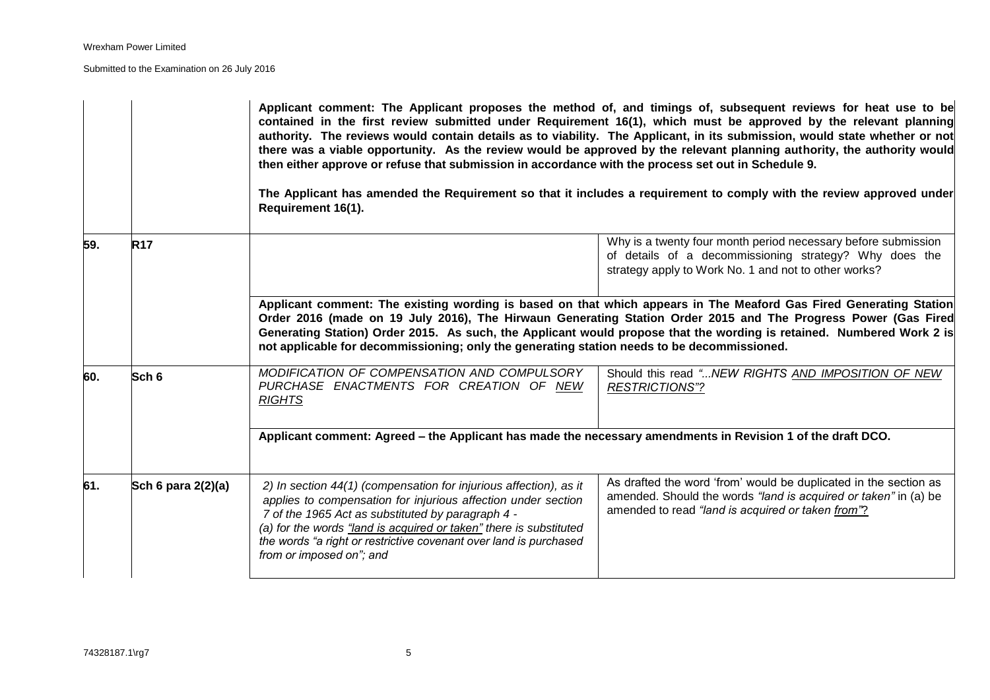|     |                    | Applicant comment: The Applicant proposes the method of, and timings of, subsequent reviews for heat use to be<br>contained in the first review submitted under Requirement 16(1), which must be approved by the relevant planning<br>authority. The reviews would contain details as to viability. The Applicant, in its submission, would state whether or not<br>there was a viable opportunity. As the review would be approved by the relevant planning authority, the authority would<br>then either approve or refuse that submission in accordance with the process set out in Schedule 9.<br>The Applicant has amended the Requirement so that it includes a requirement to comply with the review approved under<br>Requirement 16(1). |                                                                                                                                                                                          |  |
|-----|--------------------|--------------------------------------------------------------------------------------------------------------------------------------------------------------------------------------------------------------------------------------------------------------------------------------------------------------------------------------------------------------------------------------------------------------------------------------------------------------------------------------------------------------------------------------------------------------------------------------------------------------------------------------------------------------------------------------------------------------------------------------------------|------------------------------------------------------------------------------------------------------------------------------------------------------------------------------------------|--|
| 59. | <b>R17</b>         |                                                                                                                                                                                                                                                                                                                                                                                                                                                                                                                                                                                                                                                                                                                                                  | Why is a twenty four month period necessary before submission<br>of details of a decommissioning strategy? Why does the<br>strategy apply to Work No. 1 and not to other works?          |  |
|     |                    | Applicant comment: The existing wording is based on that which appears in The Meaford Gas Fired Generating Station<br>Order 2016 (made on 19 July 2016), The Hirwaun Generating Station Order 2015 and The Progress Power (Gas Fired<br>Generating Station) Order 2015. As such, the Applicant would propose that the wording is retained. Numbered Work 2 is<br>not applicable for decommissioning; only the generating station needs to be decommissioned.                                                                                                                                                                                                                                                                                     |                                                                                                                                                                                          |  |
| 60. | Sch <sub>6</sub>   | MODIFICATION OF COMPENSATION AND COMPULSORY<br>PURCHASE ENACTMENTS FOR CREATION OF NEW<br><b>RIGHTS</b>                                                                                                                                                                                                                                                                                                                                                                                                                                                                                                                                                                                                                                          | Should this read " NEW RIGHTS AND IMPOSITION OF NEW<br><b>RESTRICTIONS"?</b>                                                                                                             |  |
|     |                    | Applicant comment: Agreed – the Applicant has made the necessary amendments in Revision 1 of the draft DCO.                                                                                                                                                                                                                                                                                                                                                                                                                                                                                                                                                                                                                                      |                                                                                                                                                                                          |  |
| 61. | Sch 6 para 2(2)(a) | 2) In section 44(1) (compensation for injurious affection), as it<br>applies to compensation for injurious affection under section<br>7 of the 1965 Act as substituted by paragraph 4 -<br>(a) for the words "land is acquired or taken" there is substituted<br>the words "a right or restrictive covenant over land is purchased<br>from or imposed on"; and                                                                                                                                                                                                                                                                                                                                                                                   | As drafted the word 'from' would be duplicated in the section as<br>amended. Should the words "land is acquired or taken" in (a) be<br>amended to read "land is acquired or taken from"? |  |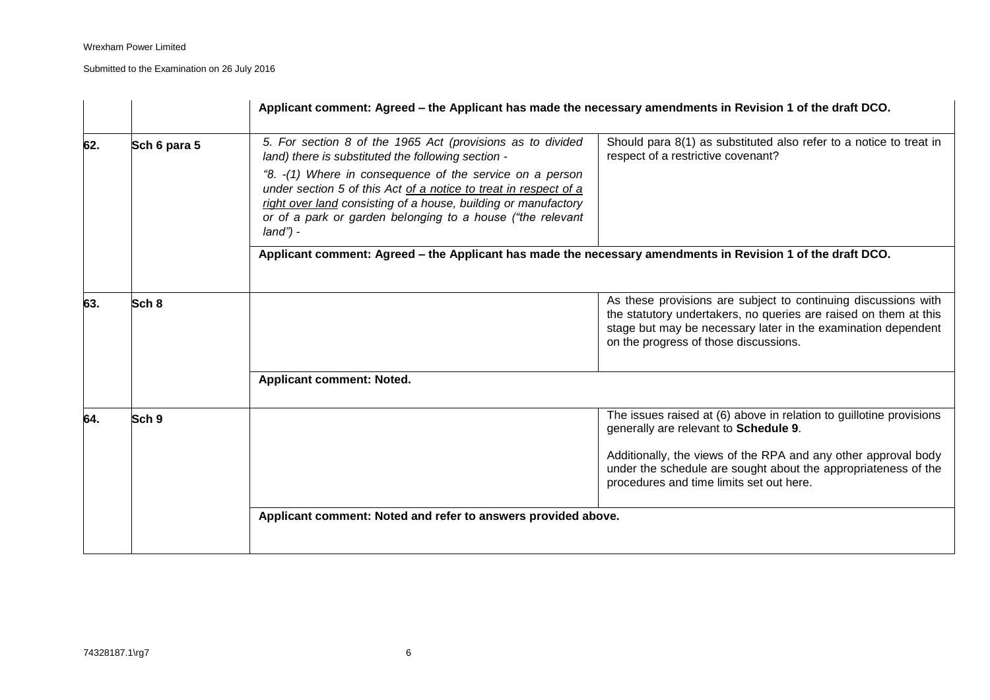|     |                  | Applicant comment: Agreed – the Applicant has made the necessary amendments in Revision 1 of the draft DCO.                                                                                                                                                                                                                                                                                     |                                                                                                                                                                                                                                                                                              |  |
|-----|------------------|-------------------------------------------------------------------------------------------------------------------------------------------------------------------------------------------------------------------------------------------------------------------------------------------------------------------------------------------------------------------------------------------------|----------------------------------------------------------------------------------------------------------------------------------------------------------------------------------------------------------------------------------------------------------------------------------------------|--|
| 62. | Sch 6 para 5     | 5. For section 8 of the 1965 Act (provisions as to divided<br>land) there is substituted the following section -<br>"8. -(1) Where in consequence of the service on a person<br>under section 5 of this Act of a notice to treat in respect of a<br>right over land consisting of a house, building or manufactory<br>or of a park or garden belonging to a house ("the relevant<br>$land$ ") - | Should para 8(1) as substituted also refer to a notice to treat in<br>respect of a restrictive covenant?                                                                                                                                                                                     |  |
|     |                  | Applicant comment: Agreed - the Applicant has made the necessary amendments in Revision 1 of the draft DCO.                                                                                                                                                                                                                                                                                     |                                                                                                                                                                                                                                                                                              |  |
| 63. | Sch 8            |                                                                                                                                                                                                                                                                                                                                                                                                 | As these provisions are subject to continuing discussions with<br>the statutory undertakers, no queries are raised on them at this<br>stage but may be necessary later in the examination dependent<br>on the progress of those discussions.                                                 |  |
|     |                  | Applicant comment: Noted.                                                                                                                                                                                                                                                                                                                                                                       |                                                                                                                                                                                                                                                                                              |  |
| 64. | Sch <sub>9</sub> |                                                                                                                                                                                                                                                                                                                                                                                                 | The issues raised at (6) above in relation to guillotine provisions<br>generally are relevant to Schedule 9.<br>Additionally, the views of the RPA and any other approval body<br>under the schedule are sought about the appropriateness of the<br>procedures and time limits set out here. |  |
|     |                  | Applicant comment: Noted and refer to answers provided above.                                                                                                                                                                                                                                                                                                                                   |                                                                                                                                                                                                                                                                                              |  |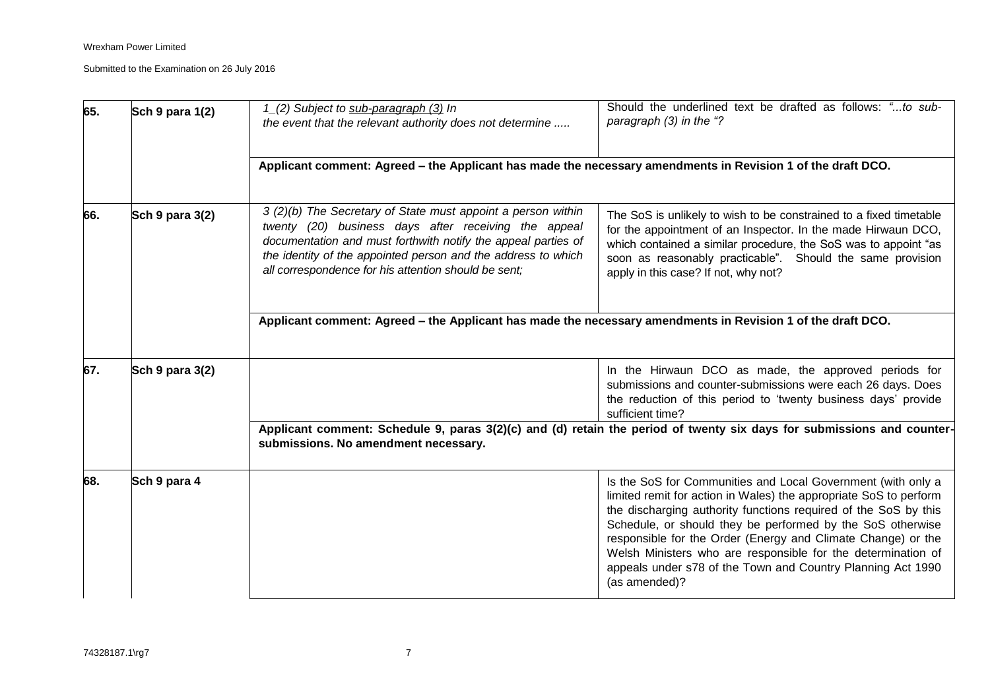| 65. | Sch 9 para 1(2) | 1_(2) Subject to sub-paragraph (3) In<br>the event that the relevant authority does not determine                                                                                                                                                                                                              | Should the underlined text be drafted as follows: "to sub-<br>paragraph (3) in the "?                                                                                                                                                                                                                                                                                                                                                                                              |
|-----|-----------------|----------------------------------------------------------------------------------------------------------------------------------------------------------------------------------------------------------------------------------------------------------------------------------------------------------------|------------------------------------------------------------------------------------------------------------------------------------------------------------------------------------------------------------------------------------------------------------------------------------------------------------------------------------------------------------------------------------------------------------------------------------------------------------------------------------|
|     |                 | Applicant comment: Agreed – the Applicant has made the necessary amendments in Revision 1 of the draft DCO.                                                                                                                                                                                                    |                                                                                                                                                                                                                                                                                                                                                                                                                                                                                    |
| 66. | Sch 9 para 3(2) | 3 (2)(b) The Secretary of State must appoint a person within<br>twenty (20) business days after receiving the appeal<br>documentation and must forthwith notify the appeal parties of<br>the identity of the appointed person and the address to which<br>all correspondence for his attention should be sent; | The SoS is unlikely to wish to be constrained to a fixed timetable<br>for the appointment of an Inspector. In the made Hirwaun DCO,<br>which contained a similar procedure, the SoS was to appoint "as<br>soon as reasonably practicable". Should the same provision<br>apply in this case? If not, why not?                                                                                                                                                                       |
|     |                 | Applicant comment: Agreed – the Applicant has made the necessary amendments in Revision 1 of the draft DCO.                                                                                                                                                                                                    |                                                                                                                                                                                                                                                                                                                                                                                                                                                                                    |
| 67. | Sch 9 para 3(2) |                                                                                                                                                                                                                                                                                                                | In the Hirwaun DCO as made, the approved periods for<br>submissions and counter-submissions were each 26 days. Does<br>the reduction of this period to 'twenty business days' provide<br>sufficient time?                                                                                                                                                                                                                                                                          |
|     |                 | submissions. No amendment necessary.                                                                                                                                                                                                                                                                           | Applicant comment: Schedule 9, paras 3(2)(c) and (d) retain the period of twenty six days for submissions and counter-                                                                                                                                                                                                                                                                                                                                                             |
| 68. | Sch 9 para 4    |                                                                                                                                                                                                                                                                                                                | Is the SoS for Communities and Local Government (with only a<br>limited remit for action in Wales) the appropriate SoS to perform<br>the discharging authority functions required of the SoS by this<br>Schedule, or should they be performed by the SoS otherwise<br>responsible for the Order (Energy and Climate Change) or the<br>Welsh Ministers who are responsible for the determination of<br>appeals under s78 of the Town and Country Planning Act 1990<br>(as amended)? |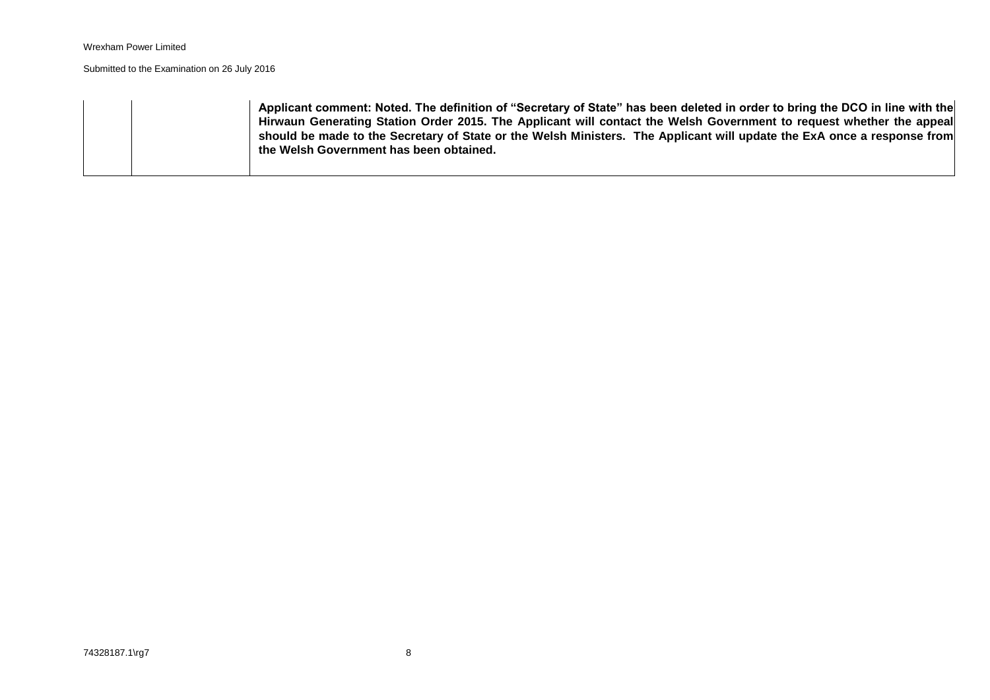|  | Applicant comment: Noted. The definition of "Secretary of State" has been deleted in order to bring the DCO in line with the<br>Hirwaun Generating Station Order 2015. The Applicant will contact the Welsh Government to request whether the appeal<br>should be made to the Secretary of State or the Welsh Ministers. The Applicant will update the ExA once a response from |  |
|--|---------------------------------------------------------------------------------------------------------------------------------------------------------------------------------------------------------------------------------------------------------------------------------------------------------------------------------------------------------------------------------|--|
|  | the Welsh Government has been obtained.                                                                                                                                                                                                                                                                                                                                         |  |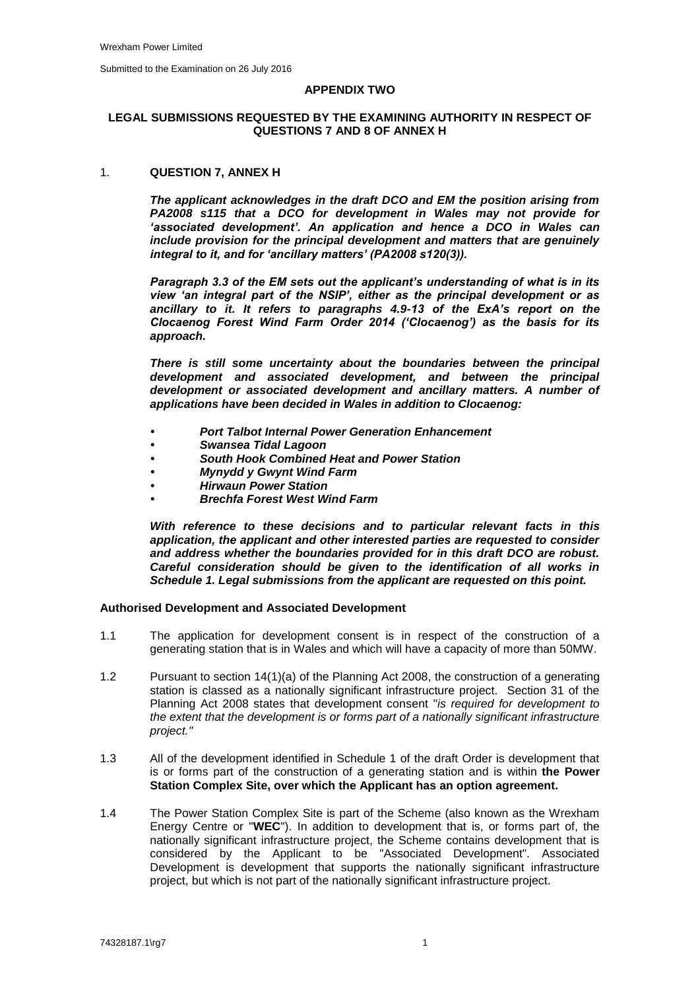#### **APPENDIX TWO**

## **LEGAL SUBMISSIONS REQUESTED BY THE EXAMINING AUTHORITY IN RESPECT OF QUESTIONS 7 AND 8 OF ANNEX H**

## 1. **QUESTION 7, ANNEX H**

*The applicant acknowledges in the draft DCO and EM the position arising from PA2008 s115 that a DCO for development in Wales may not provide for 'associated development'. An application and hence a DCO in Wales can include provision for the principal development and matters that are genuinely integral to it, and for 'ancillary matters' (PA2008 s120(3)).*

*Paragraph 3.3 of the EM sets out the applicant's understanding of what is in its view 'an integral part of the NSIP', either as the principal development or as ancillary to it. It refers to paragraphs 4.9-13 of the ExA's report on the Clocaenog Forest Wind Farm Order 2014 ('Clocaenog') as the basis for its approach.*

*There is still some uncertainty about the boundaries between the principal development and associated development, and between the principal development or associated development and ancillary matters. A number of applications have been decided in Wales in addition to Clocaenog:*

- *• Port Talbot Internal Power Generation Enhancement*
- *• Swansea Tidal Lagoon*
- *• South Hook Combined Heat and Power Station*
- *• Mynydd y Gwynt Wind Farm*
- *• Hirwaun Power Station*
- *• Brechfa Forest West Wind Farm*

*With reference to these decisions and to particular relevant facts in this application, the applicant and other interested parties are requested to consider and address whether the boundaries provided for in this draft DCO are robust. Careful consideration should be given to the identification of all works in Schedule 1. Legal submissions from the applicant are requested on this point.*

#### **Authorised Development and Associated Development**

- 1.1 The application for development consent is in respect of the construction of a generating station that is in Wales and which will have a capacity of more than 50MW.
- 1.2 Pursuant to section 14(1)(a) of the Planning Act 2008, the construction of a generating station is classed as a nationally significant infrastructure project. Section 31 of the Planning Act 2008 states that development consent "*is required for development to the extent that the development is or forms part of a nationally significant infrastructure project."*
- 1.3 All of the development identified in Schedule 1 of the draft Order is development that is or forms part of the construction of a generating station and is within **the Power Station Complex Site, over which the Applicant has an option agreement.**
- 1.4 The Power Station Complex Site is part of the Scheme (also known as the Wrexham Energy Centre or "**WEC**"). In addition to development that is, or forms part of, the nationally significant infrastructure project, the Scheme contains development that is considered by the Applicant to be "Associated Development". Associated Development is development that supports the nationally significant infrastructure project, but which is not part of the nationally significant infrastructure project.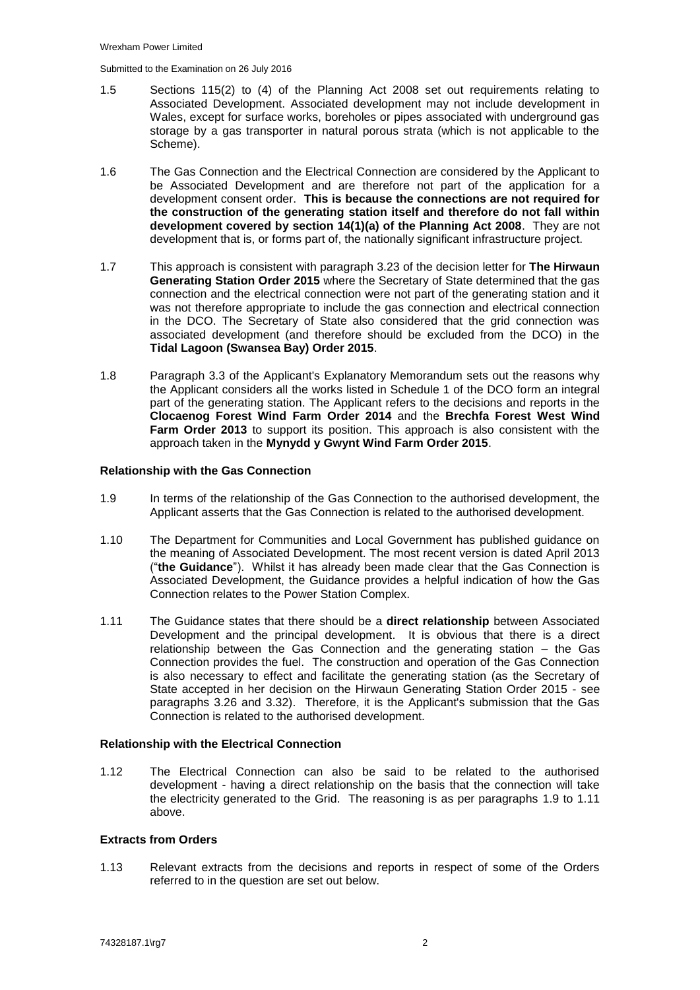- 1.5 Sections 115(2) to (4) of the Planning Act 2008 set out requirements relating to Associated Development. Associated development may not include development in Wales, except for surface works, boreholes or pipes associated with underground gas storage by a gas transporter in natural porous strata (which is not applicable to the Scheme).
- 1.6 The Gas Connection and the Electrical Connection are considered by the Applicant to be Associated Development and are therefore not part of the application for a development consent order. **This is because the connections are not required for the construction of the generating station itself and therefore do not fall within development covered by section 14(1)(a) of the Planning Act 2008**. They are not development that is, or forms part of, the nationally significant infrastructure project.
- 1.7 This approach is consistent with paragraph 3.23 of the decision letter for **The Hirwaun Generating Station Order 2015** where the Secretary of State determined that the gas connection and the electrical connection were not part of the generating station and it was not therefore appropriate to include the gas connection and electrical connection in the DCO. The Secretary of State also considered that the grid connection was associated development (and therefore should be excluded from the DCO) in the **Tidal Lagoon (Swansea Bay) Order 2015**.
- 1.8 Paragraph 3.3 of the Applicant's Explanatory Memorandum sets out the reasons why the Applicant considers all the works listed in Schedule 1 of the DCO form an integral part of the generating station. The Applicant refers to the decisions and reports in the **Clocaenog Forest Wind Farm Order 2014** and the **Brechfa Forest West Wind Farm Order 2013** to support its position. This approach is also consistent with the approach taken in the **Mynydd y Gwynt Wind Farm Order 2015**.

## **Relationship with the Gas Connection**

- <span id="page-43-0"></span>1.9 In terms of the relationship of the Gas Connection to the authorised development, the Applicant asserts that the Gas Connection is related to the authorised development.
- 1.10 The Department for Communities and Local Government has published guidance on the meaning of Associated Development. The most recent version is dated April 2013 ("**the Guidance**"). Whilst it has already been made clear that the Gas Connection is Associated Development, the Guidance provides a helpful indication of how the Gas Connection relates to the Power Station Complex.
- <span id="page-43-1"></span>1.11 The Guidance states that there should be a **direct relationship** between Associated Development and the principal development. It is obvious that there is a direct relationship between the Gas Connection and the generating station – the Gas Connection provides the fuel. The construction and operation of the Gas Connection is also necessary to effect and facilitate the generating station (as the Secretary of State accepted in her decision on the Hirwaun Generating Station Order 2015 - see paragraphs 3.26 and 3.32). Therefore, it is the Applicant's submission that the Gas Connection is related to the authorised development.

#### **Relationship with the Electrical Connection**

1.12 The Electrical Connection can also be said to be related to the authorised development - having a direct relationship on the basis that the connection will take the electricity generated to the Grid. The reasoning is as per paragraphs [1.9](#page-43-0) to [1.11](#page-43-1) above.

## **Extracts from Orders**

1.13 Relevant extracts from the decisions and reports in respect of some of the Orders referred to in the question are set out below.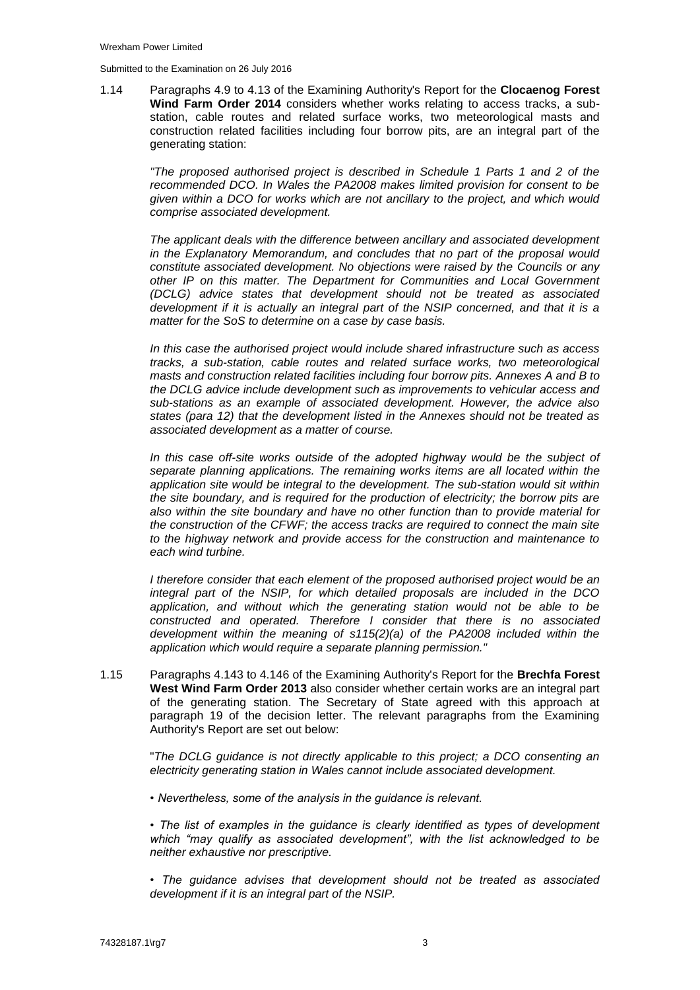1.14 Paragraphs 4.9 to 4.13 of the Examining Authority's Report for the **Clocaenog Forest Wind Farm Order 2014** considers whether works relating to access tracks, a substation, cable routes and related surface works, two meteorological masts and construction related facilities including four borrow pits, are an integral part of the generating station:

*"The proposed authorised project is described in Schedule 1 Parts 1 and 2 of the recommended DCO. In Wales the PA2008 makes limited provision for consent to be given within a DCO for works which are not ancillary to the project, and which would comprise associated development.* 

*The applicant deals with the difference between ancillary and associated development in the Explanatory Memorandum, and concludes that no part of the proposal would constitute associated development. No objections were raised by the Councils or any other IP on this matter. The Department for Communities and Local Government (DCLG) advice states that development should not be treated as associated development if it is actually an integral part of the NSIP concerned, and that it is a matter for the SoS to determine on a case by case basis.*

*In this case the authorised project would include shared infrastructure such as access tracks, a sub-station, cable routes and related surface works, two meteorological masts and construction related facilities including four borrow pits. Annexes A and B to the DCLG advice include development such as improvements to vehicular access and sub-stations as an example of associated development. However, the advice also states (para 12) that the development listed in the Annexes should not be treated as associated development as a matter of course.*

*In this case off-site works outside of the adopted highway would be the subject of separate planning applications. The remaining works items are all located within the application site would be integral to the development. The sub-station would sit within the site boundary, and is required for the production of electricity; the borrow pits are also within the site boundary and have no other function than to provide material for the construction of the CFWF; the access tracks are required to connect the main site to the highway network and provide access for the construction and maintenance to each wind turbine.*

*I therefore consider that each element of the proposed authorised project would be an integral part of the NSIP, for which detailed proposals are included in the DCO application, and without which the generating station would not be able to be constructed and operated. Therefore I consider that there is no associated development within the meaning of s115(2)(a) of the PA2008 included within the application which would require a separate planning permission."*

1.15 Paragraphs 4.143 to 4.146 of the Examining Authority's Report for the **Brechfa Forest West Wind Farm Order 2013** also consider whether certain works are an integral part of the generating station. The Secretary of State agreed with this approach at paragraph 19 of the decision letter. The relevant paragraphs from the Examining Authority's Report are set out below:

> "*The DCLG guidance is not directly applicable to this project; a DCO consenting an electricity generating station in Wales cannot include associated development.*

*• Nevertheless, some of the analysis in the guidance is relevant.*

*• The list of examples in the guidance is clearly identified as types of development which "may qualify as associated development", with the list acknowledged to be neither exhaustive nor prescriptive.*

*• The guidance advises that development should not be treated as associated development if it is an integral part of the NSIP.*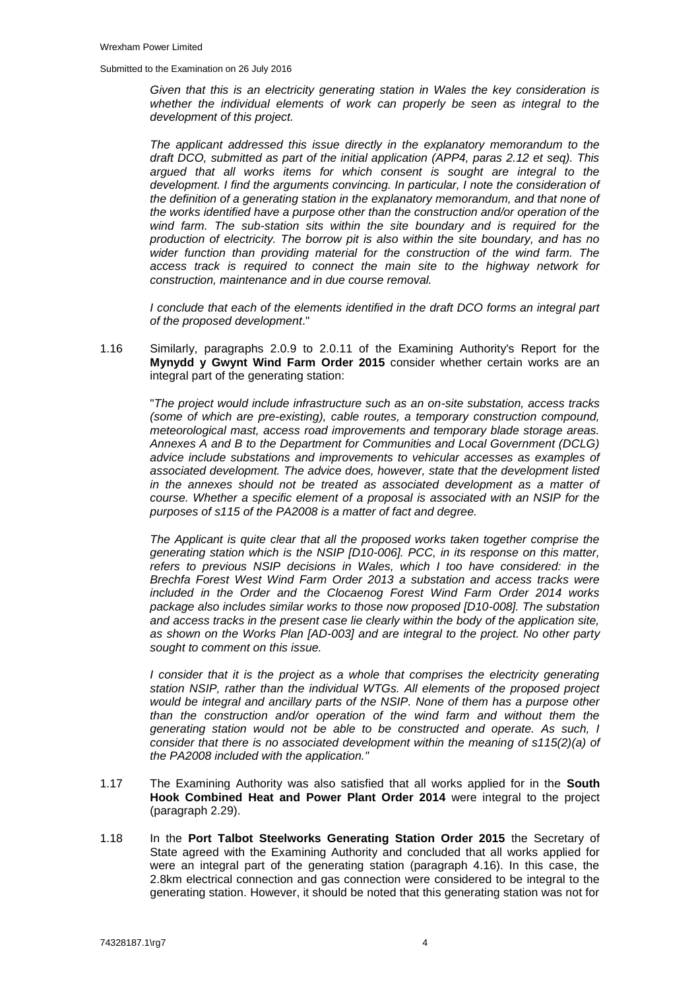*Given that this is an electricity generating station in Wales the key consideration is whether the individual elements of work can properly be seen as integral to the development of this project.*

*The applicant addressed this issue directly in the explanatory memorandum to the draft DCO, submitted as part of the initial application (APP4, paras 2.12 et seq). This argued that all works items for which consent is sought are integral to the development. I find the arguments convincing. In particular, I note the consideration of the definition of a generating station in the explanatory memorandum, and that none of the works identified have a purpose other than the construction and/or operation of the wind farm. The sub-station sits within the site boundary and is required for the production of electricity. The borrow pit is also within the site boundary, and has no wider function than providing material for the construction of the wind farm. The access track is required to connect the main site to the highway network for construction, maintenance and in due course removal.*

*I conclude that each of the elements identified in the draft DCO forms an integral part of the proposed development*."

1.16 Similarly, paragraphs 2.0.9 to 2.0.11 of the Examining Authority's Report for the **Mynydd y Gwynt Wind Farm Order 2015** consider whether certain works are an integral part of the generating station:

"*The project would include infrastructure such as an on-site substation, access tracks (some of which are pre-existing), cable routes, a temporary construction compound, meteorological mast, access road improvements and temporary blade storage areas. Annexes A and B to the Department for Communities and Local Government (DCLG) advice include substations and improvements to vehicular accesses as examples of associated development. The advice does, however, state that the development listed in the annexes should not be treated as associated development as a matter of course. Whether a specific element of a proposal is associated with an NSIP for the purposes of s115 of the PA2008 is a matter of fact and degree.*

*The Applicant is quite clear that all the proposed works taken together comprise the generating station which is the NSIP [D10-006]. PCC, in its response on this matter, refers to previous NSIP decisions in Wales, which I too have considered: in the Brechfa Forest West Wind Farm Order 2013 a substation and access tracks were included in the Order and the Clocaenog Forest Wind Farm Order 2014 works package also includes similar works to those now proposed [D10-008]. The substation and access tracks in the present case lie clearly within the body of the application site, as shown on the Works Plan [AD-003] and are integral to the project. No other party sought to comment on this issue.*

*I* consider that it is the project as a whole that comprises the electricity generating *station NSIP, rather than the individual WTGs. All elements of the proposed project would be integral and ancillary parts of the NSIP. None of them has a purpose other than the construction and/or operation of the wind farm and without them the generating station would not be able to be constructed and operate. As such, I consider that there is no associated development within the meaning of s115(2)(a) of the PA2008 included with the application."*

- 1.17 The Examining Authority was also satisfied that all works applied for in the **South Hook Combined Heat and Power Plant Order 2014** were integral to the project (paragraph 2.29).
- 1.18 In the **Port Talbot Steelworks Generating Station Order 2015** the Secretary of State agreed with the Examining Authority and concluded that all works applied for were an integral part of the generating station (paragraph 4.16). In this case, the 2.8km electrical connection and gas connection were considered to be integral to the generating station. However, it should be noted that this generating station was not for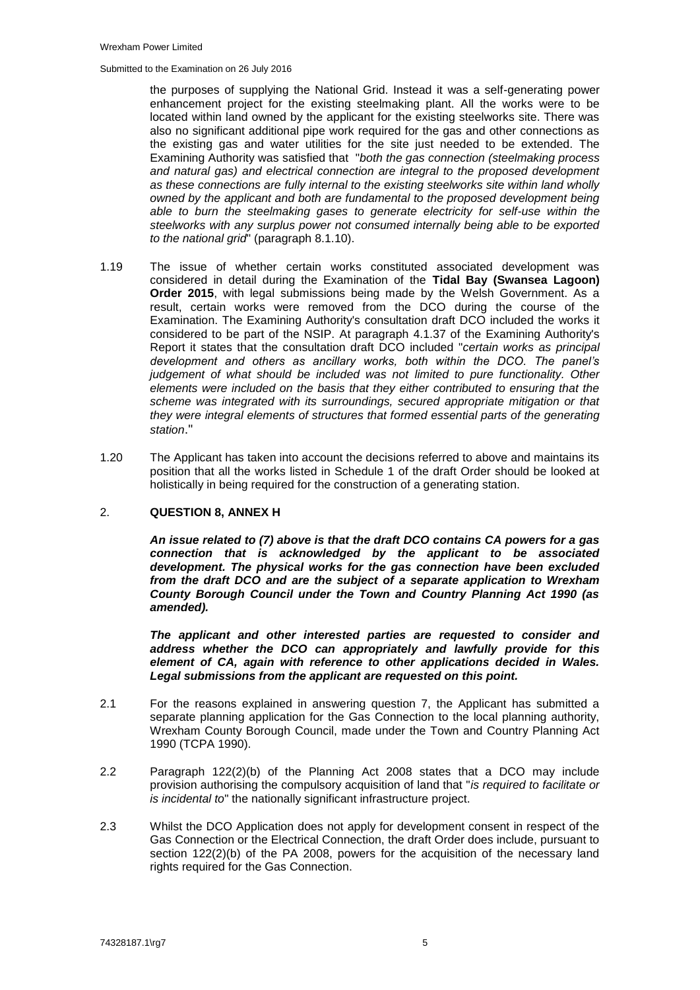the purposes of supplying the National Grid. Instead it was a self-generating power enhancement project for the existing steelmaking plant. All the works were to be located within land owned by the applicant for the existing steelworks site. There was also no significant additional pipe work required for the gas and other connections as the existing gas and water utilities for the site just needed to be extended. The Examining Authority was satisfied that "*both the gas connection (steelmaking process and natural gas) and electrical connection are integral to the proposed development as these connections are fully internal to the existing steelworks site within land wholly owned by the applicant and both are fundamental to the proposed development being able to burn the steelmaking gases to generate electricity for self-use within the steelworks with any surplus power not consumed internally being able to be exported to the national grid*" (paragraph 8.1.10).

- 1.19 The issue of whether certain works constituted associated development was considered in detail during the Examination of the **Tidal Bay (Swansea Lagoon) Order 2015**, with legal submissions being made by the Welsh Government. As a result, certain works were removed from the DCO during the course of the Examination. The Examining Authority's consultation draft DCO included the works it considered to be part of the NSIP. At paragraph 4.1.37 of the Examining Authority's Report it states that the consultation draft DCO included "*certain works as principal development and others as ancillary works, both within the DCO. The panel's judgement of what should be included was not limited to pure functionality. Other elements were included on the basis that they either contributed to ensuring that the scheme was integrated with its surroundings, secured appropriate mitigation or that they were integral elements of structures that formed essential parts of the generating station*."
- 1.20 The Applicant has taken into account the decisions referred to above and maintains its position that all the works listed in Schedule 1 of the draft Order should be looked at holistically in being required for the construction of a generating station.

## 2. **QUESTION 8, ANNEX H**

*An issue related to (7) above is that the draft DCO contains CA powers for a gas connection that is acknowledged by the applicant to be associated development. The physical works for the gas connection have been excluded from the draft DCO and are the subject of a separate application to Wrexham County Borough Council under the Town and Country Planning Act 1990 (as amended).* 

*The applicant and other interested parties are requested to consider and address whether the DCO can appropriately and lawfully provide for this element of CA, again with reference to other applications decided in Wales. Legal submissions from the applicant are requested on this point.*

- 2.1 For the reasons explained in answering question 7, the Applicant has submitted a separate planning application for the Gas Connection to the local planning authority, Wrexham County Borough Council, made under the Town and Country Planning Act 1990 (TCPA 1990).
- 2.2 Paragraph 122(2)(b) of the Planning Act 2008 states that a DCO may include provision authorising the compulsory acquisition of land that "*is required to facilitate or is incidental to*" the nationally significant infrastructure project.
- 2.3 Whilst the DCO Application does not apply for development consent in respect of the Gas Connection or the Electrical Connection, the draft Order does include, pursuant to section 122(2)(b) of the PA 2008, powers for the acquisition of the necessary land rights required for the Gas Connection.